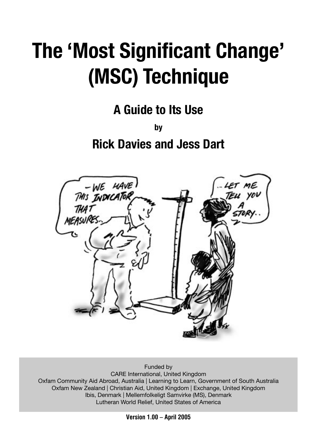# **The 'Most Significant Change' (MSC) Technique**

**A Guide to Its Use**

**by Rick Davies and Jess Dart**



Funded by CARE International, United Kingdom Oxfam Community Aid Abroad, Australia | Learning to Learn, Government of South Australia Oxfam New Zealand | Christian Aid, United Kingdom | Exchange, United Kingdom Ibis, Denmark | Mellemfolkeligt Samvirke (MS), Denmark Lutheran World Relief, United States of America

**Version 1.00 – April 2005**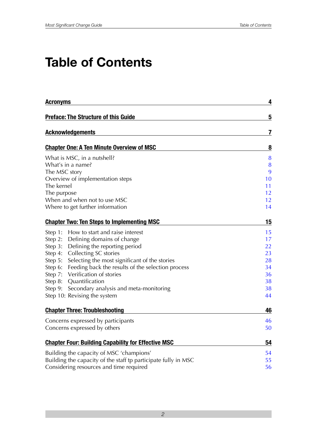# **Table of Contents**

| <b>Acronyms</b>                                                | 4  |
|----------------------------------------------------------------|----|
| <b>Preface: The Structure of this Guide</b>                    | 5  |
| <b>Acknowledgements</b>                                        | 7  |
| <b>Chapter One: A Ten Minute Overview of MSC</b>               | 8  |
| What is MSC, in a nutshell?                                    | 8  |
| What's in a name?                                              | 8  |
| The MSC story                                                  | 9  |
| Overview of implementation steps                               | 10 |
| The kernel                                                     | 11 |
| The purpose                                                    | 12 |
| When and when not to use MSC                                   | 12 |
| Where to get further information                               | 14 |
| <b>Chapter Two: Ten Steps to Implementing MSC</b>              | 15 |
| How to start and raise interest<br>Step 1:                     | 15 |
| Defining domains of change<br>Step 2:                          | 17 |
| Defining the reporting period<br>Step 3:                       | 22 |
| Collecting SC stories<br>Step 4:                               | 23 |
| Selecting the most significant of the stories<br>Step 5:       | 28 |
| Feeding back the results of the selection process<br>Step 6:   | 34 |
| Verification of stories<br>Step 7:                             | 36 |
| Quantification<br>Step 8:                                      | 38 |
| Secondary analysis and meta-monitoring<br>Step 9:              | 38 |
| Step 10: Revising the system                                   | 44 |
| <b>Chapter Three: Troubleshooting</b>                          | 46 |
| Concerns expressed by participants                             | 46 |
| Concerns expressed by others                                   | 50 |
| <b>Chapter Four: Building Capability for Effective MSC</b>     | 54 |
| Building the capacity of MSC 'champions'                       | 54 |
| Building the capacity of the staff tp participate fully in MSC | 55 |
| Considering resources and time required                        |    |
|                                                                |    |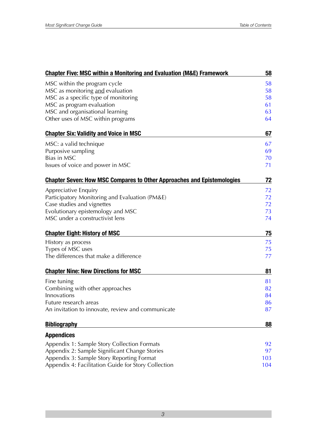| <b>Chapter Five: MSC within a Monitoring and Evaluation (M&amp;E) Framework</b> | 58  |
|---------------------------------------------------------------------------------|-----|
| MSC within the program cycle                                                    | 58  |
| MSC as monitoring and evaluation                                                | 58  |
| MSC as a specific type of monitoring                                            | 58  |
| MSC as program evaluation                                                       | 61  |
| MSC and organisational learning                                                 | 63  |
| Other uses of MSC within programs                                               | 64  |
| <b>Chapter Six: Validity and Voice in MSC</b>                                   | 67  |
| MSC: a valid technique                                                          | 67  |
| Purposive sampling                                                              | 69  |
| Bias in MSC                                                                     | 70  |
| Issues of voice and power in MSC                                                | 71  |
| <b>Chapter Seven: How MSC Compares to Other Approaches and Epistemologies</b>   | 72  |
| Appreciative Enquiry                                                            | 72  |
| Participatory Monitoring and Evaluation (PM&E)                                  | 72  |
| Case studies and vignettes                                                      | 72  |
| Evolutionary epistemology and MSC                                               | 73  |
| MSC under a constructivist lens                                                 | 74  |
| <b>Chapter Eight: History of MSC</b>                                            | 75  |
| History as process                                                              | 75  |
| Types of MSC uses                                                               | 75  |
| The differences that make a difference                                          | 77  |
| <b>Chapter Nine: New Directions for MSC</b>                                     | 81  |
| Fine tuning                                                                     | 81  |
| Combining with other approaches                                                 | 82  |
| Innovations                                                                     | 84  |
| Future research areas                                                           | 86  |
| An invitation to innovate, review and communicate                               | 87  |
| <b>Bibliography</b>                                                             | 88  |
| <b>Appendices</b>                                                               |     |
| Appendix 1: Sample Story Collection Formats                                     | 92  |
| Appendix 2: Sample Significant Change Stories                                   | 97  |
| Appendix 3: Sample Story Reporting Format                                       | 103 |
| Appendix 4: Facilitation Guide for Story Collection                             | 104 |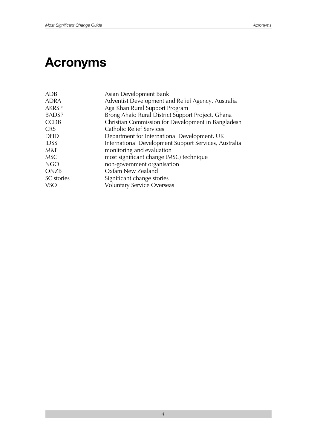# **Acronyms**

| ADB          | Asian Development Bank                                |
|--------------|-------------------------------------------------------|
| <b>ADRA</b>  | Adventist Development and Relief Agency, Australia    |
| <b>AKRSP</b> | Aga Khan Rural Support Program                        |
| <b>BADSP</b> | Brong Ahafo Rural District Support Project, Ghana     |
| <b>CCDB</b>  | Christian Commission for Development in Bangladesh    |
| <b>CRS</b>   | <b>Catholic Relief Services</b>                       |
| <b>DFID</b>  | Department for International Development, UK          |
| <b>IDSS</b>  | International Development Support Services, Australia |
| M&E          | monitoring and evaluation                             |
| <b>MSC</b>   | most significant change (MSC) technique               |
| <b>NGO</b>   | non-government organisation                           |
| <b>ONZB</b>  | Oxfam New Zealand                                     |
| SC stories   | Significant change stories                            |
| VSO          | <b>Voluntary Service Overseas</b>                     |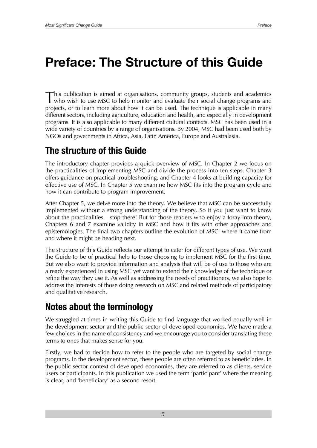This publication is aimed at organisations, community groups, students and academics who wish to use MSC to help monitor and evaluate their social change programs and projects, or to learn more about how it can be used. The technique is applicable in many different sectors, including agriculture, education and health, and especially in development programs. It is also applicable to many different cultural contexts. MSC has been used in a wide variety of countries by a range of organisations. By 2004, MSC had been used both by NGOs and governments in Africa, Asia, Latin America, Europe and Australasia.

# **The structure of this Guide**

The introductory chapter provides a quick overview of MSC. In Chapter 2 we focus on the practicalities of implementing MSC and divide the process into ten steps. Chapter 3 offers guidance on practical troubleshooting, and Chapter 4 looks at building capacity for effective use of MSC. In Chapter 5 we examine how MSC fits into the program cycle and how it can contribute to program improvement.

After Chapter 5, we delve more into the theory. We believe that MSC can be successfully implemented without a strong understanding of the theory. So if you just want to know about the practicalities – stop there! But for those readers who enjoy a foray into theory, Chapters 6 and 7 examine validity in MSC and how it fits with other approaches and epistemologies. The final two chapters outline the evolution of MSC: where it came from and where it might be heading next.

The structure of this Guide reflects our attempt to cater for different types of use. We want the Guide to be of practical help to those choosing to implement MSC for the first time. But we also want to provide information and analysis that will be of use to those who are already experienced in using MSC yet want to extend their knowledge of the technique or refine the way they use it. As well as addressing the needs of practitioners, we also hope to address the interests of those doing research on MSC and related methods of participatory and qualitative research.

# **Notes about the terminology**

We struggled at times in writing this Guide to find language that worked equally well in the development sector and the public sector of developed economies. We have made a few choices in the name of consistency and we encourage you to consider translating these terms to ones that makes sense for you.

Firstly, we had to decide how to refer to the people who are targeted by social change programs. In the development sector, these people are often referred to as beneficiaries. In the public sector context of developed economies, they are referred to as clients, service users or participants. In this publication we used the term 'participant' where the meaning is clear, and 'beneficiary' as a second resort.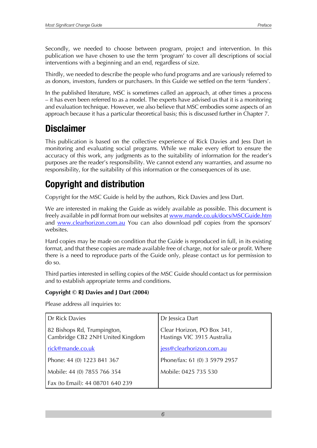Secondly, we needed to choose between program, project and intervention. In this publication we have chosen to use the term 'program' to cover all descriptions of social interventions with a beginning and an end, regardless of size.

Thirdly, we needed to describe the people who fund programs and are variously referred to as donors, investors, funders or purchasers. In this Guide we settled on the term 'funders'.

In the published literature, MSC is sometimes called an approach, at other times a process – it has even been referred to as a model. The experts have advised us that it is a monitoring and evaluation technique. However, we also believe that MSC embodies some aspects of an approach because it has a particular theoretical basis; this is discussed further in Chapter 7.

# **Disclaimer**

This publication is based on the collective experience of Rick Davies and Jess Dart in monitoring and evaluating social programs. While we make every effort to ensure the accuracy of this work, any judgments as to the suitability of information for the reader's purposes are the reader's responsibility. We cannot extend any warranties, and assume no responsibility, for the suitability of this information or the consequences of its use.

# **Copyright and distribution**

Copyright for the MSC Guide is held by the authors, Rick Davies and Jess Dart.

We are interested in making the Guide as widely available as possible. This document is freely available in pdf format from our websites at www.mande.co.uk/docs/MSCGuide.htm and [www.clearhorizon.com.au](http://www.clearhorizon.com.au/?/) You can also download pdf copies from the sponsors' websites.

Hard copies may be made on condition that the Guide is reproduced in full, in its existing format, and that these copies are made available free of charge, not for sale or profit. Where there is a need to reproduce parts of the Guide only, please contact us for permission to do so.

Third parties interested in selling copies of the MSC Guide should contact us for permission and to establish appropriate terms and conditions.

#### **Copyright © RJ Davies and J Dart (2004)**

Please address all inquiries to:

| Dr Rick Davies                                                  | Dr Jessica Dart                                           |
|-----------------------------------------------------------------|-----------------------------------------------------------|
| 82 Bishops Rd, Trumpington,<br>Cambridge CB2 2NH United Kingdom | Clear Horizon, PO Box 341,<br>Hastings VIC 3915 Australia |
| rick@mande.co.uk                                                | jess@clearhorizon.com.au                                  |
| Phone: 44 (0) 1223 841 367                                      | Phone/fax: 61 (0) 3 5979 2957                             |
| Mobile: 44 (0) 7855 766 354                                     | Mobile: 0425 735 530                                      |
| Fax (to Email): 44 08701 640 239                                |                                                           |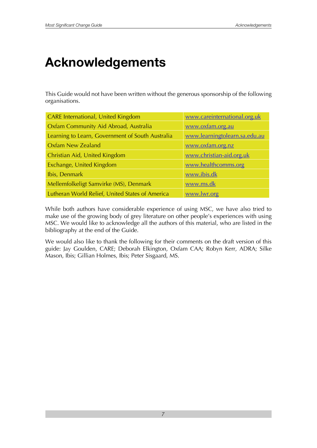# **Acknowledgements**

This Guide would not have been written without the generous sponsorship of the following organisations.

| <b>CARE International, United Kingdom</b>        | www.careinternational.org.uk  |
|--------------------------------------------------|-------------------------------|
| Oxfam Community Aid Abroad, Australia            | www.oxfam.org.au              |
| Learning to Learn, Government of South Australia | www.learningtolearn.sa.edu.au |
| <b>Oxfam New Zealand</b>                         | www.oxfam.org.nz              |
| Christian Aid, United Kingdom                    | www.christian-aid.org.uk      |
| Exchange, United Kingdom                         | www.healthcomms.org           |
| Ibis, Denmark                                    | www.ibis.dk                   |
| Mellemfolkeligt Samvirke (MS), Denmark           | www.ms.dk                     |
| Lutheran World Relief, United States of America  | www.lwr.org                   |

While both authors have considerable experience of using MSC, we have also tried to make use of the growing body of grey literature on other people's experiences with using MSC. We would like to acknowledge all the authors of this material, who are listed in the bibliography at the end of the Guide.

We would also like to thank the following for their comments on the draft version of this guide: Jay Goulden, CARE; Deborah Elkington, Oxfam CAA; Robyn Kerr, ADRA; Silke Mason, Ibis; Gillian Holmes, Ibis; Peter Sisgaard, MS.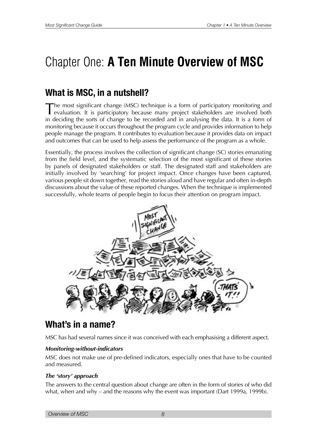# <span id="page-7-0"></span>Chapter One: **A Ten Minute Overview of MSC**

# **What is MSC, in a nutshell?**

The most significant change (MSC) technique is a form of participatory monitoring and evaluation. It is participatory because many project stakeholders are involved both in deciding the sorts of change to be recorded and in analysing the data. It is a form of monitoring because it occurs throughout the program cycle and provides information to help people manage the program. It contributes to evaluation because it provides data on impact and outcomes that can be used to help assess the performance of the program as a whole.

Essentially, the process involves the collection of significant change (SC) stories emanating from the field level, and the systematic selection of the most significant of these stories by panels of designated stakeholders or staff. The designated staff and stakeholders are initially involved by 'searching' for project impact. Once changes have been captured, various people sit down together, read the stories aloud and have regular and often in-depth discussions about the value of these reported changes. When the technique is implemented successfully, whole teams of people begin to focus their attention on program impact.



### **What's in a name?**

MSC has had several names since it was conceived with each emphasising a different aspect.

#### *Monitoring-without-indicators*

MSC does not make use of pre-defined indicators, especially ones that have to be counted and measured.

#### *The 'story' approach*

The answers to the central question about change are often in the form of stories of who did what, when and why – and the reasons why the event was important (Dart 1999a, 1999b).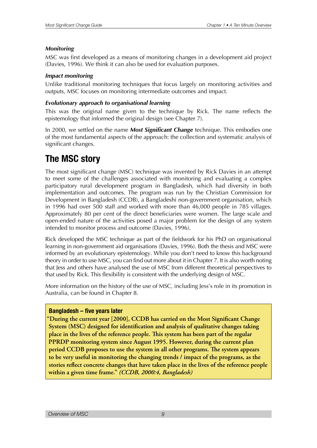#### <span id="page-8-0"></span>*Monitoring*

MSC was first developed as a means of monitoring changes in a development aid project (Davies, 1996). We think it can also be used for evaluation purposes.

#### *Impact monitoring*

Unlike traditional monitoring techniques that focus largely on monitoring activities and outputs, MSC focuses on monitoring intermediate outcomes and impact.

#### *Evolutionary approach to organisational learning*

This was the original name given to the technique by Rick. The name reflects the epistemology that informed the original design (see Chapter 7).

In 2000, we settled on the name *Most Significant Change* technique. This embodies one of the most fundamental aspects of the approach: the collection and systematic analysis of significant changes.

## **The MSC story**

The most significant change (MSC) technique was invented by Rick Davies in an attempt to meet some of the challenges associated with monitoring and evaluating a complex participatory rural development program in Bangladesh, which had diversity in both implementation and outcomes. The program was run by the Christian Commission for Development in Bangladesh (CCDB), a Bangladeshi non-government organisation, which in 1996 had over 500 staff and worked with more than 46,000 people in 785 villages. Approximately 80 per cent of the direct beneficiaries were women. The large scale and open-ended nature of the activities posed a major problem for the design of any system intended to monitor process and outcome (Davies, 1996).

Rick developed the MSC technique as part of the fieldwork for his PhD on organisational learning in non-government aid organisations (Davies, 1996). Both the thesis and MSC were informed by an evolutionary epistemology. While you don't need to know this background theory in order to use MSC, you can find out more about it in Chapter 7. It is also worth noting that Jess and others have analysed the use of MSC from different theoretical perspectives to that used by Rick. This flexibility is consistent with the underlying design of MSC.

More information on the history of the use of MSC, including Jess's role in its promotion in Australia, can be found in Chapter 8.

#### **Bangladesh – five years later**

"During the current year [2000], CCDB has carried on the Most Significant Change **System (MSC) designed for identification and analysis of qualitative changes taking** place in the lives of the reference people. This system has been part of the regular **PPRDP** monitoring system since August 1995. However, during the current plan period CCDB proposes to use the system in all other programs. The system appears to be very useful in monitoring the changing trends / impact of the programs, as the stories reflect concrete changes that have taken place in the lives of the reference people within a given time frame." (CCDB, 2000:4, Bangladesh)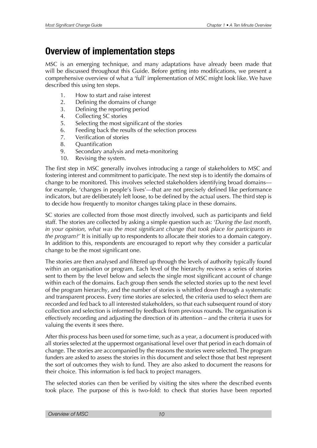# <span id="page-9-0"></span>**Overview of implementation steps**

MSC is an emerging technique, and many adaptations have already been made that will be discussed throughout this Guide. Before getting into modifications, we present a comprehensive overview of what a 'full' implementation of MSC might look like. We have described this using ten steps.

- 1. How to start and raise interest
- 2. Defining the domains of change
- 3. Defining the reporting period
- 4. Collecting SC stories
- 5. Selecting the most significant of the stories
- 6. Feeding back the results of the selection process
- 7. Verification of stories
- 8. Quantification
- 9. Secondary analysis and meta-monitoring
- 10. Revising the system.

The first step in MSC generally involves introducing a range of stakeholders to MSC and fostering interest and commitment to participate. The next step is to identify the domains of change to be monitored. This involves selected stakeholders identifying broad domains for example, 'changes in people's lives'—that are not precisely defined like performance indicators, but are deliberately left loose, to be defined by the actual users. The third step is to decide how frequently to monitor changes taking place in these domains.

SC stories are collected from those most directly involved, such as participants and field staff. The stories are collected by asking a simple question such as: *'During the last month, in your opinion, what was the most significant change that took place for participants in the program?'* It is initially up to respondents to allocate their stories to a domain category. In addition to this, respondents are encouraged to report why they consider a particular change to be the most significant one.

The stories are then analysed and filtered up through the levels of authority typically found within an organisation or program. Each level of the hierarchy reviews a series of stories sent to them by the level below and selects the single most significant account of change within each of the domains. Each group then sends the selected stories up to the next level of the program hierarchy, and the number of stories is whittled down through a systematic and transparent process. Every time stories are selected, the criteria used to select them are recorded and fed back to all interested stakeholders, so that each subsequent round of story collection and selection is informed by feedback from previous rounds. The organisation is effectively recording and adjusting the direction of its attention – and the criteria it uses for valuing the events it sees there.

After this process has been used for some time, such as a year, a document is produced with all stories selected at the uppermost organisational level over that period in each domain of change. The stories are accompanied by the reasons the stories were selected. The program funders are asked to assess the stories in this document and select those that best represent the sort of outcomes they wish to fund. They are also asked to document the reasons for their choice. This information is fed back to project managers.

The selected stories can then be verified by visiting the sites where the described events took place. The purpose of this is two-fold: to check that stories have been reported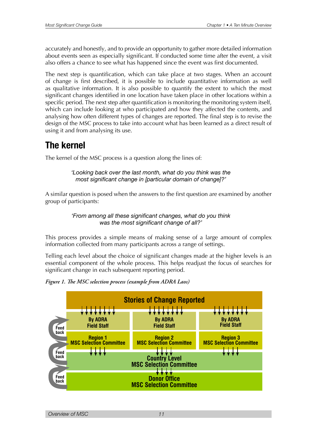<span id="page-10-0"></span>accurately and honestly, and to provide an opportunity to gather more detailed information about events seen as especially significant. If conducted some time after the event, a visit also offers a chance to see what has happened since the event was first documented.

The next step is quantification, which can take place at two stages. When an account of change is first described, it is possible to include quantitative information as well as qualitative information. It is also possible to quantify the extent to which the most significant changes identified in one location have taken place in other locations within a specific period. The next step after quantification is monitoring the monitoring system itself, which can include looking at who participated and how they affected the contents, and analysing how often different types of changes are reported. The final step is to revise the design of the MSC process to take into account what has been learned as a direct result of using it and from analysing its use.

# **The kernel**

The kernel of the MSC process is a question along the lines of:

*'Looking back over the last month, what do you think was the most signifcant change in [particular domain of change]?'*

A similar question is posed when the answers to the first question are examined by another group of participants:

> *'From among all these signifcant changes, what do you think was the most signifcant change of all?'*

This process provides a simple means of making sense of a large amount of complex information collected from many participants across a range of settings.

Telling each level about the choice of significant changes made at the higher levels is an essential component of the whole process. This helps readjust the focus of searches for significant change in each subsequent reporting period.



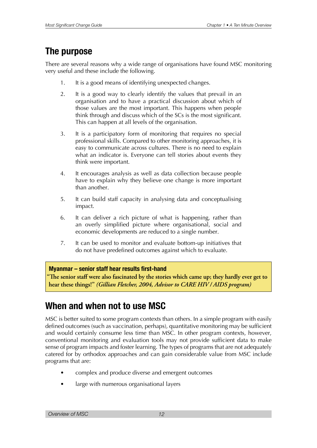# <span id="page-11-0"></span>**The purpose**

There are several reasons why a wide range of organisations have found MSC monitoring very useful and these include the following.

- 1. It is a good means of identifying unexpected changes.
- 2. It is a good way to clearly identify the values that prevail in an organisation and to have a practical discussion about which of those values are the most important. This happens when people think through and discuss which of the SCs is the most significant. This can happen at all levels of the organisation.
- 3. It is a participatory form of monitoring that requires no special professional skills. Compared to other monitoring approaches, it is easy to communicate across cultures. There is no need to explain what an indicator is. Everyone can tell stories about events they think were important.
- 4. It encourages analysis as well as data collection because people have to explain why they believe one change is more important than another.
- 5. It can build staff capacity in analysing data and conceptualising impact.
- 6. It can deliver a rich picture of what is happening, rather than an overly simplified picture where organisational, social and economic developments are reduced to a single number.
- 7. It can be used to monitor and evaluate bottom-up initiatives that do not have predefined outcomes against which to evaluate.

#### **Myanmar – senior staff hear results frst-hand**

The senior staff were also fascinated by the stories which came up; they hardly ever get to hear these things!" *(Gillian Fletcher, 2004, Advisor to CARE HIV / AIDS program)* 

# **When and when not to use MSC**

MSC is better suited to some program contexts than others. In a simple program with easily defined outcomes (such as vaccination, perhaps), quantitative monitoring may be sufficient and would certainly consume less time than MSC. In other program contexts, however, conventional monitoring and evaluation tools may not provide sufficient data to make sense of program impacts and foster learning. The types of programs that are not adequately catered for by orthodox approaches and can gain considerable value from MSC include programs that are:

- complex and produce diverse and emergent outcomes
- large with numerous organisational layers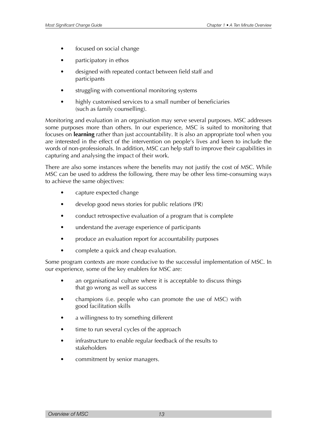- focused on social change
- participatory in ethos
- designed with repeated contact between field staff and participants
- struggling with conventional monitoring systems
- highly customised services to a small number of beneficiaries (such as family counselling).

Monitoring and evaluation in an organisation may serve several purposes. MSC addresses some purposes more than others. In our experience, MSC is suited to monitoring that focuses on **learning** rather than just accountability. It is also an appropriate tool when you are interested in the effect of the intervention on people's lives and keen to include the words of non-professionals. In addition, MSC can help staff to improve their capabilities in capturing and analysing the impact of their work.

There are also some instances where the benefits may not justify the cost of MSC. While MSC can be used to address the following, there may be other less time-consuming ways to achieve the same objectives:

- capture expected change
- develop good news stories for public relations (PR)
- conduct retrospective evaluation of a program that is complete
- understand the average experience of participants
- produce an evaluation report for accountability purposes
- complete a quick and cheap evaluation.

Some program contexts are more conducive to the successful implementation of MSC. In our experience, some of the key enablers for MSC are:

- an organisational culture where it is acceptable to discuss things that go wrong as well as success
- champions (i.e. people who can promote the use of MSC) with good facilitation skills
- a willingness to try something different
- time to run several cycles of the approach
- infrastructure to enable regular feedback of the results to stakeholders
- commitment by senior managers.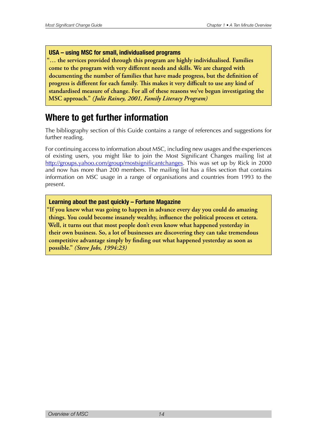#### <span id="page-13-0"></span>**USA – using MSC for small, individualised programs**

"... the services provided through this program are highly individualised. Families come to the program with very different needs and skills. We are charged with documenting the number of families that have made progress, but the definition of progress is different for each family. This makes it very difficult to use any kind of **EXABRIGHT STARBED EXAMPLE STARBED STARBED IS STARBED STARBED IN STARBED STARBED STARBED STARBED STARBED STARBED MSC** approach." (Julie Rainey, 2001, Family Literacy Program)

### **Where to get further information**

The bibliography section of this Guide contains a range of references and suggestions for further reading.

For continuing access to information about MSC, including new usages and the experiences of existing users, you might like to join the Most Significant Changes mailing list at [http://groups.yahoo.com/group/mostsignificantchanges.](http://groups.yahoo.com/group/mostsignificantchanges) This was set up by Rick in 2000 and now has more than 200 members. The mailing list has a files section that contains information on MSC usage in a range of organisations and countries from 1993 to the present.

#### **Learning about the past quickly – Fortune Magazine**

"If you knew what was going to happen in advance every day you could do amazing things. You could become insanely wealthy, influence the political process et cetera. Well, it turns out that most people don't even know what happened yesterday in their own business. So, a lot of businesses are discovering they can take tremendous competitive advantage simply by finding out what happened yesterday as soon as possible." *(Steve Jobs, 1994:23)*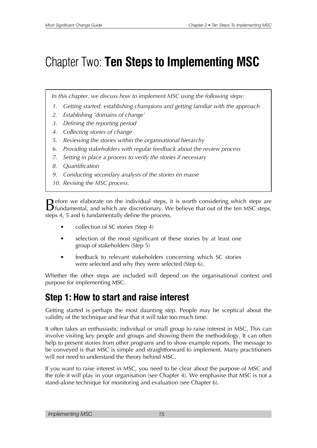# <span id="page-14-0"></span>Chapter Two: **Ten Steps to Implementing MSC**

*In this chapter, we discuss how to implement MSC using the following steps:*

- *1. Getting started: establishing champions and getting familiar with the approach*
- *2. Establishing 'domains of change'*
- *3. Defining the reporting period*
- *4. Collecting stories of change*
- *5. Reviewing the stories within the organisational hierarchy*
- *6. Providing stakeholders with regular feedback about the review process*
- *7. Setting in place a process to verify the stories if necessary*
- *8. Quantification*
- *9. Conducting secondary analysis of the stories en masse*
- *10. Revising the MSC process.*

Before we elaborate on the individual steps, it is worth considering which steps are fundamental, and which are discretionary. We believe that out of the ten MSC steps, steps 4, 5 and 6 fundamentally define the process.

- collection of SC stories (Step 4)
- selection of the most significant of these stories by at least one group of stakeholders (Step 5)
- feedback to relevant stakeholders concerning which SC stories were selected and why they were selected (Step 6).

Whether the other steps are included will depend on the organisational context and purpose for implementing MSC.

# **Step 1: How to start and raise interest**

Getting started is perhaps the most daunting step. People may be sceptical about the validity of the technique and fear that it will take too much time.

It often takes an enthusiastic individual or small group to raise interest in MSC. This can involve visiting key people and groups and showing them the methodology. It can often help to present stories from other programs and to show example reports. The message to be conveyed is that MSC is simple and straightforward to implement. Many practitioners will not need to understand the theory behind MSC.

If you want to raise interest in MSC, you need to be clear about the purpose of MSC and the role it will play in your organisation (see Chapter 4). We emphasise that MSC is not a stand-alone technique for monitoring and evaluation (see Chapter 6).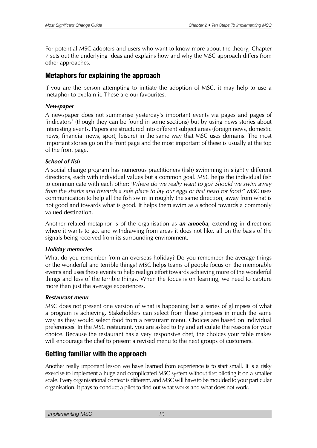For potential MSC adopters and users who want to know more about the theory, Chapter 7 sets out the underlying ideas and explains how and why the MSC approach differs from other approaches.

#### **Metaphors for explaining the approach**

If you are the person attempting to initiate the adoption of MSC, it may help to use a metaphor to explain it. These are our favourites.

#### *Newspaper*

A newspaper does not summarise yesterday's important events via pages and pages of 'indicators' (though they can be found in some sections) but by using news stories about interesting events. Papers are structured into different subject areas (foreign news, domestic news, financial news, sport, leisure) in the same way that MSC uses domains. The most important stories go on the front page and the most important of these is usually at the top of the front page.

#### *School of fish*

A social change program has numerous practitioners (fish) swimming in slightly different directions, each with individual values but a common goal. MSC helps the individual fish to communicate with each other: '*Where do we really want to go? Should we swim away from the sharks and towards a safe place to lay our eggs or first head for food?*' MSC uses communication to help all the fish swim in roughly the same direction, away from what is not good and towards what is good. It helps them swim as a school towards a commonly valued destination.

Another related metaphor is of the organisation as *an amoeba*, extending in directions where it wants to go, and withdrawing from areas it does not like, all on the basis of the signals being received from its surrounding environment.

#### *Holiday memories*

What do you remember from an overseas holiday? Do you remember the average things or the wonderful and terrible things? MSC helps teams of people focus on the memorable events and uses these events to help realign effort towards achieving more of the wonderful things and less of the terrible things. When the focus is on learning, we need to capture more than just the average experiences.

#### *Restaurant menu*

MSC does not present one version of what is happening but a series of glimpses of what a program is achieving. Stakeholders can select from these glimpses in much the same way as they would select food from a restaurant menu. Choices are based on individual preferences. In the MSC restaurant, you are asked to try and articulate the reasons for your choice. Because the restaurant has a very responsive chef, the choices your table makes will encourage the chef to present a revised menu to the next groups of customers.

#### **Getting familiar with the approach**

Another really important lesson we have learned from experience is to start small. It is a risky exercise to implement a huge and complicated MSC system without first piloting it on a smaller scale. Every organisational context is different, and MSC will have to be moulded to your particular organisation. It pays to conduct a pilot to find out what works and what does not work.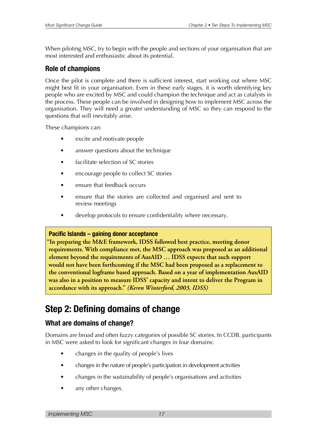<span id="page-16-0"></span>When piloting MSC, try to begin with the people and sections of your organisation that are most interested and enthusiastic about its potential.

#### **Role of champions**

Once the pilot is complete and there is sufficient interest, start working out where MSC might best fit in your organisation. Even in these early stages, it is worth identifying key people who are excited by MSC and could champion the technique and act as catalysts in the process. These people can be involved in designing how to implement MSC across the organisation. They will need a greater understanding of MSC so they can respond to the questions that will inevitably arise.

These champions can:

- excite and motivate people
- answer questions about the technique
- facilitate selection of SC stories
- encourage people to collect SC stories
- ensure that feedback occurs
- ensure that the stories are collected and organised and sent to review meetings
- develop protocols to ensure confidentiality where necessary.

#### **Pacifc Islands – gaining donor acceptance**

"In preparing the M&E framework, IDSS followed best practice, meeting donor requirements. With compliance met, the MSC approach was proposed as an additional **Example 1** algebrary beyond the requirements of AusAID ... IDSS expects that such support would not have been forthcoming if the MSC had been proposed as a replacement to the conventional logframe based approach. Based on a year of implementation AusAID was also in a position to measure IDSS' capacity and intent to deliver the Program in accordance with its approach." (Keren Winterford, 2003, IDSS)

# **Step 2: Defning domains of change**

#### **What are domains of change?**

Domains are broad and often fuzzy categories of possible SC stories. In CCDB, participants in MSC were asked to look for significant changes in four domains:

- changes in the quality of people's lives
- changes in the nature of people's participation in development activities
- changes in the sustainability of people's organisations and activities
- any other changes.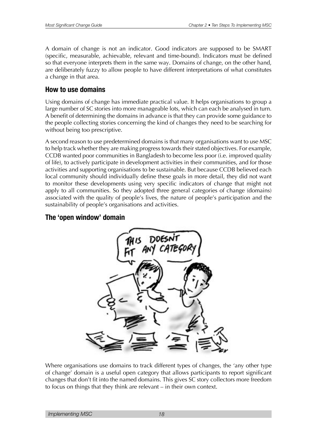A domain of change is not an indicator. Good indicators are supposed to be SMART (specific, measurable, achievable, relevant and time-bound). Indicators must be defined so that everyone interprets them in the same way. Domains of change, on the other hand, are deliberately fuzzy to allow people to have different interpretations of what constitutes a change in that area.

#### **How to use domains**

Using domains of change has immediate practical value. It helps organisations to group a large number of SC stories into more manageable lots, which can each be analysed in turn. A benefit of determining the domains in advance is that they can provide some guidance to the people collecting stories concerning the kind of changes they need to be searching for without being too prescriptive.

A second reason to use predetermined domains is that many organisations want to use MSC to help track whether they are making progress towards their stated objectives. For example, CCDB wanted poor communities in Bangladesh to become less poor (i.e. improved quality of life), to actively participate in development activities in their communities, and for those activities and supporting organisations to be sustainable. But because CCDB believed each local community should individually define these goals in more detail, they did not want to monitor these developments using very specific indicators of change that might not apply to all communities. So they adopted three general categories of change (domains) associated with the quality of people's lives, the nature of people's participation and the sustainability of people's organisations and activities.

#### **The 'open window' domain**



Where organisations use domains to track different types of changes, the 'any other type of change' domain is a useful open category that allows participants to report significant changes that don't fit into the named domains. This gives SC story collectors more freedom to focus on things that they think are relevant – in their own context.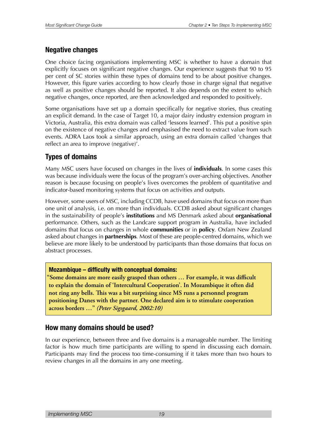#### **Negative changes**

One choice facing organisations implementing MSC is whether to have a domain that explicitly focuses on significant negative changes. Our experience suggests that 90 to 95 per cent of SC stories within these types of domains tend to be about positive changes. However, this figure varies according to how clearly those in charge signal that negative as well as positive changes should be reported. It also depends on the extent to which negative changes, once reported, are then acknowledged and responded to positively.

Some organisations have set up a domain specifically for negative stories, thus creating an explicit demand. In the case of Target 10, a major dairy industry extension program in Victoria, Australia, this extra domain was called 'lessons learned'. This put a positive spin on the existence of negative changes and emphasised the need to extract value from such events. ADRA Laos took a similar approach, using an extra domain called 'changes that reflect an area to improve (negative)'.

#### **Types of domains**

Many MSC users have focused on changes in the lives of **individuals**. In some cases this was because individuals were the focus of the program's over-arching objectives. Another reason is because focusing on people's lives overcomes the problem of quantitative and indicator-based monitoring systems that focus on activities and outputs.

However, some users of MSC, including CCDB, have used domains that focus on more than one unit of analysis, i.e. on more than individuals. CCDB asked about significant changes in the sustainability of people's **institutions** and MS Denmark asked about **organisational** performance. Others, such as the Landcare support program in Australia, have included domains that focus on changes in whole **communities** or in **policy***.* Oxfam New Zealand asked about changes in **partnerships***.* Most of these are people-centred domains, which we believe are more likely to be understood by participants than those domains that focus on abstract processes.

#### **Mozambique – difficulty with conceptual domains:**

"Some domains are more easily grasped than others ... For example, it was difficult to explain the domain of 'Intercultural Cooperation'. In Mozambique it often did not ring any bells. This was a bit surprising since MS runs a personnel program positioning Danes with the partner. One declared aim is to stimulate cooperation across borders ..." (Peter Sigsgaard, 2002:10)

#### **How many domains should be used?**

In our experience, between three and five domains is a manageable number. The limiting factor is how much time participants are willing to spend in discussing each domain. Participants may find the process too time-consuming if it takes more than two hours to review changes in all the domains in any one meeting.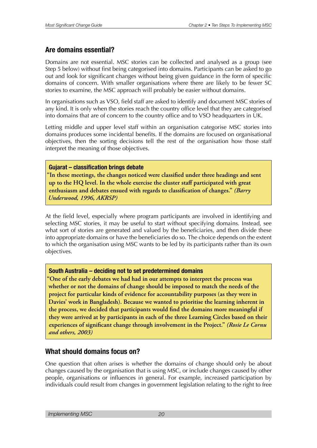#### **Are domains essential?**

Domains are not essential. MSC stories can be collected and analysed as a group (see Step 5 below) without first being categorised into domains. Participants can be asked to go out and look for significant changes without being given guidance in the form of specific domains of concern. With smaller organisations where there are likely to be fewer SC stories to examine, the MSC approach will probably be easier without domains.

In organisations such as VSO, field staff are asked to identify and document MSC stories of any kind. It is only when the stories reach the country office level that they are categorised into domains that are of concern to the country office and to VSO headquarters in UK.

Letting middle and upper level staff within an organisation categorise MSC stories into domains produces some incidental benefits. If the domains are focused on organisational objectives, then the sorting decisions tell the rest of the organisation how those staff interpret the meaning of those objectives.

#### **Gujarat – classifcation brings debate**

"In these meetings, the changes noticed were classified under three headings and sent up to the HQ level. In the whole exercise the cluster staff participated with great **Example 1** and debates ensued with regards to classification of changes." (Barry Underwood, 1996, AKRSP)

At the field level, especially where program participants are involved in identifying and selecting MSC stories, it may be useful to start without specifying domains. Instead, see what sort of stories are generated and valued by the beneficiaries, and then divide these into appropriate domains or have the beneficiaries do so. The choice depends on the extent to which the organisation using MSC wants to be led by its participants rather than its own objectives.

#### **South Australia – deciding not to set predetermined domains**

<u>One of the early debates we had had in our attempts to interpret the process was</u> whether or not the domains of change should be imposed to match the needs of the project for particular kinds of evidence for accountability purposes (as they were in Davies' work in Bangladesh). Because we wanted to prioritise the learning inherent in the process, we decided that participants would find the domains more meaningful if they were arrived at by participants in each of the three Learning Circles based on their **EXPETIERCES** of significant change through involvement in the Project." (Rosie Le Cornu *and others, 2003)* 

#### **What should domains focus on?**

One question that often arises is whether the domains of change should only be about changes caused by the organisation that is using MSC, or include changes caused by other people, organisations or influences in general. For example, increased participation by individuals could result from changes in government legislation relating to the right to free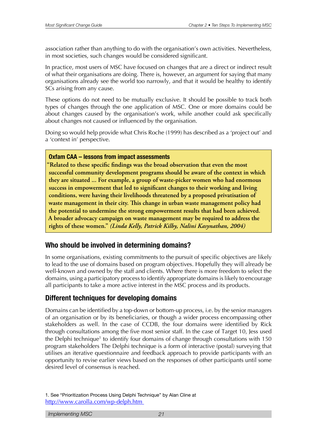association rather than anything to do with the organisation's own activities. Nevertheless, in most societies, such changes would be considered significant.

In practice, most users of MSC have focused on changes that are a direct or indirect result of what their organisations are doing. There is, however, an argument for saying that many organisations already see the world too narrowly, and that it would be healthy to identify SCs arising from any cause.

These options do not need to be mutually exclusive. It should be possible to track both types of changes through the one application of MSC. One or more domains could be about changes caused by the organisation's work, while another could ask specifically about changes not caused or influenced by the organisation.

Doing so would help provide what Chris Roche (1999) has described as a 'project out' and a 'context in' perspective.

#### **Oxfam CAA – lessons from impact assessments**

"Related to these specific findings was the broad observation that even the most successful community development programs should be aware of the context in which they are situated ... For example, a group of waste-picker women who had enormous success in empowerment that led to significant changes to their working and living conditions, were having their livelihoods threatened by a proposed privatisation of waste management in their city. This change in urban waste management policy had the potential to undermine the strong empowerment results that had been achieved. A broader advocacy campaign on waste management may be required to address the rights of these women." *(Linda Kelly, Patrick Kilby, Nalini Kasynathan, 2004)* 

#### **Who should be involved in determining domains?**

In some organisations, existing commitments to the pursuit of specific objectives are likely to lead to the use of domains based on program objectives. Hopefully they will already be well-known and owned by the staff and clients. Where there is more freedom to select the domains, using a participatory process to identify appropriate domains is likely to encourage all participants to take a more active interest in the MSC process and its products.

#### **Different techniques for developing domains**

Domains can be identified by a top-down or bottom-up process, i.e. by the senior managers of an organisation or by its beneficiaries, or though a wider process encompassing other stakeholders as well. In the case of CCDB, the four domains were identified by Rick through consultations among the five most senior staff. In the case of Target 10, Jess used the Delphi technique<sup>1</sup> to identify four domains of change through consultations with 150 program stakeholders The Delphi technique is a form of interactive (postal) surveying that utilises an iterative questionnaire and feedback approach to provide participants with an opportunity to revise earlier views based on the responses of other participants until some desired level of consensus is reached.

<sup>1.</sup> See "Prioritization Process Using Delphi Technique" by Alan Cline at <http://www.carolla.com/wp-delph.htm>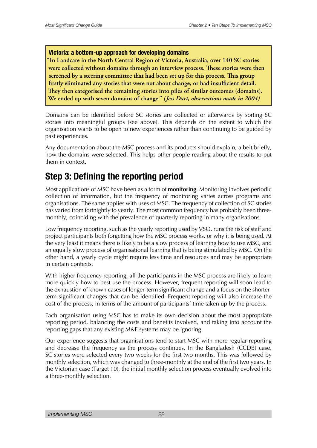#### <span id="page-21-0"></span>**Victoria: a bottom-up approach for developing domains**

"In Landcare in the North Central Region of Victoria, Australia, over 140 SC stories were collected without domains through an interview process. These stories were then **Screened** by a steering committee that had been set up for this process. This group firstly eliminated any stories that were not about change, or had insufficient detail. They then categorised the remaining stories into piles of similar outcomes (domains). We ended up with seven domains of change." (Jess Dart, observations made in 2004)

Domains can be identified before SC stories are collected or afterwards by sorting SC stories into meaningful groups (see above). This depends on the extent to which the organisation wants to be open to new experiences rather than continuing to be guided by past experiences.

Any documentation about the MSC process and its products should explain, albeit briefly, how the domains were selected. This helps other people reading about the results to put them in context.

# **Step 3: Defning the reporting period**

Most applications of MSC have been as a form of **monitoring**. Monitoring involves periodic collection of information, but the frequency of monitoring varies across programs and organisations. The same applies with uses of MSC. The frequency of collection of SC stories has varied from fortnightly to yearly. The most common frequency has probably been threemonthly, coinciding with the prevalence of quarterly reporting in many organisations.

Low frequency reporting, such as the yearly reporting used by VSO, runs the risk of staff and project participants both forgetting how the MSC process works, or why it is being used. At the very least it means there is likely to be a slow process of learning how to use MSC, and an equally slow process of organisational learning that is being stimulated by MSC. On the other hand, a yearly cycle might require less time and resources and may be appropriate in certain contexts.

With higher frequency reporting, all the participants in the MSC process are likely to learn more quickly how to best use the process. However, frequent reporting will soon lead to the exhaustion of known cases of longer-term significant change and a focus on the shorterterm significant changes that can be identified. Frequent reporting will also increase the cost of the process, in terms of the amount of participants' time taken up by the process.

Each organisation using MSC has to make its own decision about the most appropriate reporting period, balancing the costs and benefits involved, and taking into account the reporting gaps that any existing M&E systems may be ignoring.

Our experience suggests that organisations tend to start MSC with more regular reporting and decrease the frequency as the process continues. In the Bangladesh (CCDB) case, SC stories were selected every two weeks for the first two months. This was followed by monthly selection, which was changed to three-monthly at the end of the first two years. In the Victorian case (Target 10), the initial monthly selection process eventually evolved into a three-monthly selection.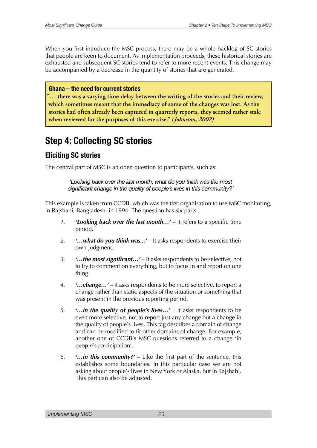<span id="page-22-0"></span>When you first introduce the MSC process, there may be a whole backlog of SC stories that people are keen to document. As implementation proceeds, these historical stories are exhausted and subsequent SC stories tend to refer to more recent events. This change may be accompanied by a decrease in the quantity of stories that are generated.

#### **Ghana – the need for current stories**

"... there was a varying time-delay between the writing of the stories and their review, which sometimes meant that the immediacy of some of the changes was lost. As the stories had often already been captured in quarterly reports, they seemed rather stale when reviewed for the purposes of this exercise." (Johnston, 2002)

# **Step 4: Collecting SC stories**

#### **Eliciting SC stories**

The central part of MSC is an open question to participants, such as:

*'Looking back over the last month, what do you think was the most signifcant change in the quality of people's lives in this community?'*

This example is taken from CCDB, which was the first organisation to use MSC monitoring, in Rajshahi, Bangladesh, in 1994. The question has six parts:

- *1. 'Looking back over the last month…'* It refers to a specific time period.
- *2. '…what do you think was...'* It asks respondents to exercise their own judgment.
- *3. '…the most significant…'* It asks respondents to be selective, not to try to comment on everything, but to focus in and report on one thing.
- *4. '…change…'* It asks respondents to be more selective, to report a change rather than static aspects of the situation or something that was present in the previous reporting period.
- *5. '…in the quality of people's lives…'* It asks respondents to be even more selective, not to report just any change but a change in the quality of people's lives. This tag describes a domain of change and can be modified to fit other domains of change. For example, another one of CCDB's MSC questions referred to a change 'in people's participation'.
- *6. '…in this community?'* Like the first part of the sentence, this establishes some boundaries. In this particular case we are not asking about people's lives in New York or Alaska, but in Rajshahi. This part can also be adjusted.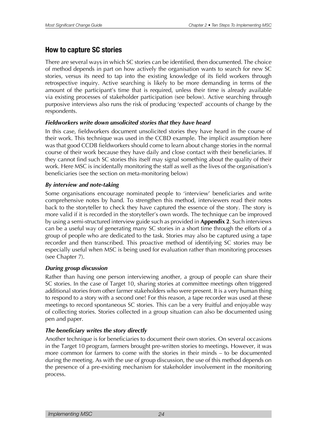#### **How to capture SC stories**

There are several ways in which SC stories can be identified, then documented. The choice of method depends in part on how actively the organisation wants to search for new SC stories, versus its need to tap into the existing knowledge of its field workers through retrospective inquiry. Active searching is likely to be more demanding in terms of the amount of the participant's time that is required, unless their time is already available via existing processes of stakeholder participation (see below). Active searching through purposive interviews also runs the risk of producing 'expected' accounts of change by the respondents.

#### *Fieldworkers write down unsolicited stories that they have heard*

In this case, fieldworkers document unsolicited stories they have heard in the course of their work. This technique was used in the CCBD example. The implicit assumption here was that good CCDB fieldworkers should come to learn about change stories in the normal course of their work because they have daily and close contact with their beneficiaries. If they cannot find such SC stories this itself may signal something about the quality of their work. Here MSC is incidentally monitoring the staff as well as the lives of the organisation's beneficiaries (see the section on meta-monitoring below)

#### *By interview and note-taking*

Some organisations encourage nominated people to 'interview' beneficiaries and write comprehensive notes by hand. To strengthen this method, interviewers read their notes back to the storyteller to check they have captured the essence of the story. The story is more valid if it is recorded in the storyteller's own words. The technique can be improved by using a semi-structured interview guide such as provided in **Appendix 2**. Such interviews can be a useful way of generating many SC stories in a short time through the efforts of a group of people who are dedicated to the task. Stories may also be captured using a tape recorder and then transcribed. This proactive method of identifying SC stories may be especially useful when MSC is being used for evaluation rather than monitoring processes (see Chapter 7).

#### *During group discussion*

Rather than having one person interviewing another, a group of people can share their SC stories. In the case of Target 10, sharing stories at committee meetings often triggered additional stories from other farmer stakeholders who were present. It is a very human thing to respond to a story with a second one! For this reason, a tape recorder was used at these meetings to record spontaneous SC stories. This can be a very fruitful and enjoyable way of collecting stories. Stories collected in a group situation can also be documented using pen and paper.

#### *The beneficiary writes the story directly*

Another technique is for beneficiaries to document their own stories. On several occasions in the Target 10 program, farmers brought pre-written stories to meetings. However, it was more common for farmers to come with the stories in their minds – to be documented during the meeting. As with the use of group discussion, the use of this method depends on the presence of a pre-existing mechanism for stakeholder involvement in the monitoring process.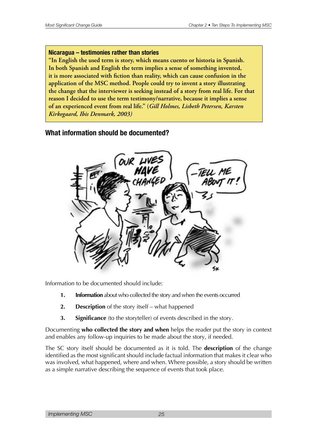#### **Nicaragua – testimonies rather than stories**

"In English the used term is story, which means cuento or historia in Spanish. In both Spanish and English the term implies a sense of something invented, it is more associated with fiction than reality, which can cause confusion in the application of the MSC method. People could try to invent a story illustrating the change that the interviewer is seeking instead of a story from real life. For that reason I decided to use the term testimony/narrative, because it implies a sense of an experienced event from real life." (Gill Holmes, Lisbeth Petersen, Karsten Kirkegaard, Ibis Denmark, 2003)

#### **What information should be documented?**



Information to be documented should include:

- **1. Information** about who collected the story and when the events occurred
- **2. Description** of the story itself what happened
- **3. Significance** (to the storyteller) of events described in the story.

Documenting **who collected the story and when** helps the reader put the story in context and enables any follow-up inquiries to be made about the story, if needed.

The SC story itself should be documented as it is told. The **description** of the change identified as the most significant should include factual information that makes it clear who was involved, what happened, where and when. Where possible, a story should be written as a simple narrative describing the sequence of events that took place.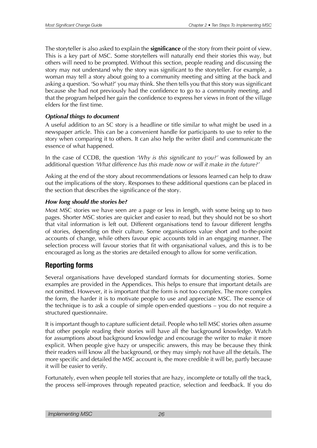The storyteller is also asked to explain the **significance** of the story from their point of view. This is a key part of MSC. Some storytellers will naturally end their stories this way, but others will need to be prompted. Without this section, people reading and discussing the story may not understand why the story was significant to the storyteller. For example, a woman may tell a story about going to a community meeting and sitting at the back and asking a question. 'So what?' you may think. She then tells you that this story was significant because she had not previously had the confidence to go to a community meeting, and that the program helped her gain the confidence to express her views in front of the village elders for the first time.

#### *Optional things to document*

A useful addition to an SC story is a headline or title similar to what might be used in a newspaper article. This can be a convenient handle for participants to use to refer to the story when comparing it to others. It can also help the writer distil and communicate the essence of what happened.

In the case of CCDB, the question *'Why is this significant to you?'* was followed by an additional question *'What difference has this made now or will it make in the future?'*

Asking at the end of the story about recommendations or lessons learned can help to draw out the implications of the story. Responses to these additional questions can be placed in the section that describes the significance of the story.

#### *How long should the stories be?*

Most MSC stories we have seen are a page or less in length, with some being up to two pages. Shorter MSC stories are quicker and easier to read, but they should not be so short that vital information is left out. Different organisations tend to favour different lengths of stories, depending on their culture. Some organisations value short and to-the-point accounts of change, while others favour epic accounts told in an engaging manner. The selection process will favour stories that fit with organisational values, and this is to be encouraged as long as the stories are detailed enough to allow for some verification.

#### **Reporting forms**

Several organisations have developed standard formats for documenting stories. Some examples are provided in the Appendices. This helps to ensure that important details are not omitted. However, it is important that the form is not too complex. The more complex the form, the harder it is to motivate people to use and appreciate MSC. The essence of the technique is to ask a couple of simple open-ended questions – you do not require a structured questionnaire.

It is important though to capture sufficient detail. People who tell MSC stories often assume that other people reading their stories will have all the background knowledge. Watch for assumptions about background knowledge and encourage the writer to make it more explicit. When people give hazy or unspecific answers, this may be because they think their readers will know all the background, or they may simply not have all the details. The more specific and detailed the MSC account is, the more credible it will be, partly because it will be easier to verify.

Fortunately, even when people tell stories that are hazy, incomplete or totally off the track, the process self-improves through repeated practice, selection and feedback. If you do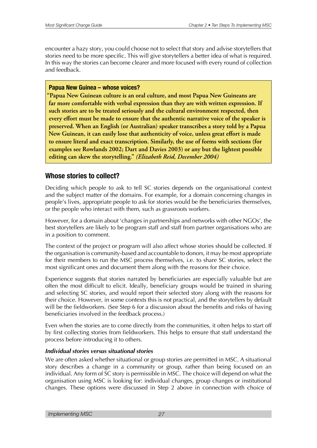encounter a hazy story, you could choose not to select that story and advise storytellers that stories need to be more specific. This will give storytellers a better idea of what is required. In this way the stories can become clearer and more focused with every round of collection and feedback.

#### **Papua New Guinea – whose voices?**

"Papua New Guinean culture is an oral culture, and most Papua New Guineans are far more comfortable with verbal expression than they are with written expression. If such stories are to be treated seriously and the cultural environment respected, then **EVETY** effort must be made to ensure that the authentic narrative voice of the speaker is preserved. When an English (or Australian) speaker transcribes a story told by a Papua New Guinean, it can easily lose that authenticity of voice, unless great effort is made to ensure literal and exact transcription. Similarly, the use of forms with sections (for examples see Rowlands 2002; Dart and Davies 2003) or any but the lightest possible editing can skew the storytelling." (Elizabeth Reid, December 2004)

#### **Whose stories to collect?**

Deciding which people to ask to tell SC stories depends on the organisational context and the subject matter of the domains. For example, for a domain concerning changes in people's lives, appropriate people to ask for stories would be the beneficiaries themselves, or the people who interact with them, such as grassroots workers.

However, for a domain about 'changes in partnerships and networks with other NGOs', the best storytellers are likely to be program staff and staff from partner organisations who are in a position to comment.

The context of the project or program will also affect whose stories should be collected. If the organisation is community-based and accountable to donors, it may be most appropriate for their members to run the MSC process themselves, i.e. to share SC stories, select the most significant ones and document them along with the reasons for their choice.

Experience suggests that stories narrated by beneficiaries are especially valuable but are often the most difficult to elicit. Ideally, beneficiary groups would be trained in sharing and selecting SC stories, and would report their selected story along with the reasons for their choice. However, in some contexts this is not practical, and the storytellers by default will be the fieldworkers. (See Step 6 for a discussion about the benefits and risks of having beneficiaries involved in the feedback process.)

Even when the stories are to come directly from the communities, it often helps to start off by first collecting stories from fieldworkers. This helps to ensure that staff understand the process before introducing it to others.

#### *Individual stories versus situational stories*

We are often asked whether situational or group stories are permitted in MSC. A situational story describes a change in a community or group, rather than being focused on an individual. Any form of SC story is permissible in MSC. The choice will depend on what the organisation using MSC is looking for: individual changes, group changes or institutional changes. These options were discussed in Step 2 above in connection with choice of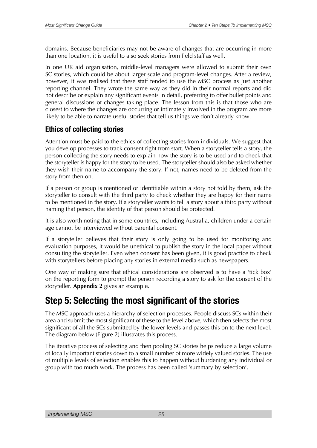<span id="page-27-0"></span>domains. Because beneficiaries may not be aware of changes that are occurring in more than one location, it is useful to also seek stories from field staff as well.

In one UK aid organisation, middle-level managers were allowed to submit their own SC stories, which could be about larger scale and program-level changes. After a review, however, it was realised that these staff tended to use the MSC process as just another reporting channel. They wrote the same way as they did in their normal reports and did not describe or explain any significant events in detail, preferring to offer bullet points and general discussions of changes taking place. The lesson from this is that those who are closest to where the changes are occurring or intimately involved in the program are more likely to be able to narrate useful stories that tell us things we don't already know.

#### **Ethics of collecting stories**

Attention must be paid to the ethics of collecting stories from individuals. We suggest that you develop processes to track consent right from start. When a storyteller tells a story, the person collecting the story needs to explain how the story is to be used and to check that the storyteller is happy for the story to be used. The storyteller should also be asked whether they wish their name to accompany the story. If not, names need to be deleted from the story from then on.

If a person or group is mentioned or identifiable within a story not told by them, ask the storyteller to consult with the third party to check whether they are happy for their name to be mentioned in the story. If a storyteller wants to tell a story about a third party without naming that person, the identity of that person should be protected.

It is also worth noting that in some countries, including Australia, children under a certain age cannot be interviewed without parental consent.

If a storyteller believes that their story is only going to be used for monitoring and evaluation purposes, it would be unethical to publish the story in the local paper without consulting the storyteller. Even when consent has been given, it is good practice to check with storytellers before placing any stories in external media such as newspapers.

One way of making sure that ethical considerations are observed is to have a 'tick box' on the reporting form to prompt the person recording a story to ask for the consent of the storyteller. **Appendix 2** gives an example.

## **Step 5: Selecting the most signifcant of the stories**

The MSC approach uses a hierarchy of selection processes. People discuss SCs within their area and submit the most significant of these to the level above, which then selects the most significant of all the SCs submitted by the lower levels and passes this on to the next level. The diagram below (Figure 2) illustrates this process.

The iterative process of selecting and then pooling SC stories helps reduce a large volume of locally important stories down to a small number of more widely valued stories. The use of multiple levels of selection enables this to happen without burdening any individual or group with too much work. The process has been called 'summary by selection'.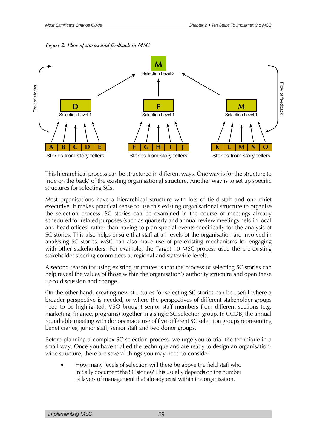



This hierarchical process can be structured in different ways. One way is for the structure to 'ride on the back' of the existing organisational structure. Another way is to set up specific structures for selecting SCs.

Most organisations have a hierarchical structure with lots of field staff and one chief executive. It makes practical sense to use this existing organisational structure to organise the selection process. SC stories can be examined in the course of meetings already scheduled for related purposes (such as quarterly and annual review meetings held in local and head offices) rather than having to plan special events specifically for the analysis of SC stories. This also helps ensure that staff at all levels of the organisation are involved in analysing SC stories. MSC can also make use of pre-existing mechanisms for engaging with other stakeholders. For example, the Target 10 MSC process used the pre-existing stakeholder steering committees at regional and statewide levels.

A second reason for using existing structures is that the process of selecting SC stories can help reveal the values of those within the organisation's authority structure and open these up to discussion and change.

On the other hand, creating new structures for selecting SC stories can be useful where a broader perspective is needed, or where the perspectives of different stakeholder groups need to be highlighted. VSO brought senior staff members from different sections (e.g. marketing, finance, programs) together in a single SC selection group. In CCDB, the annual roundtable meeting with donors made use of five different SC selection groups representing beneficiaries, junior staff, senior staff and two donor groups.

Before planning a complex SC selection process, we urge you to trial the technique in a small way. Once you have trialled the technique and are ready to design an organisationwide structure, there are several things you may need to consider.

• How many levels of selection will there be above the field staff who initially document the SC stories? This usually depends on the number of layers of management that already exist within the organisation.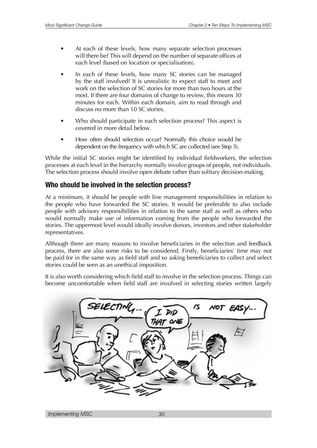- At each of these levels, how many separate selection processes will there be? This will depend on the number of separate offices at each level (based on location or specialisation).
- In each of these levels, how many SC stories can be managed by the staff involved? It is unrealistic to expect staff to meet and work on the selection of SC stories for more than two hours at the most. If there are four domains of change to review, this means 30 minutes for each. Within each domain, aim to read through and discuss no more than 10 SC stories.
- Who should participate in each selection process? This aspect is covered in more detail below.
- How often should selection occur? Normally this choice would be dependent on the frequency with which SC are collected (see Step 3).

While the initial SC stories might be identified by individual fieldworkers, the selection processes at each level in the hierarchy normally involve groups of people, not individuals. The selection process should involve open debate rather than solitary decision-making.

#### **Who should be involved in the selection process?**

At a minimum, it should be people with line management responsibilities in relation to the people who have forwarded the SC stories. It would be preferable to also include people with advisory responsibilities in relation to the same staff as well as others who would normally make use of information coming from the people who forwarded the stories. The uppermost level would ideally involve donors, investors and other stakeholder representatives.

Although there are many reasons to involve beneficiaries in the selection and feedback process, there are also some risks to be considered. Firstly, beneficiaries' time may not be paid for in the same way as field staff and so asking beneficiaries to collect and select stories could be seen as an unethical imposition.

It is also worth considering which field staff to involve in the selection process. Things can become uncomfortable when field staff are involved in selecting stories written largely

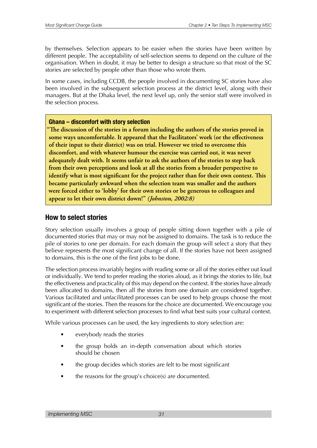by themselves. Selection appears to be easier when the stories have been written by different people. The acceptability of self-selection seems to depend on the culture of the organisation. When in doubt, it may be better to design a structure so that most of the SC stories are selected by people other than those who wrote them.

In some cases, including CCDB, the people involved in documenting SC stories have also been involved in the subsequent selection process at the district level, along with their managers. But at the Dhaka level, the next level up, only the senior staff were involved in the selection process.

#### **Ghana – discomfort with story selection**

"The discussion of the stories in a forum including the authors of the stories proved in some ways uncomfortable. It appeared that the Facilitators' work (or the effectiveness of their input to their district) was on trial. However we tried to overcome this discomfort, and with whatever humour the exercise was carried out, it was never adequately dealt with. It seems unfair to ask the authors of the stories to step back from their own perceptions and look at all the stories from a broader perspective to *<u>identify</u>* **what is most significant for the project rather than for their own context. This** became particularly awkward when the selection team was smaller and the authors were forced either to 'lobby' for their own stories or be generous to colleagues and appear to let their own district down!" *(Johnston, 2002:8)* 

#### **How to select stories**

Story selection usually involves a group of people sitting down together with a pile of documented stories that may or may not be assigned to domains. The task is to reduce the pile of stories to one per domain. For each domain the group will select a story that they believe represents the most significant change of all. If the stories have not been assigned to domains, this is the one of the first jobs to be done.

The selection process invariably begins with reading some or all of the stories either out loud or individually. We tend to prefer reading the stories aloud, as it brings the stories to life, but the effectiveness and practicality of this may depend on the context. If the stories have already been allocated to domains, then all the stories from one domain are considered together. Various facilitated and unfacilitated processes can be used to help groups choose the most significant of the stories. Then the reasons for the choice are documented. We encourage you to experiment with different selection processes to find what best suits your cultural context.

While various processes can be used, the key ingredients to story selection are:

- everybody reads the stories
- the group holds an in-depth conversation about which stories should be chosen
- the group decides which stories are felt to be most significant
- the reasons for the group's choice(s) are documented.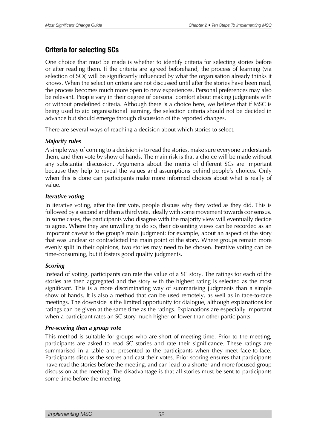#### **Criteria for selecting SCs**

One choice that must be made is whether to identify criteria for selecting stories before or after reading them. If the criteria are agreed beforehand, the process of learning (via selection of SCs) will be significantly influenced by what the organisation already thinks it knows. When the selection criteria are not discussed until after the stories have been read, the process becomes much more open to new experiences. Personal preferences may also be relevant. People vary in their degree of personal comfort about making judgments with or without predefined criteria. Although there is a choice here, we believe that if MSC is being used to aid organisational learning, the selection criteria should not be decided in advance but should emerge through discussion of the reported changes.

There are several ways of reaching a decision about which stories to select.

#### *Majority rules*

A simple way of coming to a decision is to read the stories, make sure everyone understands them, and then vote by show of hands. The main risk is that a choice will be made without any substantial discussion. Arguments about the merits of different SCs are important because they help to reveal the values and assumptions behind people's choices. Only when this is done can participants make more informed choices about what is really of value.

#### *Iterative voting*

In iterative voting, after the first vote, people discuss why they voted as they did. This is followed by a second and then a third vote, ideally with some movement towards consensus. In some cases, the participants who disagree with the majority view will eventually decide to agree. Where they are unwilling to do so, their dissenting views can be recorded as an important caveat to the group's main judgment: for example, about an aspect of the story that was unclear or contradicted the main point of the story. Where groups remain more evenly split in their opinions, two stories may need to be chosen. Iterative voting can be time-consuming, but it fosters good quality judgments.

#### *Scoring*

Instead of voting, participants can rate the value of a SC story. The ratings for each of the stories are then aggregated and the story with the highest rating is selected as the most significant. This is a more discriminating way of summarising judgments than a simple show of hands. It is also a method that can be used remotely, as well as in face-to-face meetings. The downside is the limited opportunity for dialogue, although explanations for ratings can be given at the same time as the ratings. Explanations are especially important when a participant rates an SC story much higher or lower than other participants.

#### *Pre-scoring then a group vote*

This method is suitable for groups who are short of meeting time. Prior to the meeting, participants are asked to read SC stories and rate their significance. These ratings are summarised in a table and presented to the participants when they meet face-to-face. Participants discuss the scores and cast their votes. Prior scoring ensures that participants have read the stories before the meeting, and can lead to a shorter and more focused group discussion at the meeting. The disadvantage is that all stories must be sent to participants some time before the meeting.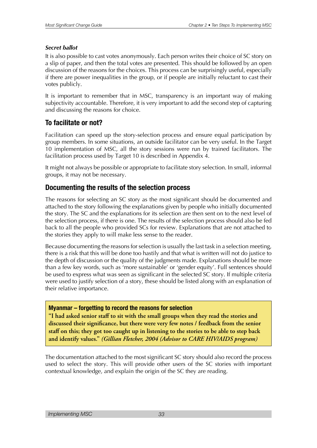#### *Secret ballot*

It is also possible to cast votes anonymously. Each person writes their choice of SC story on a slip of paper, and then the total votes are presented. This should be followed by an open discussion of the reasons for the choices. This process can be surprisingly useful, especially if there are power inequalities in the group, or if people are initially reluctant to cast their votes publicly.

It is important to remember that in MSC, transparency is an important way of making subjectivity accountable. Therefore, it is very important to add the second step of capturing and discussing the reasons for choice.

#### **To facilitate or not?**

Facilitation can speed up the story-selection process and ensure equal participation by group members. In some situations, an outside facilitator can be very useful. In the Target 10 implementation of MSC, all the story sessions were run by trained facilitators. The facilitation process used by Target 10 is described in Appendix 4.

It might not always be possible or appropriate to facilitate story selection. In small, informal groups, it may not be necessary.

#### **Documenting the results of the selection process**

The reasons for selecting an SC story as the most significant should be documented and attached to the story following the explanations given by people who initially documented the story. The SC and the explanations for its selection are then sent on to the next level of the selection process, if there is one. The results of the selection process should also be fed back to all the people who provided SCs for review. Explanations that are not attached to the stories they apply to will make less sense to the reader.

Because documenting the reasons for selection is usually the last task in a selection meeting, there is a risk that this will be done too hastily and that what is written will not do justice to the depth of discussion or the quality of the judgments made. Explanations should be more than a few key words, such as 'more sustainable' or 'gender equity'. Full sentences should be used to express what was seen as significant in the selected SC story. If multiple criteria were used to justify selection of a story, these should be listed along with an explanation of their relative importance.

#### **Myanmar – forgetting to record the reasons for selection**

"I had asked senior staff to sit with the small groups when they read the stories and discussed their significance, but there were very few notes / feedback from the senior staff on this; they got too caught up in listening to the stories to be able to step back and identify values." (Gillian Fletcher, 2004 (Advisor to CARE HIV/AIDS program)

The documentation attached to the most significant SC story should also record the process used to select the story. This will provide other users of the SC stories with important contextual knowledge, and explain the origin of the SC they are reading.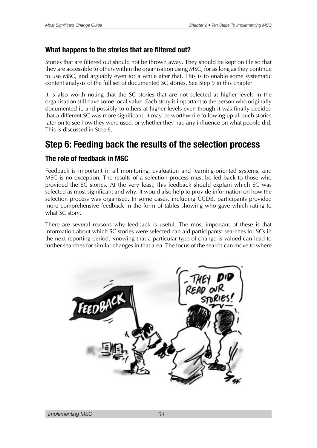#### <span id="page-33-0"></span>What happens to the stories that are filtered out?

Stories that are filtered out should not be thrown away. They should be kept on file so that they are accessible to others within the organisation using MSC, for as long as they continue to use MSC, and arguably even for a while after that. This is to enable some systematic content analysis of the full set of documented SC stories. See Step 9 in this chapter.

It is also worth noting that the SC stories that are not selected at higher levels in the organisation still have some local value. Each story is important to the person who originally documented it, and possibly to others at higher levels even though it was finally decided that a different SC was more significant. It may be worthwhile following up all such stories later on to see how they were used, or whether they had any influence on what people did. This is discussed in Step 6.

### **Step 6: Feeding back the results of the selection process**

#### **The role of feedback in MSC**

Feedback is important in all monitoring, evaluation and learning-oriented systems, and MSC is no exception. The results of a selection process must be fed back to those who provided the SC stories. At the very least, this feedback should explain which SC was selected as most significant and why. It would also help to provide information on how the selection process was organised. In some cases, including CCDB, participants provided more comprehensive feedback in the form of tables showing who gave which rating to what SC story.

There are several reasons why feedback is useful. The most important of these is that information about which SC stories were selected can aid participants' searches for SCs in the next reporting period. Knowing that a particular type of change is valued can lead to further searches for similar changes in that area. The focus of the search can move to where

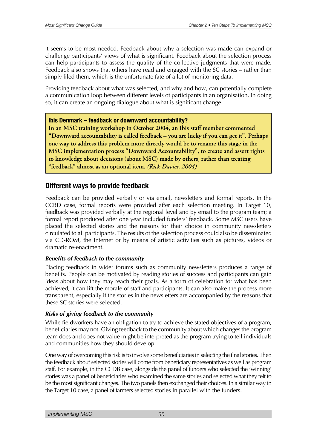it seems to be most needed. Feedback about why a selection was made can expand or challenge participants' views of what is significant. Feedback about the selection process can help participants to assess the quality of the collective judgments that were made. Feedback also shows that others have read and engaged with the SC stories – rather than simply filed them, which is the unfortunate fate of a lot of monitoring data.

Providing feedback about what was selected, and why and how, can potentially complete a communication loop between different levels of participants in an organisation. In doing so, it can create an ongoing dialogue about what is significant change.

#### **Ibis Denmark – feedback or downward accountability?**

In an MSC training workshop in October 2004, an Ibis staff member commented "Downward accountability is called feedback – you are lucky if you can get it". Perhaps one way to address this problem more directly would be to rename this stage in the MSC implementation process "Downward Accountability", to create and assert rights to knowledge about decisions (about MSC) made by others, rather than treating "feedback" almost as an optional item. (Rick Davies, 2004)

#### **Different ways to provide feedback**

Feedback can be provided verbally or via email, newsletters and formal reports. In the CCBD case, formal reports were provided after each selection meeting. In Target 10, feedback was provided verbally at the regional level and by email to the program team; a formal report produced after one year included funders' feedback. Some MSC users have placed the selected stories and the reasons for their choice in community newsletters circulated to all participants. The results of the selection process could also be disseminated via CD-ROM, the Internet or by means of artistic activities such as pictures, videos or dramatic re-enactment.

#### *Benefits of feedback to the community*

Placing feedback in wider forums such as community newsletters produces a range of benefits. People can be motivated by reading stories of success and participants can gain ideas about how they may reach their goals. As a form of celebration for what has been achieved, it can lift the morale of staff and participants. It can also make the process more transparent, especially if the stories in the newsletters are accompanied by the reasons that these SC stories were selected.

#### *Risks of giving feedback to the community*

While fieldworkers have an obligation to try to achieve the stated objectives of a program, beneficiaries may not. Giving feedback to the community about which changes the program team does and does not value might be interpreted as the program trying to tell individuals and communities how they should develop.

One way of overcoming this risk is to involve some beneficiaries in selecting the final stories. Then the feedback about selected stories will come from beneficiary representatives as well as program staff. For example, in the CCDB case, alongside the panel of funders who selected the 'winning' stories was a panel of beneficiaries who examined the same stories and selected what they felt to be the most significant changes. The two panels then exchanged their choices. In a similar way in the Target 10 case, a panel of farmers selected stories in parallel with the funders.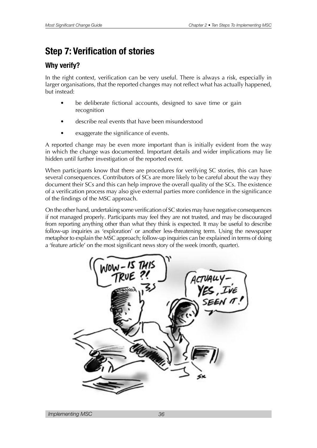# <span id="page-35-0"></span>**Step 7: Verification of stories**

#### **Why verify?**

In the right context, verification can be very useful. There is always a risk, especially in larger organisations, that the reported changes may not reflect what has actually happened, but instead:

- be deliberate fictional accounts, designed to save time or gain recognition
- describe real events that have been misunderstood
- exaggerate the significance of events.

A reported change may be even more important than is initially evident from the way in which the change was documented. Important details and wider implications may lie hidden until further investigation of the reported event.

When participants know that there are procedures for verifying SC stories, this can have several consequences. Contributors of SCs are more likely to be careful about the way they document their SCs and this can help improve the overall quality of the SCs. The existence of a verification process may also give external parties more confidence in the significance of the findings of the MSC approach.

On the other hand, undertaking some verification of SC stories may have negative consequences if not managed properly. Participants may feel they are not trusted, and may be discouraged from reporting anything other than what they think is expected. It may be useful to describe follow-up inquiries as 'exploration' or another less-threatening term. Using the newspaper metaphor to explain the MSC approach; follow-up inquiries can be explained in terms of doing a 'feature article' on the most significant news story of the week (month, quarter).

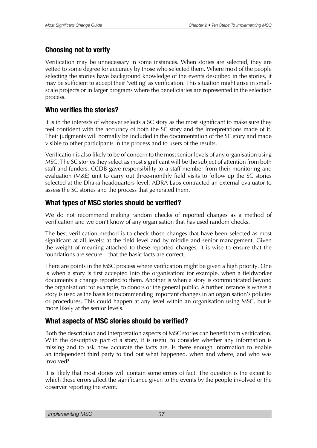### **Choosing not to verify**

Verification may be unnecessary in some instances. When stories are selected, they are vetted to some degree for accuracy by those who selected them. Where most of the people selecting the stories have background knowledge of the events described in the stories, it may be sufficient to accept their 'vetting' as verification. This situation might arise in smallscale projects or in larger programs where the beneficiaries are represented in the selection process.

### **Who verifes the stories?**

It is in the interests of whoever selects a SC story as the most significant to make sure they feel confident with the accuracy of both the SC story and the interpretations made of it. Their judgments will normally be included in the documentation of the SC story and made visible to other participants in the process and to users of the results.

Verification is also likely to be of concern to the most senior levels of any organisation using MSC. The SC stories they select as most significant will be the subject of attention from both staff and funders. CCDB gave responsibility to a staff member from their monitoring and evaluation (M&E) unit to carry out three-monthly field visits to follow up the SC stories selected at the Dhaka headquarters level. ADRA Laos contracted an external evaluator to assess the SC stories and the process that generated them.

### **What types of MSC stories should be verifed?**

We do not recommend making random checks of reported changes as a method of verification and we don't know of any organisation that has used random checks.

The best verification method is to check those changes that have been selected as most significant at all levels: at the field level and by middle and senior management. Given the weight of meaning attached to these reported changes, it is wise to ensure that the foundations are secure – that the basic facts are correct.

There are points in the MSC process where verification might be given a high priority. One is when a story is first accepted into the organisation: for example, when a fieldworker documents a change reported to them. Another is when a story is communicated beyond the organisation: for example, to donors or the general public. A further instance is where a story is used as the basis for recommending important changes in an organisation's policies or procedures. This could happen at any level within an organisation using MSC, but is more likely at the senior levels.

### **What aspects of MSC stories should be verifed?**

Both the description and interpretation aspects of MSC stories can benefit from verification. With the descriptive part of a story, it is useful to consider whether any information is missing and to ask how accurate the facts are. Is there enough information to enable an independent third party to find out what happened, when and where, and who was involved?

It is likely that most stories will contain some errors of fact. The question is the extent to which these errors affect the significance given to the events by the people involved or the observer reporting the event.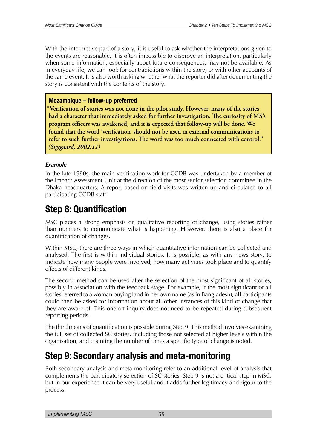With the interpretive part of a story, it is useful to ask whether the interpretations given to the events are reasonable. It is often impossible to disprove an interpretation, particularly when some information, especially about future consequences, may not be available. As in everyday life, we can look for contradictions within the story, or with other accounts of the same event. It is also worth asking whether what the reporter did after documenting the story is consistent with the contents of the story.

### **Mozambique – follow-up preferred**

<u>"Verification of stories was not done in the pilot study. However, many of the stories</u> had a character that immediately asked for further investigation. The curiosity of MS's program officers was awakened, and it is expected that follow-up will be done. We found that the word 'verification' should not be used in external communications to refer to such further investigations. The word was too much connected with control." *(Sigsgaard, 2002:11)* 

### *Example*

In the late 1990s, the main verification work for CCDB was undertaken by a member of the Impact Assessment Unit at the direction of the most senior selection committee in the Dhaka headquarters. A report based on field visits was written up and circulated to all participating CCDB staff.

### **Step 8: Quantification**

MSC places a strong emphasis on qualitative reporting of change, using stories rather than numbers to communicate what is happening. However, there is also a place for quantification of changes.

Within MSC, there are three ways in which quantitative information can be collected and analysed. The first is within individual stories. It is possible, as with any news story, to indicate how many people were involved, how many activities took place and to quantify effects of different kinds.

The second method can be used after the selection of the most significant of all stories, possibly in association with the feedback stage. For example, if the most significant of all stories referred to a woman buying land in her own name (as in Bangladesh), all participants could then be asked for information about all other instances of this kind of change that they are aware of. This one-off inquiry does not need to be repeated during subsequent reporting periods.

The third means of quantification is possible during Step 9. This method involves examining the full set of collected SC stories, including those not selected at higher levels within the organisation, and counting the number of times a specific type of change is noted.

### **Step 9: Secondary analysis and meta-monitoring**

Both secondary analysis and meta-monitoring refer to an additional level of analysis that complements the participatory selection of SC stories. Step 9 is not a critical step in MSC, but in our experience it can be very useful and it adds further legitimacy and rigour to the process.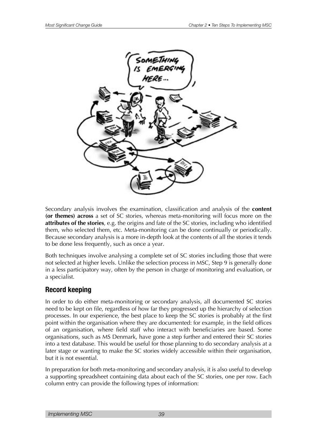

Secondary analysis involves the examination, classification and analysis of the **content (or themes) across** a set of SC stories, whereas meta-monitoring will focus more on the **attributes of the stories**, e.g. the origins and fate of the SC stories, including who identified them, who selected them, etc. Meta-monitoring can be done continually or periodically. Because secondary analysis is a more in-depth look at the contents of all the stories it tends to be done less frequently, such as once a year.

Both techniques involve analysing a complete set of SC stories including those that were not selected at higher levels. Unlike the selection process in MSC, Step 9 is generally done in a less participatory way, often by the person in charge of monitoring and evaluation, or a specialist.

### **Record keeping**

In order to do either meta-monitoring or secondary analysis, all documented SC stories need to be kept on file, regardless of how far they progressed up the hierarchy of selection processes. In our experience, the best place to keep the SC stories is probably at the first point within the organisation where they are documented: for example, in the field offices of an organisation, where field staff who interact with beneficiaries are based. Some organisations, such as MS Denmark, have gone a step further and entered their SC stories into a text database. This would be useful for those planning to do secondary analysis at a later stage or wanting to make the SC stories widely accessible within their organisation, but it is not essential.

In preparation for both meta-monitoring and secondary analysis, it is also useful to develop a supporting spreadsheet containing data about each of the SC stories, one per row. Each column entry can provide the following types of information: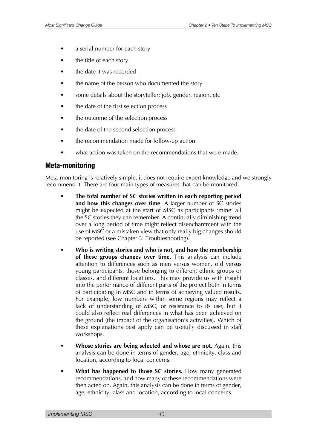- a serial number for each story
- the title of each story
- the date it was recorded
- the name of the person who documented the story
- some details about the storyteller: job, gender, region, etc
- the date of the first selection process
- the outcome of the selection process
- the date of the second selection process
- the recommendation made for follow-up action
- what action was taken on the recommendations that were made.

### **Meta-monitoring**

Meta-monitoring is relatively simple, it does not require expert knowledge and we strongly recommend it. There are four main types of measures that can be monitored.

- **The total number of SC stories written in each reporting period and how this changes over time**. A larger number of SC stories might be expected at the start of MSC as participants 'mine' all the SC stories they can remember. A continually diminishing trend over a long period of time might reflect disenchantment with the use of MSC or a mistaken view that only really big changes should be reported (see Chapter 3: Troubleshooting).
- **Who is writing stories and who is not, and how the membership of these groups changes over time.** This analysis can include attention to differences such as men versus women, old versus young participants, those belonging to different ethnic groups or classes, and different locations. This may provide us with insight into the performance of different parts of the project both in terms of participating in MSC and in terms of achieving valued results. For example, low numbers within some regions may reflect a lack of understanding of MSC, or resistance to its use, but it could also reflect real differences in what has been achieved on the ground (the impact of the organisation's activities). Which of these explanations best apply can be usefully discussed in staff workshops.
- **Whose stories are being selected and whose are not.** Again, this analysis can be done in terms of gender, age, ethnicity, class and location, according to local concerns.
- **What has happened to those SC stories.** How many generated recommendations, and how many of these recommendations were then acted on. Again, this analysis can be done in terms of gender, age, ethnicity, class and location, according to local concerns.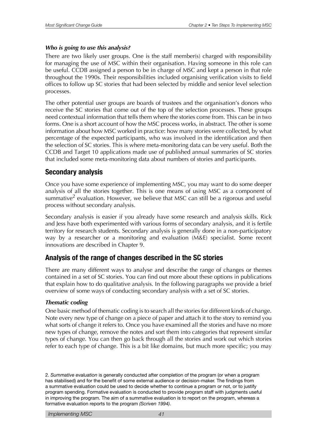### *Who is going to use this analysis?*

There are two likely user groups. One is the staff member(s) charged with responsibility for managing the use of MSC within their organisation. Having someone in this role can be useful. CCDB assigned a person to be in charge of MSC and kept a person in that role throughout the 1990s. Their responsibilities included organising verification visits to field offices to follow up SC stories that had been selected by middle and senior level selection processes.

The other potential user groups are boards of trustees and the organisation's donors who receive the SC stories that come out of the top of the selection processes. These groups need contextual information that tells them where the stories come from. This can be in two forms. One is a short account of how the MSC process works, in abstract. The other is some information about how MSC worked in practice: how many stories were collected, by what percentage of the expected participants, who was involved in the identification and then the selection of SC stories. This is where meta-monitoring data can be very useful. Both the CCDB and Target 10 applications made use of published annual summaries of SC stories that included some meta-monitoring data about numbers of stories and participants.

### **Secondary analysis**

Once you have some experience of implementing MSC, you may want to do some deeper analysis of all the stories together. This is one means of using MSC as a component of summative<sup>2</sup> evaluation. However, we believe that MSC can still be a rigorous and useful process without secondary analysis.

Secondary analysis is easier if you already have some research and analysis skills. Rick and Jess have both experimented with various forms of secondary analysis, and it is fertile territory for research students. Secondary analysis is generally done in a non-participatory way by a researcher or a monitoring and evaluation (M&E) specialist. Some recent innovations are described in Chapter 9.

### **Analysis of the range of changes described in the SC stories**

There are many different ways to analyse and describe the range of changes or themes contained in a set of SC stories. You can find out more about these options in publications that explain how to do qualitative analysis. In the following paragraphs we provide a brief overview of some ways of conducting secondary analysis with a set of SC stories.

### *Thematic coding*

One basic method of thematic coding is to search all the stories for different kinds of change. Note every new type of change on a piece of paper and attach it to the story to remind you what sorts of change it refers to. Once you have examined all the stories and have no more new types of change, remove the notes and sort them into categories that represent similar types of change. You can then go back through all the stories and work out which stories refer to each type of change. This is a bit like domains, but much more specific; you may

2. *Summative evaluation* is generally conducted after completion of the program (or when a program has stabilised) and for the beneft of some external audience or decision-maker. The fndings from a summative evaluation could be used to decide whether to continue a program or not, or to justify program spending. Formative evaluation is conducted to provide program staff with judgments useful in improving the program. The aim of a summative evaluation is to report on the program, whereas a formative evaluation reports to the program *(Scriven 1994)*.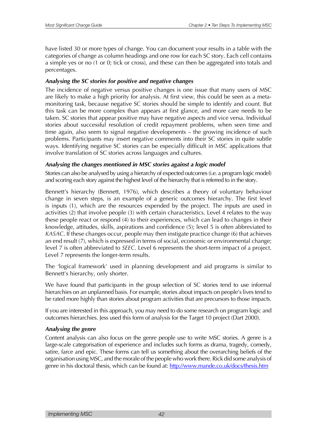have listed 30 or more types of change. You can document your results in a table with the categories of change as column headings and one row for each SC story. Each cell contains a simple yes or no (1 or 0; tick or cross), and these can then be aggregated into totals and percentages.

### *Analysing the SC stories for positive and negative changes*

The incidence of negative versus positive changes is one issue that many users of MSC are likely to make a high priority for analysis. At first view, this could be seen as a metamonitoring task, because negative SC stories should be simple to identify and count. But this task can be more complex than appears at first glance, and more care needs to be taken. SC stories that appear positive may have negative aspects and vice versa. Individual stories about successful resolution of credit repayment problems, when seen time and time again, also seem to signal negative developments – the growing incidence of such problems. Participants may insert negative comments into their SC stories in quite subtle ways. Identifying negative SC stories can be especially difficult in MSC applications that involve translation of SC stories across languages and cultures.

### *Analysing the changes mentioned in MSC stories against a logic model*

Stories can also be analysed by using a hierarchy of expected outcomes (i.e. a program logic model) and scoring each story against the highest level of the hierarchy that is referred to in the story.

Bennett's hierarchy (Bennett, 1976), which describes a theory of voluntary behaviour change in seven steps, is an example of a generic outcomes hierarchy. The first level is inputs (1), which are the resources expended by the project. The inputs are used in activities (2) that involve people (3) with certain characteristics. Level 4 relates to the way these people react or respond (4) to their experiences, which can lead to changes in their knowledge, attitudes, skills, aspirations and confidence (5); level 5 is often abbreviated to *KASAC*. If these changes occur, people may then instigate practice change (6) that achieves an end result (7), which is expressed in terms of social, economic or environmental change; level 7 is often abbreviated to *SEEC*. Level 6 represents the short-term impact of a project. Level 7 represents the longer-term results.

The 'logical framework' used in planning development and aid programs is similar to Bennett's hierarchy, only shorter.

We have found that participants in the group selection of SC stories tend to use informal hierarchies on an unplanned basis. For example, stories about impacts on people's lives tend to be rated more highly than stories about program activities that are precursors to those impacts.

If you are interested in this approach, you may need to do some research on program logic and outcomes hierarchies. Jess used this form of analysis for the Target 10 project (Dart 2000).

### *Analysing the genre*

Content analysis can also focus on the genre people use to write MSC stories. A genre is a large-scale categorisation of experience and includes such forms as drama, tragedy, comedy, satire, farce and epic. These forms can tell us something about the overarching beliefs of the organisation using MSC, and the morale of the people who work there. Rick did some analysis of genre in his doctoral thesis, which can be found at: <http://www.mande.co.uk/docs/thesis.htm>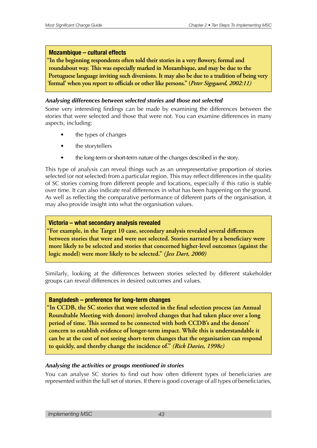### **Mozambique – cultural effects**

In the beginning respondents often told their stories in a very flowery, formal and roundabout way. This was especially marked in Mozambique, and may be due to the Portuguese language inviting such diversions. It may also be due to a tradition of being very 'formal' when you report to officials or other like persons." (Peter Sigsgaard, 2002:11)

### *Analysing differences between selected stories and those not selected*

Some very interesting findings can be made by examining the differences between the stories that were selected and those that were not. You can examine differences in many aspects, including:

- the types of changes
- the storytellers
- the long-term or short-term nature of the changes described in the story.

This type of analysis can reveal things such as an unrepresentative proportion of stories selected (or not selected) from a particular region. This may reflect differences in the quality of SC stories coming from different people and locations, especially if this ratio is stable over time. It can also indicate real differences in what has been happening on the ground. As well as reflecting the comparative performance of different parts of the organisation, it may also provide insight into what the organisation values.

### **Victoria – what secondary analysis revealed**

"For example, in the Target 10 case, secondary analysis revealed several differences between stories that were and were not selected. Stories narrated by a beneficiary were more likely to be selected and stories that concerned higher-level outcomes (against the logic model) were more likely to be selected." *(Jess Dart, 2000)* 

Similarly, looking at the differences between stories selected by different stakeholder groups can reveal differences in desired outcomes and values.

### **Bangladesh – preference for long-term changes**

"In CCDB, the SC stories that were selected in the final selection process (an Annual Roundtable Meeting with donors) involved changes that had taken place over a long period of time. This seemed to be connected with both CCDB's and the donors' concern to establish evidence of longer-term impact. While this is understandable it can be at the cost of not seeing short-term changes that the organisation can respond to quickly, and thereby change the incidence of." (Rick Davies, 1998c)

### *Analysing the activities or groups mentioned in stories*

You can analyse SC stories to find out how often different types of beneficiaries are represented within the full set of stories. If there is good coverage of all types of beneficiaries,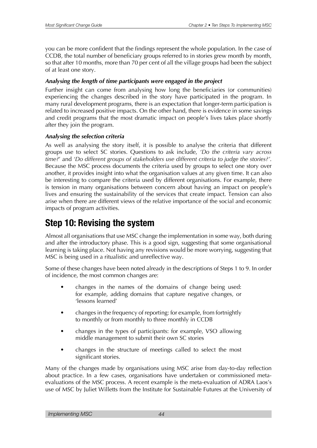you can be more confident that the findings represent the whole population. In the case of CCDB, the total number of beneficiary groups referred to in stories grew month by month, so that after 10 months, more than 70 per cent of all the village groups had been the subject of at least one story.

### *Analysing the length of time participants were engaged in the project*

Further insight can come from analysing how long the beneficiaries (or communities) experiencing the changes described in the story have participated in the program. In many rural development programs, there is an expectation that longer-term participation is related to increased positive impacts. On the other hand, there is evidence in some savings and credit programs that the most dramatic impact on people's lives takes place shortly after they join the program.

### *Analysing the selection criteria*

As well as analysing the story itself, it is possible to analyse the criteria that different groups use to select SC stories. Questions to ask include, *'Do the criteria vary across time?*' and *'Do different groups of stakeholders use different criteria to judge the stories?'*. Because the MSC process documents the criteria used by groups to select one story over another, it provides insight into what the organisation values at any given time. It can also be interesting to compare the criteria used by different organisations. For example, there is tension in many organisations between concern about having an impact on people's lives and ensuring the sustainability of the services that create impact. Tension can also arise when there are different views of the relative importance of the social and economic impacts of program activities.

## **Step 10: Revising the system**

Almost all organisations that use MSC change the implementation in some way, both during and after the introductory phase. This is a good sign, suggesting that some organisational learning is taking place. Not having any revisions would be more worrying, suggesting that MSC is being used in a ritualistic and unreflective way.

Some of these changes have been noted already in the descriptions of Steps 1 to 9. In order of incidence, the most common changes are:

- changes in the names of the domains of change being used: for example, adding domains that capture negative changes, or 'lessons learned'
- changes in the frequency of reporting: for example, from fortnightly to monthly or from monthly to three monthly in CCDB
- changes in the types of participants: for example, VSO allowing middle management to submit their own SC stories
- changes in the structure of meetings called to select the most significant stories.

Many of the changes made by organisations using MSC arise from day-to-day reflection about practice. In a few cases, organisations have undertaken or commissioned metaevaluations of the MSC process. A recent example is the meta-evaluation of ADRA Laos's use of MSC by Juliet Willetts from the Institute for Sustainable Futures at the University of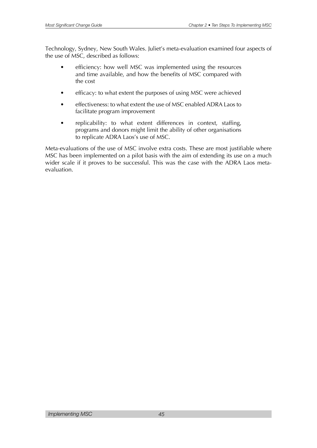Technology, Sydney, New South Wales. Juliet's meta-evaluation examined four aspects of the use of MSC, described as follows:

- efficiency: how well MSC was implemented using the resources and time available, and how the benefits of MSC compared with the cost
- efficacy: to what extent the purposes of using MSC were achieved
- effectiveness: to what extent the use of MSC enabled ADRA Laos to facilitate program improvement
- replicability: to what extent differences in context, staffing, programs and donors might limit the ability of other organisations to replicate ADRA Laos's use of MSC.

Meta-evaluations of the use of MSC involve extra costs. These are most justifiable where MSC has been implemented on a pilot basis with the aim of extending its use on a much wider scale if it proves to be successful. This was the case with the ADRA Laos metaevaluation.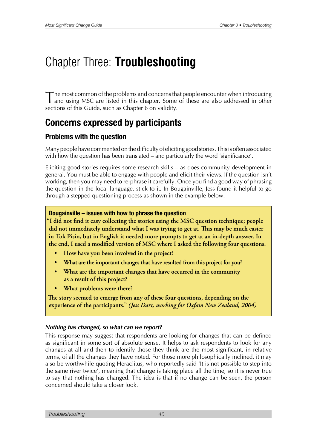# Chapter Three: **Troubleshooting**

The most common of the problems and concerns that people encounter when introducing and using MSC are listed in this chapter. Some of these are also addressed in other sections of this Guide, such as Chapter 6 on validity.

## **Concerns expressed by participants**

### **Problems with the question**

Many people have commented on the difficulty of eliciting good stories. This is often associated with how the question has been translated – and particularly the word 'significance'.

Eliciting good stories requires some research skills – as does community development in general. You must be able to engage with people and elicit their views. If the question isn't working, then you may need to re-phrase it carefully. Once you find a good way of phrasing the question in the local language, stick to it. In Bougainville, Jess found it helpful to go through a stepped questioning process as shown in the example below.

### **Bougainville – issues with how to phrase the question**

"I did not find it easy collecting the stories using the MSC question technique; people did not immediately understand what I was trying to get at. This may be much easier in Tok Pisin, but in English it needed more prompts to get at an in-depth answer. In the end, I used a modified version of MSC where I asked the following four questions.

- **How have you been involved in the project?**
- **EXPLORERTIATE: 8EDUARTIZION IDEAL IS STATE: 8EDUARTIZION: 8EDUARTIZION: 8EDUARTIZION: 8EDUARTIZION: 8EDUARTIZION: 8EDUARTIZION: 8EDUARTIZION: 8EDUARTIZION: 8EDUARTIZION: 8EDUART**
- **What are the important changes that have occurred in the community** as a result of this project?
- **What problems were there?**

The story seemed to emerge from any of these four questions, depending on the experience of the participants." *(Jess Dart, working for Oxfam New Zealand, 2004)* 

### *Nothing has changed, so what can we report?*

This response may suggest that respondents are looking for changes that can be defined as significant in some sort of absolute sense. It helps to ask respondents to look for any changes at all and then to identify those they think are the most significant, in relative terms, of all the changes they have noted. For those more philosophically inclined, it may also be worthwhile quoting Heraclitus, who reportedly said 'It is not possible to step into the same river twice', meaning that change is taking place all the time, so it is never true to say that nothing has changed. The idea is that if no change can be seen, the person concerned should take a closer look.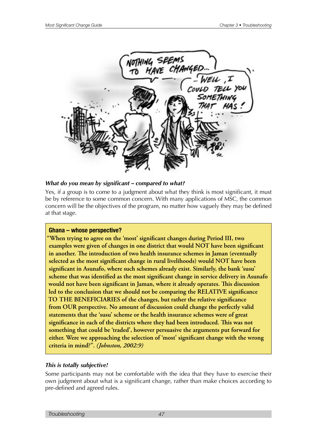

#### *What do you mean by significant – compared to what?*

Yes, if a group is to come to a judgment about what they think is most significant, it must be by reference to some common concern. With many applications of MSC, the common concern will be the objectives of the program, no matter how vaguely they may be defined at that stage.

#### **Ghana – whose perspective?**

"When trying to agree on the 'most' significant changes during Period III, two **EXAMPLES** were given of changes in one district that would NOT have been significant in another. The introduction of two health insurance schemes in Jaman (eventually selected as the most significant change in rural livelihoods) would NOT have been significant in Asunafo, where such schemes already exist. Similarly, the bank 'susu' **The Scheme that was identified as the most significant change in service delivery in Asunafo** would not have been significant in Jaman, where it already operates. This discussion led to the conclusion that we should not be comparing the RELATIVE significance TO THE BENEFICIARIES of the changes, but rather the relative significance from OUR perspective. No amount of discussion could change the perfectly valid statements that the 'susu' scheme or the health insurance schemes were of great significance in each of the districts where they had been introduced. This was not something that could be 'traded', however persuasive the arguments put forward for either. Were we approaching the selection of 'most' significant change with the wrong criteria in mind?". (Johnston, 2002:9)

### *This is totally subjective!*

Some participants may not be comfortable with the idea that they have to exercise their own judgment about what is a significant change, rather than make choices according to pre-defined and agreed rules.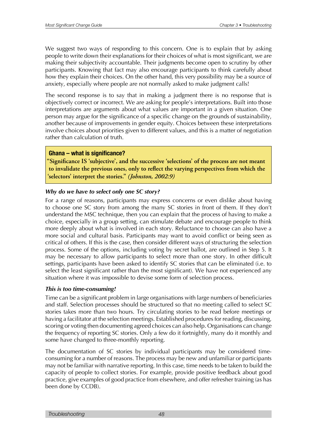We suggest two ways of responding to this concern. One is to explain that by asking people to write down their explanations for their choices of what is most significant, we are making their subjectivity accountable. Their judgments become open to scrutiny by other participants. Knowing that fact may also encourage participants to think carefully about how they explain their choices. On the other hand, this very possibility may be a source of anxiety, especially where people are not normally asked to make judgment calls!

The second response is to say that in making a judgment there is no response that is objectively correct or incorrect. We are asking for people's interpretations. Built into those interpretations are arguments about what values are important in a given situation. One person may argue for the significance of a specific change on the grounds of sustainability, another because of improvements in gender equity. Choices between these interpretations involve choices about priorities given to different values, and this is a matter of negotiation rather than calculation of truth.

### **Ghana – what is signifcance?**

"Significance IS 'subjective', and the successive 'selections' of the process are not meant to invalidate the previous ones, only to reflect the varying perspectives from which the 'selectors' interpret the stories." (Johnston, 2002:9)

### *Why do we have to select only one SC story?*

For a range of reasons, participants may express concerns or even dislike about having to choose one SC story from among the many SC stories in front of them. If they don't understand the MSC technique, then you can explain that the process of having to make a choice, especially in a group setting, can stimulate debate and encourage people to think more deeply about what is involved in each story. Reluctance to choose can also have a more social and cultural basis. Participants may want to avoid conflict or being seen as critical of others. If this is the case, then consider different ways of structuring the selection process. Some of the options, including voting by secret ballot, are outlined in Step 5. It may be necessary to allow participants to select more than one story. In other difficult settings, participants have been asked to identify SC stories that can be eliminated (i.e. to select the least significant rather than the most significant). We have not experienced any situation where it was impossible to devise some form of selection process.

### *This is too time-consuming!*

Time can be a significant problem in large organisations with large numbers of beneficiaries and staff. Selection processes should be structured so that no meeting called to select SC stories takes more than two hours. Try circulating stories to be read before meetings or having a facilitator at the selection meetings. Established procedures for reading, discussing, scoring or voting then documenting agreed choices can also help. Organisations can change the frequency of reporting SC stories. Only a few do it fortnightly, many do it monthly and some have changed to three-monthly reporting.

The documentation of SC stories by individual participants may be considered timeconsuming for a number of reasons. The process may be new and unfamiliar or participants may not be familiar with narrative reporting. In this case, time needs to be taken to build the capacity of people to collect stories. For example, provide positive feedback about good practice, give examples of good practice from elsewhere, and offer refresher training (as has been done by CCDB).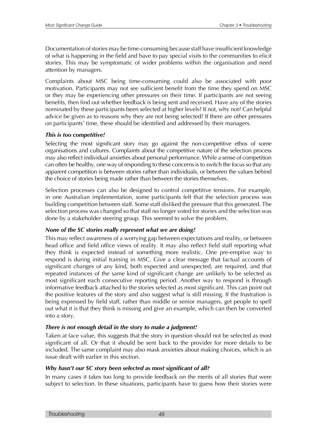Documentation of stories may be time-consuming because staff have insufficient knowledge of what is happening in the field and have to pay special visits to the communities to elicit stories. This may be symptomatic of wider problems within the organisation and need attention by managers.

Complaints about MSC being time-consuming could also be associated with poor motivation. Participants may not see sufficient benefit from the time they spend on MSC or they may be experiencing other pressures on their time. If participants are not seeing benefits, then find out whether feedback is being sent and received. Have any of the stories nominated by these participants been selected at higher levels? If not, why not? Can helpful advice be given as to reasons why they are not being selected? If there are other pressures on participants' time, these should be identified and addressed by their managers.

### *This is too competitive!*

Selecting the most significant story may go against the non-competitive ethos of some organisations and cultures. Complaints about the competitive nature of the selection process may also reflect individual anxieties about personal performance. While a sense of competition can often be healthy, one way of responding to these concerns is to switch the focus so that any apparent competition is between stories rather than individuals, or between the values behind the choice of stories being made rather than between the stories themselves.

Selection processes can also be designed to control competitive tensions. For example, in one Australian implementation, some participants felt that the selection process was building competition between staff. Some staff disliked the pressure that this generated. The selection process was changed so that staff no longer voted for stories and the selection was done by a stakeholder steering group. This seemed to solve the problem.

### *None of the SC stories really represent what we are doing!*

This may reflect awareness of a worrying gap between expectations and reality, or between head office and field office views of reality. It may also reflect field staff reporting what they think is expected instead of something more realistic. One pre-emptive way to respond is during initial training in MSC. Give a clear message that factual accounts of significant changes of any kind, both expected and unexpected, are required, and that repeated instances of the same kind of significant change are unlikely to be selected as most significant each consecutive reporting period. Another way to respond is through informative feedback attached to the stories selected as most significant. This can point out the positive features of the story and also suggest what is still missing. If the frustration is being expressed by field staff, rather than middle or senior managers, get people to spell out what it is that they think is missing and give an example, which can then be converted into a story.

### *There is not enough detail in the story to make a judgment!*

Taken at face value, this suggests that the story in question should not be selected as most significant of all. Or that it should be sent back to the provider for more details to be included. The same complaint may also mask anxieties about making choices, which is an issue dealt with earlier in this section.

### *Why hasn't our SC story been selected as most significant of all?*

In many cases it takes too long to provide feedback on the merits of all stories that were subject to selection. In these situations, participants have to guess how their stories were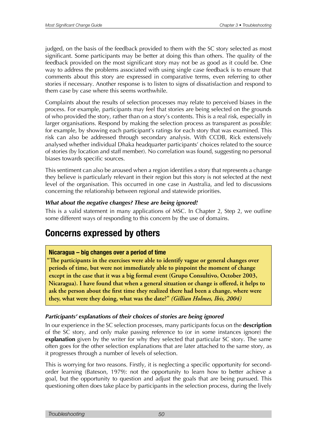judged, on the basis of the feedback provided to them with the SC story selected as most significant. Some participants may be better at doing this than others. The quality of the feedback provided on the most significant story may not be as good as it could be. One way to address the problems associated with using single case feedback is to ensure that comments about this story are expressed in comparative terms, even referring to other stories if necessary. Another response is to listen to signs of dissatisfaction and respond to them case by case where this seems worthwhile.

Complaints about the results of selection processes may relate to perceived biases in the process. For example, participants may feel that stories are being selected on the grounds of who provided the story, rather than on a story's contents. This is a real risk, especially in larger organisations. Respond by making the selection process as transparent as possible: for example, by showing each participant's ratings for each story that was examined. This risk can also be addressed through secondary analysis. With CCDB, Rick extensively analysed whether individual Dhaka headquarter participants' choices related to the source of stories (by location and staff member). No correlation was found, suggesting no personal biases towards specific sources.

This sentiment can also be aroused when a region identifies a story that represents a change they believe is particularly relevant in their region but this story is not selected at the next level of the organisation. This occurred in one case in Australia, and led to discussions concerning the relationship between regional and statewide priorities.

### *What about the negative changes? These are being ignored!*

This is a valid statement in many applications of MSC. In Chapter 2, Step 2, we outline some different ways of responding to this concern by the use of domains.

### **Concerns expressed by others**

### **Nicaragua – big changes over a period of time**

The participants in the exercises were able to identify vague or general changes over periods of time, but were not immediately able to pinpoint the moment of change except in the case that it was a big formal event (Grupo Consultivo, October 2003, Nicaragua). I have found that when a general situation or change is offered, it helps to ask the person about the first time they realized there had been a change, where were they, what were they doing, what was the date?" (Gillian Holmes, Ibis, 2004)

### *Participants' explanations of their choices of stories are being ignored*

In our experience in the SC selection processes, many participants focus on the **description** of the SC story, and only make passing reference to (or in some instances ignore) the **explanation** given by the writer for why they selected that particular SC story. The same often goes for the other selection explanations that are later attached to the same story, as it progresses through a number of levels of selection.

This is worrying for two reasons. Firstly, it is neglecting a specific opportunity for secondorder learning (Bateson, 1979): not the opportunity to learn how to better achieve a goal, but the opportunity to question and adjust the goals that are being pursued. This questioning often does take place by participants in the selection process, during the lively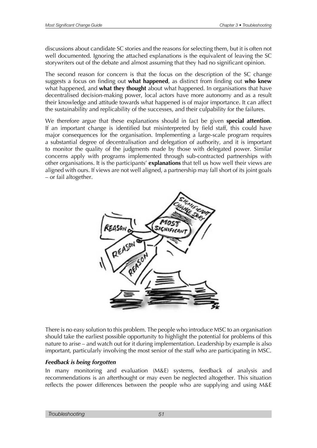discussions about candidate SC stories and the reasons for selecting them, but it is often not well documented. Ignoring the attached explanations is the equivalent of leaving the SC storywriters out of the debate and almost assuming that they had no significant opinion.

The second reason for concern is that the focus on the description of the SC change suggests a focus on finding out **what happened**, as distinct from finding out **who knew** what happened, and **what they thought** about what happened. In organisations that have decentralised decision-making power, local actors have more autonomy and as a result their knowledge and attitude towards what happened is of major importance. It can affect the sustainability and replicability of the successes, and their culpability for the failures.

We therefore argue that these explanations should in fact be given **special attention**. If an important change is identified but misinterpreted by field staff, this could have major consequences for the organisation. Implementing a large-scale program requires a substantial degree of decentralisation and delegation of authority, and it is important to monitor the quality of the judgments made by those with delegated power. Similar concerns apply with programs implemented through sub-contracted partnerships with other organisations. It is the participants' **explanations** that tell us how well their views are aligned with ours. If views are not well aligned, a partnership may fall short of its joint goals – or fail altogether.



There is no easy solution to this problem. The people who introduce MSC to an organisation should take the earliest possible opportunity to highlight the potential for problems of this nature to arise – and watch out for it during implementation. Leadership by example is also important, particularly involving the most senior of the staff who are participating in MSC.

### *Feedback is being forgotten*

In many monitoring and evaluation (M&E) systems, feedback of analysis and recommendations is an afterthought or may even be neglected altogether. This situation reflects the power differences between the people who are supplying and using M&E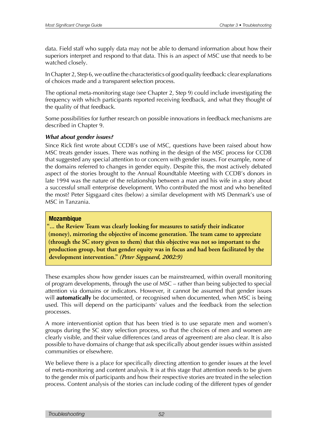data. Field staff who supply data may not be able to demand information about how their superiors interpret and respond to that data. This is an aspect of MSC use that needs to be watched closely.

In Chapter 2, Step 6, we outline the characteristics of good quality feedback: clear explanations of choices made and a transparent selection process.

The optional meta-monitoring stage (see Chapter 2, Step 9) could include investigating the frequency with which participants reported receiving feedback, and what they thought of the quality of that feedback.

Some possibilities for further research on possible innovations in feedback mechanisms are described in Chapter 9.

### *What about gender issues?*

Since Rick first wrote about CCDB's use of MSC, questions have been raised about how MSC treats gender issues. There was nothing in the design of the MSC process for CCDB that suggested any special attention to or concern with gender issues. For example, none of the domains referred to changes in gender equity. Despite this, the most actively debated aspect of the stories brought to the Annual Roundtable Meeting with CCDB's donors in late 1994 was the nature of the relationship between a man and his wife in a story about a successful small enterprise development. Who contributed the most and who benefited the most? Peter Sigsgaard cites (below) a similar development with MS Denmark's use of MSC in Tanzania.

### **Mozambique**

"... the Review Team was clearly looking for measures to satisfy their indicator (money), mirroring the objective of income generation. The team came to appreciate (through the SC story given to them) that this objective was not so important to the production group, but that gender equity was in focus and had been facilitated by the development intervention." (Peter Sigsgaard, 2002:9)

These examples show how gender issues can be mainstreamed, within overall monitoring of program developments, through the use of MSC – rather than being subjected to special attention via domains or indicators. However, it cannot be assumed that gender issues will **automatically** be documented, or recognised when documented, when MSC is being used. This will depend on the participants' values and the feedback from the selection processes.

A more interventionist option that has been tried is to use separate men and women's groups during the SC story selection process, so that the choices of men and women are clearly visible, and their value differences (and areas of agreement) are also clear. It is also possible to have domains of change that ask specifically about gender issues within assisted communities or elsewhere.

We believe there is a place for specifically directing attention to gender issues at the level of meta-monitoring and content analysis. It is at this stage that attention needs to be given to the gender mix of participants and how their respective stories are treated in the selection process. Content analysis of the stories can include coding of the different types of gender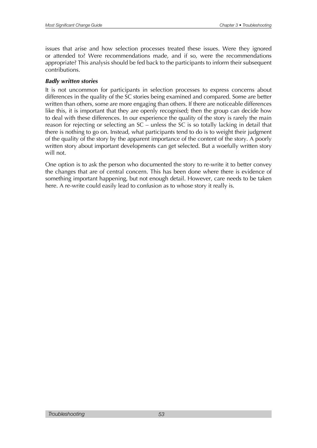issues that arise and how selection processes treated these issues. Were they ignored or attended to? Were recommendations made, and if so, were the recommendations appropriate? This analysis should be fed back to the participants to inform their subsequent contributions.

### *Badly written stories*

It is not uncommon for participants in selection processes to express concerns about differences in the quality of the SC stories being examined and compared. Some are better written than others, some are more engaging than others. If there are noticeable differences like this, it is important that they are openly recognised; then the group can decide how to deal with these differences. In our experience the quality of the story is rarely the main reason for rejecting or selecting an SC – unless the SC is so totally lacking in detail that there is nothing to go on. Instead, what participants tend to do is to weight their judgment of the quality of the story by the apparent importance of the content of the story. A poorly written story about important developments can get selected. But a woefully written story will not.

One option is to ask the person who documented the story to re-write it to better convey the changes that are of central concern. This has been done where there is evidence of something important happening, but not enough detail. However, care needs to be taken here. A re-write could easily lead to confusion as to whose story it really is.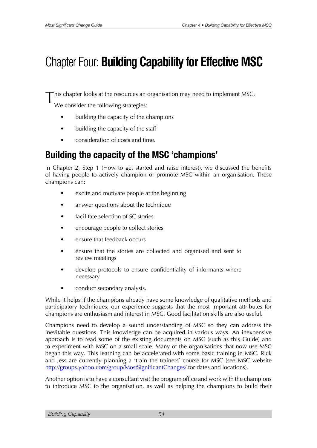# Chapter Four: **Building Capability for Effective MSC**

This chapter looks at the resources an organisation may need to implement MSC.

We consider the following strategies:

- building the capacity of the champions
- building the capacity of the staff
- consideration of costs and time.

## **Building the capacity of the MSC 'champions'**

In Chapter 2, Step 1 (How to get started and raise interest), we discussed the benefits of having people to actively champion or promote MSC within an organisation. These champions can:

- excite and motivate people at the beginning
- answer questions about the technique
- facilitate selection of SC stories
- encourage people to collect stories
- ensure that feedback occurs
- ensure that the stories are collected and organised and sent to review meetings
- develop protocols to ensure confidentiality of informants where necessary
- conduct secondary analysis.

While it helps if the champions already have some knowledge of qualitative methods and participatory techniques, our experience suggests that the most important attributes for champions are enthusiasm and interest in MSC. Good facilitation skills are also useful.

Champions need to develop a sound understanding of MSC so they can address the inevitable questions. This knowledge can be acquired in various ways. An inexpensive approach is to read some of the existing documents on MSC (such as this Guide) and to experiment with MSC on a small scale. Many of the organisations that now use MSC began this way. This learning can be accelerated with some basic training in MSC. Rick and Jess are currently planning a 'train the trainers' course for MSC (see MSC website <http://groups.yahoo.com/group/MostSignificantChanges/> for dates and locations).

Another option is to have a consultant visit the program office and work with the champions to introduce MSC to the organisation, as well as helping the champions to build their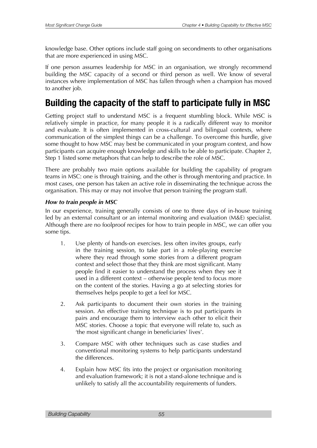knowledge base. Other options include staff going on secondments to other organisations that are more experienced in using MSC.

If one person assumes leadership for MSC in an organisation, we strongly recommend building the MSC capacity of a second or third person as well. We know of several instances where implementation of MSC has fallen through when a champion has moved to another *job*.

## **Building the capacity of the staff to participate fully in MSC**

Getting project staff to understand MSC is a frequent stumbling block. While MSC is relatively simple in practice, for many people it is a radically different way to monitor and evaluate. It is often implemented in cross-cultural and bilingual contexts, where communication of the simplest things can be a challenge. To overcome this hurdle, give some thought to how MSC may best be communicated in your program context, and how participants can acquire enough knowledge and skills to be able to participate. Chapter 2, Step 1 listed some metaphors that can help to describe the role of MSC.

There are probably two main options available for building the capability of program teams in MSC: one is through training, and the other is through mentoring and practice. In most cases, one person has taken an active role in disseminating the technique across the organisation. This may or may not involve that person training the program staff.

### *How to train people in MSC*

In our experience, training generally consists of one to three days of in-house training led by an external consultant or an internal monitoring and evaluation (M&E) specialist. Although there are no foolproof recipes for how to train people in MSC, we can offer you some tips.

- 1. Use plenty of hands-on exercises. Jess often invites groups, early in the training session, to take part in a role-playing exercise where they read through some stories from a different program context and select those that they think are most significant. Many people find it easier to understand the process when they see it used in a different context – otherwise people tend to focus more on the content of the stories. Having a go at selecting stories for themselves helps people to get a feel for MSC.
- 2. Ask participants to document their own stories in the training session. An effective training technique is to put participants in pairs and encourage them to interview each other to elicit their MSC stories. Choose a topic that everyone will relate to, such as 'the most significant change in beneficiaries' lives'.
- 3. Compare MSC with other techniques such as case studies and conventional monitoring systems to help participants understand the differences.
- 4. Explain how MSC fits into the project or organisation monitoring and evaluation framework; it is not a stand-alone technique and is unlikely to satisfy all the accountability requirements of funders.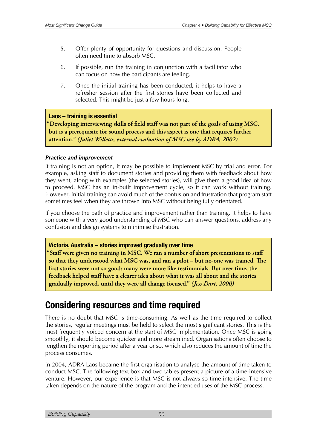- 5. Offer plenty of opportunity for questions and discussion. People often need time to absorb MSC.
- 6. If possible, run the training in conjunction with a facilitator who can focus on how the participants are feeling.
- 7. Once the initial training has been conducted, it helps to have a refresher session after the first stories have been collected and selected. This might be just a few hours long.

### **Laos – training is essential**

"Developing interviewing skills of field staff was not part of the goals of using MSC, but is a prerequisite for sound process and this aspect is one that requires further attention." (Juliet Willetts, external evaluation of MSC use by ADRA, 2002)

### *Practice and improvement*

If training is not an option, it may be possible to implement MSC by trial and error. For example, asking staff to document stories and providing them with feedback about how they went, along with examples (the selected stories), will give them a good idea of how to proceed. MSC has an in-built improvement cycle, so it can work without training. However, initial training can avoid much of the confusion and frustration that program staff sometimes feel when they are thrown into MSC without being fully orientated.

If you choose the path of practice and improvement rather than training, it helps to have someone with a very good understanding of MSC who can answer questions, address any confusion and design systems to minimise frustration.

### **Victoria, Australia – stories improved gradually over time**

"Staff were given no training in MSC. We ran a number of short presentations to staff so that they understood what MSC was, and ran a pilot – but no-one was trained. The first stories were not so good: many were more like testimonials. But over time, the feedback helped staff have a clearer idea about what it was all about and the stories gradually improved, until they were all change focused." *(Jess Dart, 2000)* 

### **Considering resources and time required**

There is no doubt that MSC is time-consuming. As well as the time required to collect the stories, regular meetings must be held to select the most significant stories. This is the most frequently voiced concern at the start of MSC implementation. Once MSC is going smoothly, it should become quicker and more streamlined. Organisations often choose to lengthen the reporting period after a year or so, which also reduces the amount of time the process consumes.

In 2004, ADRA Laos became the first organisation to analyse the amount of time taken to conduct MSC. The following text box and two tables present a picture of a time-intensive venture. However, our experience is that MSC is not always so time-intensive. The time taken depends on the nature of the program and the intended uses of the MSC process.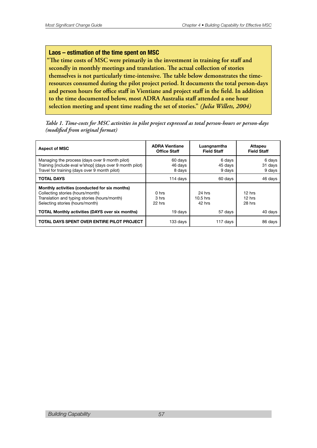### **Laos – estimation of the time spent on MSC**

"The time costs of MSC were primarily in the investment in training for staff and secondly in monthly meetings and translation. The actual collection of stories themselves is not particularly time-intensive. The table below demonstrates the timeresources consumed during the pilot project period. It documents the total person-days and person hours for office staff in Vientiane and project staff in the field. In addition to the time documented below, most ADRA Australia staff attended a one hour selection meeting and spent time reading the set of stories." (Julia Willets, 2004)

Table 1. Time-costs for MSC activities in pilot project expressed as total person-hours or person-days  *NPEJmFEGSPNPSJHJOBMGPSNBU* 

| <b>Aspect of MSC</b>                                                                                                                                                                                                           | <b>ADRA Vientiane</b><br><b>Office Staff</b>   | Luangnamtha<br><b>Field Staff</b>         | Attapeu<br><b>Field Staff</b>           |
|--------------------------------------------------------------------------------------------------------------------------------------------------------------------------------------------------------------------------------|------------------------------------------------|-------------------------------------------|-----------------------------------------|
| Managing the process (days over 9 month pilot)<br>Training [include eval w'shop] (days over 9 month pilot)<br>Travel for training (days over 9 month pilot)                                                                    | 60 days<br>46 days<br>8 days                   | 6 days<br>45 days<br>9 days               | 6 days<br>31 days<br>9 days             |
| <b>TOTAL DAYS</b>                                                                                                                                                                                                              | 114 days                                       | 60 days                                   | 46 days                                 |
| Monthly activities (conducted for six months)<br>Collecting stories (hours/month)<br>Translation and typing stories (hours/month)<br>Selecting stories (hours/month)<br><b>TOTAL Monthly activities (DAYS over six months)</b> | 0 <sub>hrs</sub><br>3 hrs<br>22 hrs<br>19 days | 24 hrs<br>$10.5$ hrs<br>42 hrs<br>57 days | 12 hrs<br>$12$ hrs<br>28 hrs<br>40 days |
| TOTAL DAYS SPENT OVER ENTIRE PILOT PROJECT                                                                                                                                                                                     | 133 days                                       | 117 days                                  | 86 days                                 |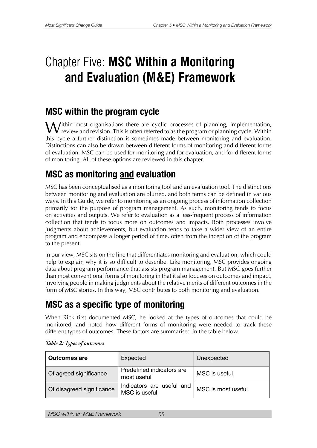# Chapter Five: **MSC Within a Monitoring and Evaluation (M&E) Framework**

### **MSC within the program cycle**

Within most organisations there are cyclic processes of planning, implementation,  $\bf{V}$  review and revision. This is often referred to as the program or planning cycle. Within this cycle a further distinction is sometimes made between monitoring and evaluation. Distinctions can also be drawn between different forms of monitoring and different forms of evaluation. MSC can be used for monitoring and for evaluation, and for different forms of monitoring. All of these options are reviewed in this chapter.

## **MSC as monitoring and evaluation**

MSC has been conceptualised as a monitoring tool and an evaluation tool. The distinctions between monitoring and evaluation are blurred, and both terms can be defined in various ways. In this Guide, we refer to monitoring as an ongoing process of information collection primarily for the purpose of program management. As such, monitoring tends to focus on activities and outputs. We refer to evaluation as a less-frequent process of information collection that tends to focus more on outcomes and impacts. Both processes involve judgments about achievements, but evaluation tends to take a wider view of an entire program and encompass a longer period of time, often from the inception of the program to the present.

In our view, MSC sits on the line that differentiates monitoring and evaluation, which could help to explain why it is so difficult to describe. Like monitoring, MSC provides ongoing data about program performance that assists program management. But MSC goes further than most conventional forms of monitoring in that it also focuses on outcomes and impact, involving people in making judgments about the relative merits of different outcomes in the form of MSC stories. In this way, MSC contributes to both monitoring and evaluation.

# **MSC as a specific type of monitoring**

When Rick first documented MSC, he looked at the types of outcomes that could be monitored, and noted how different forms of monitoring were needed to track these different types of outcomes. These factors are summarised in the table below.

| <b>Outcomes are</b>       | Expected                                   | Unexpected         |
|---------------------------|--------------------------------------------|--------------------|
| Of agreed significance    | Predefined indicators are<br>most useful   | MSC is useful      |
| Of disagreed significance | Indicators are useful and<br>MSC is useful | MSC is most useful |

### *<i>Table 2: Types of outcomes*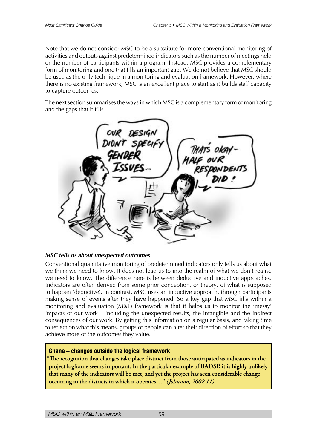Note that we do not consider MSC to be a substitute for more conventional monitoring of activities and outputs against predetermined indicators such as the number of meetings held or the number of participants within a program. Instead, MSC provides a complementary form of monitoring and one that fills an important gap. We do not believe that MSC should be used as the only technique in a monitoring and evaluation framework. However, where there is no existing framework, MSC is an excellent place to start as it builds staff capacity to capture outcomes.

The next section summarises the ways in which MSC is a complementary form of monitoring and the gaps that it fills.

| OUR DESIGN<br>DIDN'T SPECIFY |                       |
|------------------------------|-----------------------|
| GENDEI                       | THAT'S OKA<br>ALF OVR |
| Issues…                      | <b>ESDONDENTS</b>     |
|                              |                       |
|                              |                       |
|                              |                       |

### *MSC tells us about unexpected outcomes*

Conventional quantitative monitoring of predetermined indicators only tells us about what we think we need to know. It does not lead us to into the realm of what we don't realise we need to know. The difference here is between deductive and inductive approaches. Indicators are often derived from some prior conception, or theory, of what is supposed to happen (deductive). In contrast, MSC uses an inductive approach, through participants making sense of events after they have happened. So a key gap that MSC fills within a monitoring and evaluation (M&E) framework is that it helps us to monitor the 'messy' impacts of our work – including the unexpected results, the intangible and the indirect consequences of our work. By getting this information on a regular basis, and taking time to reflect on what this means, groups of people can alter their direction of effort so that they achieve more of the outcomes they value.

### **Ghana – changes outside the logical framework**

The recognition that changes take place distinct from those anticipated as indicators in the project logframe seems important. In the particular example of BADSP, it is highly unlikely that many of the indicators will be met, and yet the project has seen considerable change **p**occurring in the districts in which it operates..." (*Johnston, 2002:11*)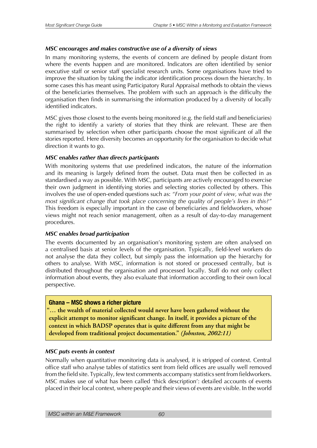### *MSC encourages and makes constructive use of a diversity of views*

In many monitoring systems, the events of concern are defined by people distant from where the events happen and are monitored. Indicators are often identified by senior executive staff or senior staff specialist research units. Some organisations have tried to improve the situation by taking the indicator identification process down the hierarchy. In some cases this has meant using Participatory Rural Appraisal methods to obtain the views of the beneficiaries themselves. The problem with such an approach is the difficulty the organisation then finds in summarising the information produced by a diversity of locally identified indicators.

MSC gives those closest to the events being monitored (e.g. the field staff and beneficiaries) the right to identify a variety of stories that they think are relevant. These are then summarised by selection when other participants choose the most significant of all the stories reported. Here diversity becomes an opportunity for the organisation to decide what direction it wants to go.

### *MSC enables rather than directs participants*

With monitoring systems that use predefined indicators, the nature of the information and its meaning is largely defined from the outset. Data must then be collected in as standardised a way as possible. With MSC, participants are actively encouraged to exercise their own judgment in identifying stories and selecting stories collected by others. This involves the use of open-ended questions such as: *"From your point of view, what was the most significant change that took place concerning the quality of people's lives in this?"* This freedom is especially important in the case of beneficiaries and fieldworkers, whose views might not reach senior management, often as a result of day-to-day management procedures.

### *MSC enables broad participation*

The events documented by an organisation's monitoring system are often analysed on a centralised basis at senior levels of the organisation. Typically, field-level workers do not analyse the data they collect, but simply pass the information up the hierarchy for others to analyse. With MSC, information is not stored or processed centrally, but is distributed throughout the organisation and processed locally. Staff do not only collect information about events, they also evaluate that information according to their own local perspective.

### **Ghana – MSC shows a richer picture**

"... the wealth of material collected would never have been gathered without the explicit attempt to monitor significant change. In itself, it provides a picture of the context in which **BADSP** operates that is quite different from any that might be developed from traditional project documentation." (Johnston, 2002:11)

### *MSC puts events in context*

Normally when quantitative monitoring data is analysed, it is stripped of context. Central office staff who analyse tables of statistics sent from field offices are usually well removed from the field site. Typically, few text comments accompany statistics sent from fieldworkers. MSC makes use of what has been called 'thick description': detailed accounts of events placed in their local context, where people and their views of events are visible. In the world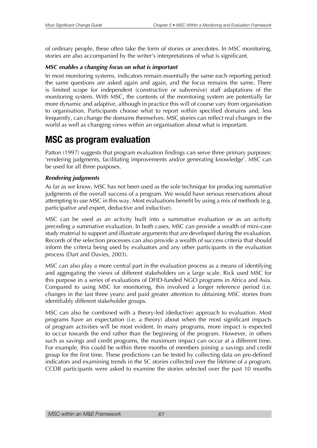of ordinary people, these often take the form of stories or anecdotes. In MSC monitoring, stories are also accompanied by the writer's interpretations of what is significant.

### *MSC enables a changing focus on what is important*

In most monitoring systems, indicators remain essentially the same each reporting period: the same questions are asked again and again, and the focus remains the same. There is limited scope for independent (constructive or subversive) staff adaptations of the monitoring system. With MSC, the contents of the monitoring system are potentially far more dynamic and adaptive, although in practice this will of course vary from organisation to organisation. Participants choose what to report within specified domains and, less frequently, can change the domains themselves. MSC stories can reflect real changes in the world as well as changing views within an organisation about what is important.

### **MSC as program evaluation**

Patton (1997) suggests that program evaluation findings can serve three primary purposes: 'rendering judgments, facilitating improvements and/or generating knowledge'. MSC can be used for all three purposes.

### *Rendering judgments*

As far as we know, MSC has not been used as the sole technique for producing summative judgments of the overall success of a program. We would have serious reservations about attempting to use MSC in this way. Most evaluations benefit by using a mix of methods (e.g. participative and expert, deductive and inductive).

MSC can be used as an activity built into a summative evaluation or as an activity preceding a summative evaluation. In both cases, MSC can provide a wealth of mini-case study material to support and illustrate arguments that are developed during the evaluation. Records of the selection processes can also provide a wealth of success criteria that should inform the criteria being used by evaluators and any other participants in the evaluation process (Dart and Davies, 2003).

MSC can also play a more central part in the evaluation process as a means of identifying and aggregating the views of different stakeholders on a large scale. Rick used MSC for this purpose in a series of evaluations of DFID-funded NGO programs in Africa and Asia. Compared to using MSC for monitoring, this involved a longer reference period (i.e. changes in the last three years) and paid greater attention to obtaining MSC stories from identifiably different stakeholder groups.

MSC can also be combined with a theory-led (deductive) approach to evaluation. Most programs have an expectation (i.e. a theory) about when the most significant impacts of program activities will be most evident. In many programs, more impact is expected to occur towards the end rather than the beginning of the program. However, in others such as savings and credit programs, the maximum impact can occur at a different time. For example, this could be within three months of members joining a savings and credit group for the first time. These predictions can be tested by collecting data on pre-defined indicators and examining trends in the SC stories collected over the lifetime of a program. CCDB participants were asked to examine the stories selected over the past 10 months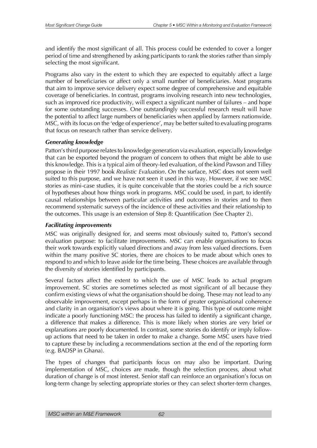and identify the most significant of all. This process could be extended to cover a longer period of time and strengthened by asking participants to rank the stories rather than simply selecting the most significant.

Programs also vary in the extent to which they are expected to equitably affect a large number of beneficiaries or affect only a small number of beneficiaries. Most programs that aim to improve service delivery expect some degree of comprehensive and equitable coverage of beneficiaries. In contrast, programs involving research into new technologies, such as improved rice productivity, will expect a significant number of failures – and hope for some outstanding successes. One outstandingly successful research result will have the potential to affect large numbers of beneficiaries when applied by farmers nationwide. MSC, with its focus on the 'edge of experience', may be better suited to evaluating programs that focus on research rather than service delivery.

### *Generating knowledge*

Patton's third purpose relates to knowledge generation via evaluation, especially knowledge that can be exported beyond the program of concern to others that might be able to use this knowledge. This is a typical aim of theory-led evaluation, of the kind Pawson and Tilley propose in their 1997 book *Realistic Evaluation*. On the surface, MSC does not seem well suited to this purpose, and we have not seen it used in this way. However, if we see MSC stories as mini-case studies, it is quite conceivable that the stories could be a rich source of hypotheses about how things work in programs. MSC could be used, in part, to identify causal relationships between particular activities and outcomes in stories and to then recommend systematic surveys of the incidence of these activities and their relationship to the outcomes. This usage is an extension of Step 8: Quantification (See Chapter 2).

### *Facilitating improvements*

MSC was originally designed for, and seems most obviously suited to, Patton's second evaluation purpose: to facilitate improvements. MSC can enable organisations to focus their work towards explicitly valued directions and away from less valued directions. Even within the many positive SC stories, there are choices to be made about which ones to respond to and which to leave aside for the time being. These choices are available through the diversity of stories identified by participants.

Several factors affect the extent to which the use of MSC leads to actual program improvement. SC stories are sometimes selected as most significant of all because they confirm existing views of what the organisation should be doing. These may not lead to any observable improvement, except perhaps in the form of greater organisational coherence and clarity in an organisation's views about where it is going. This type of outcome might indicate a poorly functioning MSC: the process has failed to identify a significant change, a difference that makes a difference. This is more likely when stories are very brief or explanations are poorly documented. In contrast, some stories do identify or imply followup actions that need to be taken in order to make a change. Some MSC users have tried to capture these by including a recommendations section at the end of the reporting form (e.g. BADSP in Ghana).

The types of changes that participants focus on may also be important. During implementation of MSC, choices are made, though the selection process, about what duration of change is of most interest. Senior staff can reinforce an organisation's focus on long-term change by selecting appropriate stories or they can select shorter-term changes.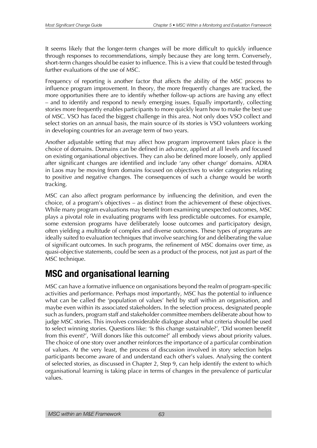It seems likely that the longer-term changes will be more difficult to quickly influence through responses to recommendations, simply because they are long term. Conversely, short-term changes should be easier to influence. This is a view that could be tested through further evaluations of the use of MSC.

Frequency of reporting is another factor that affects the ability of the MSC process to influence program improvement. In theory, the more frequently changes are tracked, the more opportunities there are to identify whether follow-up actions are having any effect – and to identify and respond to newly emerging issues. Equally importantly, collecting stories more frequently enables participants to more quickly learn how to make the best use of MSC. VSO has faced the biggest challenge in this area. Not only does VSO collect and select stories on an annual basis, the main source of its stories is VSO volunteers working in developing countries for an average term of two years.

Another adjustable setting that may affect how program improvement takes place is the choice of domains. Domains can be defined in advance, applied at all levels and focused on existing organisational objectives. They can also be defined more loosely, only applied after significant changes are identified and include 'any other change' domains. ADRA in Laos may be moving from domains focused on objectives to wider categories relating to positive and negative changes. The consequences of such a change would be worth tracking.

MSC can also affect program performance by influencing the definition, and even the choice, of a program's objectives – as distinct from the achievement of these objectives. While many program evaluations may benefit from examining unexpected outcomes, MSC plays a pivotal role in evaluating programs with less predictable outcomes. For example, some extension programs have deliberately loose outcomes and participatory design, often yielding a multitude of complex and diverse outcomes. These types of programs are ideally suited to evaluation techniques that involve searching for and deliberating the value of significant outcomes. In such programs, the refinement of MSC domains over time, as quasi-objective statements, could be seen as a product of the process, not just as part of the MSC technique.

## **MSC and organisational learning**

MSC can have a formative influence on organisations beyond the realm of program-specific activities and performance. Perhaps most importantly, MSC has the potential to influence what can be called the 'population of values' held by staff within an organisation, and maybe even within its associated stakeholders. In the selection process, designated people such as funders, program staff and stakeholder committee members deliberate about how to judge MSC stories. This involves considerable dialogue about what criteria should be used to select winning stories. Questions like: 'Is this change sustainable?', 'Did women benefit from this event?', 'Will donors like this outcome?' all embody views about priority values. The choice of one story over another reinforces the importance of a particular combination of values. At the very least, the process of discussion involved in story selection helps participants become aware of and understand each other's values. Analysing the content of selected stories, as discussed in Chapter 2, Step 9, can help identify the extent to which organisational learning is taking place in terms of changes in the prevalence of particular values.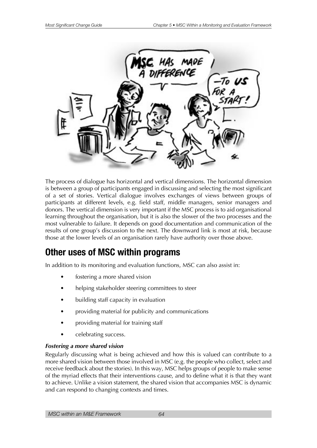

The process of dialogue has horizontal and vertical dimensions. The horizontal dimension is between a group of participants engaged in discussing and selecting the most significant of a set of stories. Vertical dialogue involves exchanges of views between groups of participants at different levels, e.g. field staff, middle managers, senior managers and donors. The vertical dimension is very important if the MSC process is to aid organisational learning throughout the organisation, but it is also the slower of the two processes and the most vulnerable to failure. It depends on good documentation and communication of the results of one group's discussion to the next. The downward link is most at risk, because those at the lower levels of an organisation rarely have authority over those above.

### **Other uses of MSC within programs**

In addition to its monitoring and evaluation functions, MSC can also assist in:

- fostering a more shared vision
- helping stakeholder steering committees to steer
- building staff capacity in evaluation
- providing material for publicity and communications
- providing material for training staff
- celebrating success.

### *Fostering a more shared vision*

Regularly discussing what is being achieved and how this is valued can contribute to a more shared vision between those involved in MSC (e.g. the people who collect, select and receive feedback about the stories). In this way, MSC helps groups of people to make sense of the myriad effects that their interventions cause, and to define what it is that they want to achieve. Unlike a vision statement, the shared vision that accompanies MSC is dynamic and can respond to changing contexts and times.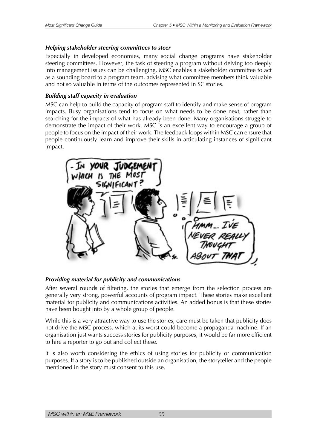### *Helping stakeholder steering committees to steer*

Especially in developed economies, many social change programs have stakeholder steering committees. However, the task of steering a program without delving too deeply into management issues can be challenging. MSC enables a stakeholder committee to act as a sounding board to a program team, advising what committee members think valuable and not so valuable in terms of the outcomes represented in SC stories.

### *Building staff capacity in evaluation*

MSC can help to build the capacity of program staff to identify and make sense of program impacts. Busy organisations tend to focus on what needs to be done next, rather than searching for the impacts of what has already been done. Many organisations struggle to demonstrate the impact of their work. MSC is an excellent way to encourage a group of people to focus on the impact of their work. The feedback loops within MSC can ensure that people continuously learn and improve their skills in articulating instances of significant impact.



### *Providing material for publicity and communications*

After several rounds of filtering, the stories that emerge from the selection process are generally very strong, powerful accounts of program impact. These stories make excellent material for publicity and communications activities. An added bonus is that these stories have been bought into by a whole group of people.

While this is a very attractive way to use the stories, care must be taken that publicity does not drive the MSC process, which at its worst could become a propaganda machine. If an organisation just wants success stories for publicity purposes, it would be far more efficient to hire a reporter to go out and collect these.

It is also worth considering the ethics of using stories for publicity or communication purposes. If a story is to be published outside an organisation, the storyteller and the people mentioned in the story must consent to this use.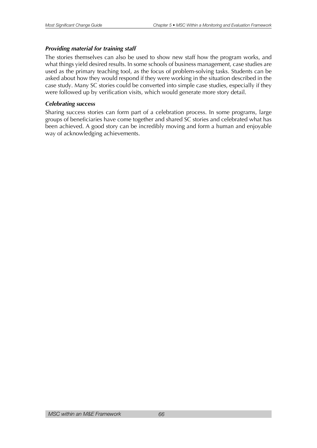### *Providing material for training staff*

The stories themselves can also be used to show new staff how the program works, and what things yield desired results. In some schools of business management, case studies are used as the primary teaching tool, as the focus of problem-solving tasks. Students can be asked about how they would respond if they were working in the situation described in the case study. Many SC stories could be converted into simple case studies, especially if they were followed up by verification visits, which would generate more story detail.

### *Celebrating success*

Sharing success stories can form part of a celebration process. In some programs, large groups of beneficiaries have come together and shared SC stories and celebrated what has been achieved. A good story can be incredibly moving and form a human and enjoyable way of acknowledging achievements.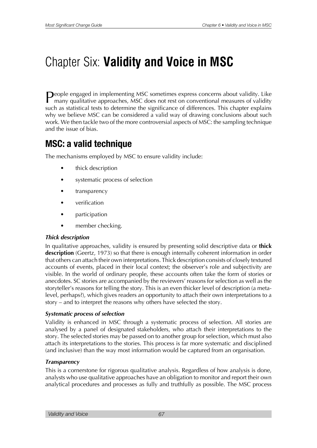# Chapter Six: **Validity and Voice in MSC**

**P**eople engaged in implementing MSC sometimes express concerns about validity. Like many qualitative approaches, MSC does not rest on conventional measures of validity such as statistical tests to determine the significance of differences. This chapter explains why we believe MSC can be considered a valid way of drawing conclusions about such work. We then tackle two of the more controversial aspects of MSC: the sampling technique and the issue of bias.

### **MSC: a valid technique**

The mechanisms employed by MSC to ensure validity include:

- thick description
- systematic process of selection
- transparency
- verification
- participation
- member checking.

### *Thick description*

In qualitative approaches, validity is ensured by presenting solid descriptive data or **thick description** (Geertz, 1973) so that there is enough internally coherent information in order that others can attach their own interpretations. Thick description consists of closely textured accounts of events, placed in their local context; the observer's role and subjectivity are visible. In the world of ordinary people, these accounts often take the form of stories or anecdotes. SC stories are accompanied by the reviewers' reasons for selection as well as the storyteller's reasons for telling the story. This is an even thicker level of description (a metalevel, perhaps?), which gives readers an opportunity to attach their own interpretations to a story – and to interpret the reasons why others have selected the story.

### *Systematic process of selection*

Validity is enhanced in MSC through a systematic process of selection. All stories are analysed by a panel of designated stakeholders, who attach their interpretations to the story. The selected stories may be passed on to another group for selection, which must also attach its interpretations to the stories. This process is far more systematic and disciplined (and inclusive) than the way most information would be captured from an organisation.

### *Transparency*

This is a cornerstone for rigorous qualitative analysis. Regardless of how analysis is done, analysts who use qualitative approaches have an obligation to monitor and report their own analytical procedures and processes as fully and truthfully as possible. The MSC process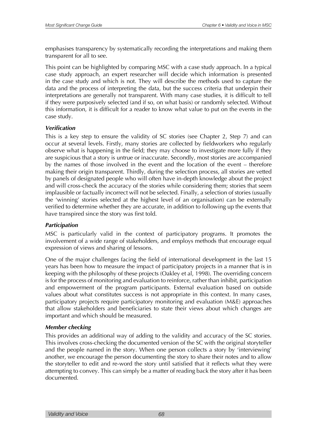emphasises transparency by systematically recording the interpretations and making them transparent for all to see.

This point can be highlighted by comparing MSC with a case study approach. In a typical case study approach, an expert researcher will decide which information is presented in the case study and which is not. They will describe the methods used to capture the data and the process of interpreting the data, but the success criteria that underpin their interpretations are generally not transparent. With many case studies, it is difficult to tell if they were purposively selected (and if so, on what basis) or randomly selected. Without this information, it is difficult for a reader to know what value to put on the events in the case study.

### *Verification*

This is a key step to ensure the validity of SC stories (see Chapter 2, Step 7) and can occur at several levels. Firstly, many stories are collected by fieldworkers who regularly observe what is happening in the field; they may choose to investigate more fully if they are suspicious that a story is untrue or inaccurate. Secondly, most stories are accompanied by the names of those involved in the event and the location of the event – therefore making their origin transparent. Thirdly, during the selection process, all stories are vetted by panels of designated people who will often have in-depth knowledge about the project and will cross-check the accuracy of the stories while considering them; stories that seem implausible or factually incorrect will not be selected. Finally, a selection of stories (usually the 'winning' stories selected at the highest level of an organisation) can be externally verified to determine whether they are accurate, in addition to following up the events that have transpired since the story was first told.

### *Participation*

MSC is particularly valid in the context of participatory programs. It promotes the involvement of a wide range of stakeholders, and employs methods that encourage equal expression of views and sharing of lessons.

One of the major challenges facing the field of international development in the last 15 years has been how to measure the impact of participatory projects in a manner that is in keeping with the philosophy of these projects (Oakley et al, 1998). The overriding concern is for the process of monitoring and evaluation to reinforce, rather than inhibit, participation and empowerment of the program participants. External evaluation based on outside values about what constitutes success is not appropriate in this context. In many cases, participatory projects require participatory monitoring and evaluation (M&E) approaches that allow stakeholders and beneficiaries to state their views about which changes are important and which should be measured.

### *Member checking*

This provides an additional way of adding to the validity and accuracy of the SC stories. This involves cross-checking the documented version of the SC with the original storyteller and the people named in the story. When one person collects a story by 'interviewing' another, we encourage the person documenting the story to share their notes and to allow the storyteller to edit and re-word the story until satisfied that it reflects what they were attempting to convey. This can simply be a matter of reading back the story after it has been documented.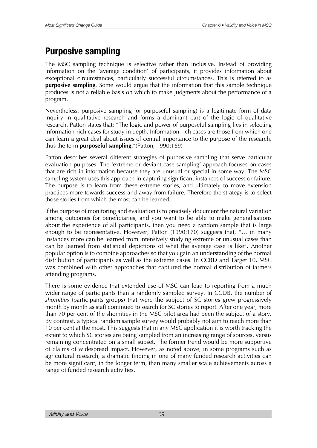### **Purposive sampling**

The MSC sampling technique is selective rather than inclusive. Instead of providing information on the 'average condition' of participants, it provides information about exceptional circumstances, particularly successful circumstances. This is referred to as **purposive sampling**. Some would argue that the information that this sample technique produces is not a reliable basis on which to make judgments about the performance of a program.

Nevertheless, purposive sampling (or purposeful sampling) is a legitimate form of data inquiry in qualitative research and forms a dominant part of the logic of qualitative research. Patton states that: "The logic and power of purposeful sampling lies in selecting information-rich cases for study in depth. Information-rich cases are those from which one can learn a great deal about issues of central importance to the purpose of the research, thus the term **purposeful sampling**."(Patton, 1990:169)

Patton describes several different strategies of purposive sampling that serve particular evaluation purposes. The 'extreme or deviant case sampling' approach focuses on cases that are rich in information because they are unusual or special in some way. The MSC sampling system uses this approach in capturing significant instances of success or failure. The purpose is to learn from these extreme stories, and ultimately to move extension practices more towards success and away from failure. Therefore the strategy is to select those stories from which the most can be learned.

If the purpose of monitoring and evaluation is to precisely document the natural variation among outcomes for beneficiaries, and you want to be able to make generalisations about the experience of all participants, then you need a random sample that is large enough to be representative. However, Patton (1990:170) suggests that, "… in many instances more can be learned from intensively studying extreme or unusual cases than can be learned from statistical depictions of what the average case is like". Another popular option is to combine approaches so that you gain an understanding of the normal distribution of participants as well as the extreme cases. In CCBD and Target 10, MSC was combined with other approaches that captured the normal distribution of farmers attending programs.

There is some evidence that extended use of MSC can lead to reporting from a much wider range of participants than a randomly sampled survey. In CCDB, the number of *shomities* (participants groups) that were the subject of SC stories grew progressively month by month as staff continued to search for SC stories to report. After one year, more than 70 per cent of the shomities in the MSC pilot area had been the subject of a story. By contrast, a typical random sample survey would probably not aim to reach more than 10 per cent at the most. This suggests that in any MSC application it is worth tracking the extent to which SC stories are being sampled from an increasing range of sources, versus remaining concentrated on a small subset. The former trend would be more supportive of claims of widespread impact. However, as noted above, in some programs such as agricultural research, a dramatic finding in one of many funded research activities can be more significant, in the longer term, than many smaller scale achievements across a range of funded research activities.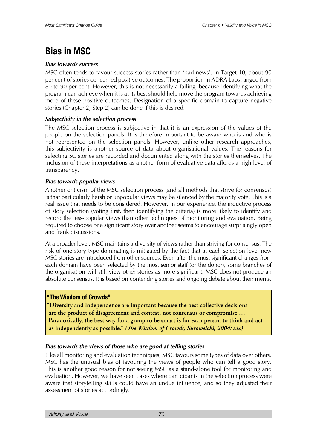### **Bias in MSC**

### *Bias towards success*

MSC often tends to favour success stories rather than 'bad news'. In Target 10, about 90 per cent of stories concerned positive outcomes. The proportion in ADRA Laos ranged from 80 to 90 per cent. However, this is not necessarily a failing, because identifying what the program can achieve when it is at its best should help move the program towards achieving more of these positive outcomes. Designation of a specific domain to capture negative stories (Chapter 2, Step 2) can be done if this is desired.

### *Subjectivity in the selection process*

The MSC selection process is subjective in that it is an expression of the values of the people on the selection panels. It is therefore important to be aware who is and who is not represented on the selection panels. However, unlike other research approaches, this subjectivity is another source of data about organisational values. The reasons for selecting SC stories are recorded and documented along with the stories themselves. The inclusion of these interpretations as another form of evaluative data affords a high level of transparency.

### *Bias towards popular views*

Another criticism of the MSC selection process (and all methods that strive for consensus) is that particularly harsh or unpopular views may be silenced by the majority vote. This is a real issue that needs to be considered. However, in our experience, the inductive process of story selection (voting first, then identifying the criteria) is more likely to identify and record the less-popular views than other techniques of monitoring and evaluation. Being required to choose one significant story over another seems to encourage surprisingly open and frank discussions.

At a broader level, MSC maintains a diversity of views rather than striving for consensus. The risk of one story type dominating is mitigated by the fact that at each selection level new MSC stories are introduced from other sources. Even after the most significant changes from each domain have been selected by the most senior staff (or the donor), some branches of the organisation will still view other stories as more significant. MSC does not produce an absolute consensus. It is based on contending stories and ongoing debate about their merits.

### **"The Wisdom of Crowds"**

**SDEEDFILL STATES IN ADDED IS STATE IN STATE IN ADDED IN ADDED IS SUPPREM** are the product of disagreement and contest, not consensus or compromise ... Paradoxically, the best way for a group to be smart is for each person to think and act as independently as possible." (The Wisdom of Crowds, Suroweicki, 2004: xix)

### *Bias towards the views of those who are good at telling stories*

Like all monitoring and evaluation techniques, MSC favours some types of data over others. MSC has the unusual bias of favouring the views of people who can tell a good story. This is another good reason for not seeing MSC as a stand-alone tool for monitoring and evaluation. However, we have seen cases where participants in the selection process were aware that storytelling skills could have an undue influence, and so they adjusted their assessment of stories accordingly.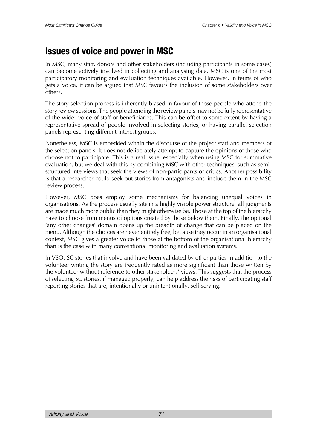### **Issues of voice and power in MSC**

In MSC, many staff, donors and other stakeholders (including participants in some cases) can become actively involved in collecting and analysing data. MSC is one of the most participatory monitoring and evaluation techniques available. However, in terms of who gets a voice, it can be argued that MSC favours the inclusion of some stakeholders over others.

The story selection process is inherently biased in favour of those people who attend the story review sessions. The people attending the review panels may not be fully representative of the wider voice of staff or beneficiaries. This can be offset to some extent by having a representative spread of people involved in selecting stories, or having parallel selection panels representing different interest groups.

Nonetheless, MSC is embedded within the discourse of the project staff and members of the selection panels. It does not deliberately attempt to capture the opinions of those who choose not to participate. This is a real issue, especially when using MSC for summative evaluation, but we deal with this by combining MSC with other techniques, such as semistructured interviews that seek the views of non-participants or critics. Another possibility is that a researcher could seek out stories from antagonists and include them in the MSC review process.

However, MSC does employ some mechanisms for balancing unequal voices in organisations. As the process usually sits in a highly visible power structure, all judgments are made much more public than they might otherwise be. Those at the top of the hierarchy have to choose from menus of options created by those below them. Finally, the optional 'any other changes' domain opens up the breadth of change that can be placed on the menu. Although the choices are never entirely free, because they occur in an organisational context, MSC gives a greater voice to those at the bottom of the organisational hierarchy than is the case with many conventional monitoring and evaluation systems.

In VSO, SC stories that involve and have been validated by other parties in addition to the volunteer writing the story are frequently rated as more significant than those written by the volunteer without reference to other stakeholders' views. This suggests that the process of selecting SC stories, if managed properly, can help address the risks of participating staff reporting stories that are, intentionally or unintentionally, self-serving.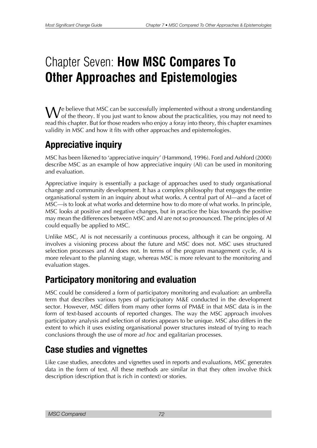# Chapter Seven: **How MSC Compares To Other Approaches and Epistemologies**

We believe that MSC can be successfully implemented without a strong understanding<br>of the theory. If you just want to know about the practicalities, you may not need to read this chapter. But for those readers who enjoy a foray into theory, this chapter examines validity in MSC and how it fits with other approaches and epistemologies.

## **Appreciative inquiry**

MSC has been likened to 'appreciative inquiry' (Hammond, 1996). Ford and Ashford (2000) describe MSC as an example of how appreciative inquiry (AI) can be used in monitoring and evaluation.

Appreciative inquiry is essentially a package of approaches used to study organisational change and community development. It has a complex philosophy that engages the entire organisational system in an inquiry about what works. A central part of AI—and a facet of MSC—is to look at what works and determine how to do more of what works. In principle, MSC looks at positive and negative changes, but in practice the bias towards the positive may mean the differences between MSC and AI are not so pronounced. The principles of AI could equally be applied to MSC.

Unlike MSC, AI is not necessarily a continuous process, although it can be ongoing. AI involves a visioning process about the future and MSC does not. MSC uses structured selection processes and AI does not. In terms of the program management cycle, AI is more relevant to the planning stage, whereas MSC is more relevant to the monitoring and evaluation stages.

# **Participatory monitoring and evaluation**

MSC could be considered a form of participatory monitoring and evaluation: an umbrella term that describes various types of participatory M&E conducted in the development sector. However, MSC differs from many other forms of PM&E in that MSC data is in the form of text-based accounts of reported changes. The way the MSC approach involves participatory analysis and selection of stories appears to be unique. MSC also differs in the extent to which it uses existing organisational power structures instead of trying to reach conclusions through the use of more *ad hoc* and egalitarian processes.

# **Case studies and vignettes**

Like case studies, anecdotes and vignettes used in reports and evaluations, MSC generates data in the form of text. All these methods are similar in that they often involve thick description (description that is rich in context) or stories.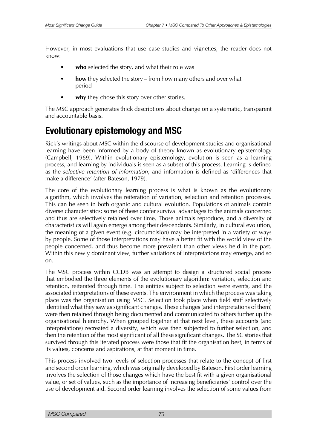However, in most evaluations that use case studies and vignettes, the reader does not know:

- who selected the story, and what their role was
- **how** they selected the story from how many others and over what period
- why they chose this story over other stories.

The MSC approach generates thick descriptions about change on a systematic, transparent and accountable basis.

# **Evolutionary epistemology and MSC**

Rick's writings about MSC within the discourse of development studies and organisational learning have been informed by a body of theory known as evolutionary epistemology (Campbell, 1969). Within evolutionary epistemology, evolution is seen as a learning process, and learning by individuals is seen as a subset of this process. Learning is defined as the *selective retention of information*, and information is defined as 'differences that make a difference' (after Bateson, 1979).

The core of the evolutionary learning process is what is known as the evolutionary algorithm, which involves the reiteration of variation, selection and retention processes. This can be seen in both organic and cultural evolution. Populations of animals contain diverse characteristics; some of these confer survival advantages to the animals concerned and thus are selectively retained over time. Those animals reproduce, and a diversity of characteristics will again emerge among their descendants. Similarly, in cultural evolution, the meaning of a given event (e.g. circumcision) may be interpreted in a variety of ways by people. Some of those interpretations may have a better fit with the world view of the people concerned, and thus become more prevalent than other views held in the past. Within this newly dominant view, further variations of interpretations may emerge, and so on.

The MSC process within CCDB was an attempt to design a structured social process that embodied the three elements of the evolutionary algorithm: variation, selection and retention, reiterated through time. The entities subject to selection were events, and the associated interpretations of these events. The environment in which the process was taking place was the organisation using MSC. Selection took place when field staff selectively identified what they saw as significant changes. These changes (and interpretations of them) were then retained through being documented and communicated to others further up the organisational hierarchy. When grouped together at that next level, these accounts (and interpretations) recreated a diversity, which was then subjected to further selection, and then the retention of the most significant of all these significant changes. The SC stories that survived through this iterated process were those that fit the organisation best, in terms of its values, concerns and aspirations, at that moment in time.

This process involved two levels of selection processes that relate to the concept of first and second order learning, which was originally developed by Bateson. First order learning involves the selection of those changes which have the best fit with a given organisational value, or set of values, such as the importance of increasing beneficiaries' control over the use of development aid. Second order learning involves the selection of some values from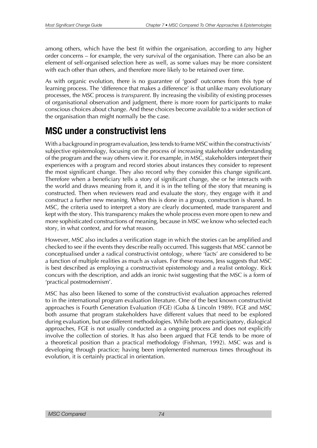among others, which have the best fit within the organisation, according to any higher order concerns – for example, the very survival of the organisation. There can also be an element of self-organised selection here as well, as some values may be more consistent with each other than others, and therefore more likely to be retained over time.

As with organic evolution, there is no guarantee of 'good' outcomes from this type of learning process. The 'difference that makes a difference' is that unlike many evolutionary processes, the MSC process is *transparent*. By increasing the visibility of existing processes of organisational observation and judgment, there is more room for participants to make conscious choices about change. And these choices become available to a wider section of the organisation than might normally be the case.

# **MSC under a constructivist lens**

With a background in program evaluation, Jess tends to frame MSC within the constructivists' subjective epistemology, focusing on the process of increasing stakeholder understanding of the program and the way others view it. For example, in MSC, stakeholders interpret their experiences with a program and record stories about instances they consider to represent the most significant change. They also record why they consider this change significant. Therefore when a beneficiary tells a story of significant change, she or he interacts with the world and draws meaning from it, and it is in the telling of the story that meaning is constructed. Then when reviewers read and evaluate the story, they engage with it and construct a further new meaning. When this is done in a group, construction is shared. In MSC, the criteria used to interpret a story are clearly documented, made transparent and kept with the story. This transparency makes the whole process even more open to new and more sophisticated constructions of meaning, because in MSC we know who selected each story, in what context, and for what reason.

However, MSC also includes a verification stage in which the stories can be amplified and checked to see if the events they describe really occurred. This suggests that MSC cannot be conceptualised under a radical constructivist ontology, where 'facts' are considered to be a function of multiple realities as much as values. For these reasons, Jess suggests that MSC is best described as employing a constructivist epistemology and a realist ontology. Rick concurs with the description, and adds an ironic twist suggesting that the MSC is a form of 'practical postmodernism'.

MSC has also been likened to some of the constructivist evaluation approaches referred to in the international program evaluation literature. One of the best known constructivist approaches is Fourth Generation Evaluation (FGE) (Guba & Lincoln 1989). FGE and MSC both assume that program stakeholders have different values that need to be explored during evaluation, but use different methodologies. While both are participatory, dialogical approaches, FGE is not usually conducted as a ongoing process and does not explicitly involve the collection of stories. It has also been argued that FGE tends to be more of a theoretical position than a practical methodology (Fishman, 1992). MSC was and is developing through practice; having been implemented numerous times throughout its evolution, it is certainly practical in orientation.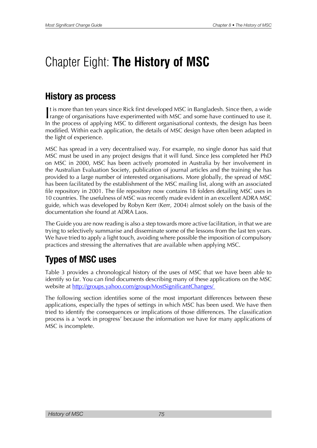# Chapter Eight: **The History of MSC**

# **History as process**

It is more than ten years since Rick first developed MSC in Bangladesh. Since then, a wide range of organisations have experimented with MSC and some have continued to use it. It is more than ten years since Rick first developed MSC in Bangladesh. Since then, a wide In the process of applying MSC to different organisational contexts, the design has been modified. Within each application, the details of MSC design have often been adapted in the light of experience.

MSC has spread in a very decentralised way. For example, no single donor has said that MSC must be used in any project designs that it will fund. Since Jess completed her PhD on MSC in 2000, MSC has been actively promoted in Australia by her involvement in the Australian Evaluation Society, publication of journal articles and the training she has provided to a large number of interested organisations. More globally, the spread of MSC has been facilitated by the establishment of the MSC mailing list, along with an associated file repository in 2001. The file repository now contains 18 folders detailing MSC uses in 10 countries. The usefulness of MSC was recently made evident in an excellent ADRA MSC guide, which was developed by Robyn Kerr (Kerr, 2004) almost solely on the basis of the documentation she found at ADRA Laos.

The Guide you are now reading is also a step towards more active facilitation, in that we are trying to selectively summarise and disseminate some of the lessons from the last ten years. We have tried to apply a light touch, avoiding where possible the imposition of compulsory practices and stressing the alternatives that are available when applying MSC.

# **Types of MSC uses**

Table 3 provides a chronological history of the uses of MSC that we have been able to identify so far. You can find documents describing many of these applications on the MSC website at <http://groups.yahoo.com/group/MostSignificantChanges/>

The following section identifies some of the most important differences between these applications, especially the types of settings in which MSC has been used. We have then tried to identify the consequences or implications of those differences. The classification process is a 'work in progress' because the information we have for many applications of MSC is incomplete.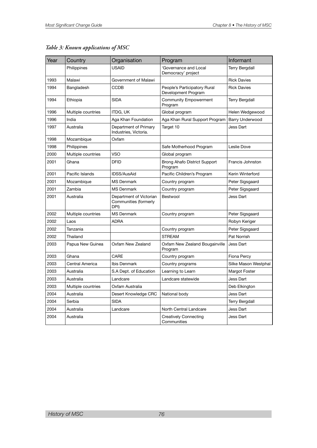| Year | Country            | Organisation                                             | Program                                             | Informant              |
|------|--------------------|----------------------------------------------------------|-----------------------------------------------------|------------------------|
|      | Philippines        | <b>USAID</b>                                             | 'Governance and Local<br>Democracy' project         | <b>Terry Bergdall</b>  |
| 1993 | Malawi             | Government of Malawi                                     |                                                     | <b>Rick Davies</b>     |
| 1994 | Bangladesh         | <b>CCDB</b>                                              | People's Participatory Rural<br>Development Program | <b>Rick Davies</b>     |
| 1994 | Ethiopia           | <b>SIDA</b>                                              | <b>Community Empowerment</b><br>Program             | <b>Terry Bergdall</b>  |
| 1996 | Multiple countries | <b>ITDG, UK</b>                                          | Global program                                      | Helen Wedgewood        |
| 1996 | India              | Aga Khan Foundation                                      | Aga Khan Rural Support Program                      | <b>Barry Underwood</b> |
| 1997 | Australia          | Department of Primary<br>Industries, Victoria.           | Target 10                                           | Jess Dart              |
| 1998 | Mozambique         | Oxfam                                                    |                                                     |                        |
| 1998 | Philippines        |                                                          | Safe Motherhood Program                             | Leslie Dove            |
| 2000 | Multiple countries | <b>VSO</b>                                               | Global program                                      |                        |
| 2001 | Ghana              | <b>DFID</b>                                              | Brong Ahafo District Support<br>Program             | Francis Johnston       |
| 2001 | Pacific Islands    | <b>IDSS/AusAid</b>                                       | Pacific Children's Program                          | Kerin Winterford       |
| 2001 | Mozambique         | <b>MS Denmark</b>                                        | Country program                                     | Peter Sigsgaard        |
| 2001 | Zambia             | <b>MS Denmark</b>                                        | Country program                                     | Peter Sigsgaard        |
| 2001 | Australia          | Department of Victorian<br>Communities (formerly<br>DPI) | Bestwool                                            | Jess Dart              |
| 2002 | Multiple countries | <b>MS Denmark</b>                                        | Country program                                     | Peter Sigsgaard        |
| 2002 | Laos               | <b>ADRA</b>                                              |                                                     | Robyn Keriger          |
| 2002 | Tanzania           |                                                          | Country program                                     | Peter Sigsgaard        |
| 2002 | Thailand           |                                                          | <b>STREAM</b>                                       | Pat Norrish            |
| 2003 | Papua New Guinea   | Oxfam New Zealand                                        | Oxfam New Zealand Bougainville<br>Program           | Jess Dart              |
| 2003 | Ghana              | CARE                                                     | Country program                                     | Fiona Percy            |
| 2003 | Central America    | Ibis Denmark                                             | Country programs                                    | Silke Mason Westphal   |
| 2003 | Australia          | S.A Dept. of Education                                   | Learning to Learn                                   | Margot Foster          |
| 2003 | Australia          | Landcare                                                 | Landcare statewide                                  | Jess Dart              |
| 2003 | Multiple countries | Oxfam Australia                                          |                                                     | Deb Elkington          |
| 2004 | Australia          | Desert Knowledge CRC                                     | National body                                       | Jess Dart              |
| 2004 | Serbia             | <b>SIDA</b>                                              |                                                     | Terry Bergdall         |
| 2004 | Australia          | Landcare                                                 | North Central Landcare                              | Jess Dart              |
| 2004 | Australia          |                                                          | <b>Creatively Connecting</b><br>Communities         | Jess Dart              |

#### *Table 3: Known applications of MSC*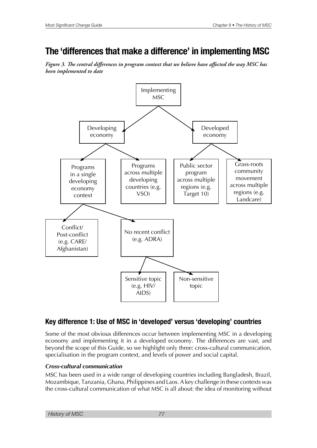# **The 'differences that make a difference' in implementing MSC**

Figure 3. The central differences in program context that we believe have affected the way MSC has *been implemented to date* 



### **Key difference 1: Use of MSC in 'developed' versus 'developing' countries**

Some of the most obvious differences occur between implementing MSC in a developing economy and implementing it in a developed economy. The differences are vast, and beyond the scope of this Guide, so we highlight only three: cross-cultural communication, specialisation in the program context, and levels of power and social capital.

#### *Cross-cultural communication*

MSC has been used in a wide range of developing countries including Bangladesh, Brazil, Mozambique, Tanzania, Ghana, Philippines and Laos. A key challenge in these contexts was the cross-cultural communication of what MSC is all about: the idea of monitoring without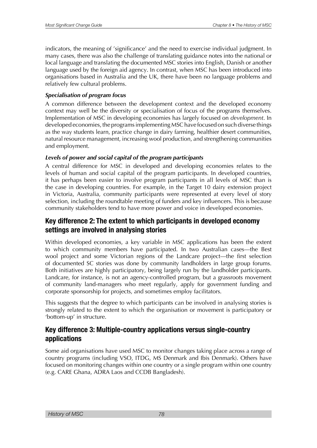indicators, the meaning of 'significance' and the need to exercise individual judgment. In many cases, there was also the challenge of translating guidance notes into the national or local language and translating the documented MSC stories into English, Danish or another language used by the foreign aid agency. In contrast, when MSC has been introduced into organisations based in Australia and the UK, there have been no language problems and relatively few cultural problems.

#### *Specialisation of program focus*

A common difference between the development context and the developed economy context may well be the diversity or specialisation of focus of the programs themselves. Implementation of MSC in developing economies has largely focused on *development*. In developed economies, the programs implementing MSC have focused on such diverse things as the way students learn, practice change in dairy farming, healthier desert communities, natural resource management, increasing wool production, and strengthening communities and employment.

#### *Levels of power and social capital of the program participants*

A central difference for MSC in developed and developing economies relates to the levels of human and social capital of the program participants. In developed countries, it has perhaps been easier to involve program participants in all levels of MSC than is the case in developing countries. For example, in the Target 10 dairy extension project in Victoria, Australia, community participants were represented at every level of story selection, including the roundtable meeting of funders and key influencers. This is because community stakeholders tend to have more power and voice in developed economies.

### **Key difference 2: The extent to which participants in developed economy settings are involved in analysing stories**

Within developed economies, a key variable in MSC applications has been the extent to which community members have participated. In two Australian cases—the Best wool project and some Victorian regions of the Landcare project—the first selection of documented SC stories was done by community landholders in large group forums. Both initiatives are highly participatory, being largely run by the landholder participants. Landcare, for instance, is not an agency-controlled program, but a grassroots movement of community land-managers who meet regularly, apply for government funding and corporate sponsorship for projects, and sometimes employ facilitators.

This suggests that the degree to which participants can be involved in analysing stories is strongly related to the extent to which the organisation or movement is participatory or 'bottom-up' in structure.

### **Key difference 3: Multiple-country applications versus single-country applications**

Some aid organisations have used MSC to monitor changes taking place across a range of country programs (including VSO, ITDG, MS Denmark and Ibis Denmark). Others have focused on monitoring changes within one country or a single program within one country (e.g. CARE Ghana, ADRA Laos and CCDB Bangladesh).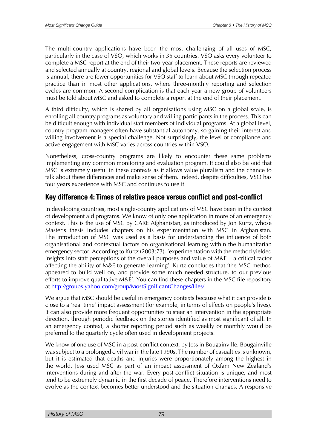The multi-country applications have been the most challenging of all uses of MSC, particularly in the case of VSO, which works in 35 countries. VSO asks every volunteer to complete a MSC report at the end of their two-year placement. These reports are reviewed and selected annually at country, regional and global levels. Because the selection process is annual, there are fewer opportunities for VSO staff to learn about MSC through repeated practice than in most other applications, where three-monthly reporting and selection cycles are common. A second complication is that each year a new group of volunteers must be told about MSC and asked to complete a report at the end of their placement.

A third difficulty, which is shared by all organisations using MSC on a global scale, is enrolling all country programs as voluntary and willing participants in the process. This can be difficult enough with individual staff members of individual programs. At a global level, country program managers often have substantial autonomy, so gaining their interest and willing involvement is a special challenge. Not surprisingly, the level of compliance and active engagement with MSC varies across countries within VSO.

Nonetheless, cross-country programs are likely to encounter these same problems implementing any common monitoring and evaluation program. It could also be said that MSC is extremely useful in these contexts as it allows value pluralism and the chance to talk about these differences and make sense of them. Indeed, despite difficulties, VSO has four years experience with MSC and continues to use it.

### **Key difference 4: Times of relative peace versus confict and post-confict**

In developing countries, most single-country applications of MSC have been in the context of development aid programs. We know of only one application in more of an emergency context. This is the use of MSC by CARE Afghanistan, as introduced by Jon Kurtz, whose Master's thesis includes chapters on his experimentation with MSC in Afghanistan. The introduction of MSC was used as a basis for understanding the influence of both organisational and contextual factors on organisational learning within the humanitarian emergency sector. According to Kurtz (2003:73), 'experimentation with the method yielded insights into staff perceptions of the overall purposes and value of M&E – a critical factor affecting the ability of M&E to generate learning'. Kurtz concludes that 'the MSC method appeared to build well on, and provide some much needed structure, to our previous efforts to improve qualitative M&E'. You can find these chapters in the MSC file repository at <http://groups.yahoo.com/group/MostSignificantChanges/files/>

We argue that MSC should be useful in emergency contexts because what it can provide is close to a 'real time' impact assessment (for example, in terms of effects on people's lives). It can also provide more frequent opportunities to steer an intervention in the appropriate direction, through periodic feedback on the stories identified as most significant of all. In an emergency context, a shorter reporting period such as weekly or monthly would be preferred to the quarterly cycle often used in development projects.

We know of one use of MSC in a post-conflict context, by Jess in Bougainville. Bougainville was subject to a prolonged civil war in the late 1990s. The number of casualties is unknown, but it is estimated that deaths and injuries were proportionately among the highest in the world. Jess used MSC as part of an impact assessment of Oxfam New Zealand's interventions during and after the war. Every post-conflict situation is unique, and most tend to be extremely dynamic in the first decade of peace. Therefore interventions need to evolve as the context becomes better understood and the situation changes. A responsive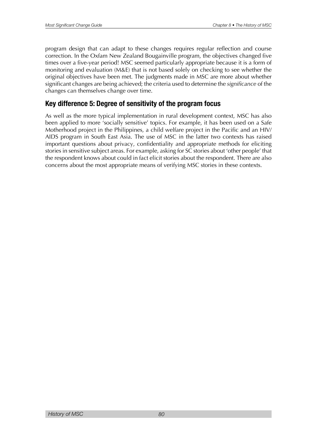program design that can adapt to these changes requires regular reflection and course correction. In the Oxfam New Zealand Bougainville program, the objectives changed five times over a five-year period! MSC seemed particularly appropriate because it is a form of monitoring and evaluation (M&E) that is not based solely on checking to see whether the original objectives have been met. The judgments made in MSC are more about whether significant changes are being achieved; the criteria used to determine the *significance* of the changes can themselves change over time.

### **Key difference 5: Degree of sensitivity of the program focus**

As well as the more typical implementation in rural development context, MSC has also been applied to more 'socially sensitive' topics. For example, it has been used on a Safe Motherhood project in the Philippines, a child welfare project in the Pacific and an HIV/ AIDS program in South East Asia. The use of MSC in the latter two contexts has raised important questions about privacy, confidentiality and appropriate methods for eliciting stories in sensitive subject areas. For example, asking for SC stories about 'other people' that the respondent knows about could in fact elicit stories about the respondent. There are also concerns about the most appropriate means of verifying MSC stories in these contexts.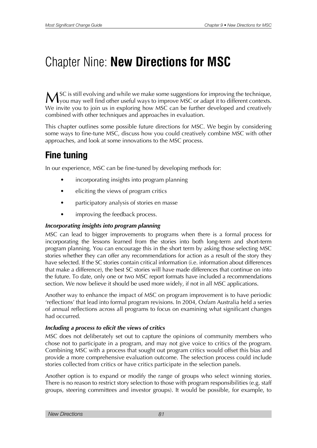# Chapter Nine: **New Directions for MSC**

MSC is still evolving and while we make some suggestions for improving the technique,<br>you may well find other useful ways to improve MSC or adapt it to different contexts. We invite you to join us in exploring how MSC can be further developed and creatively combined with other techniques and approaches in evaluation.

This chapter outlines some possible future directions for MSC. We begin by considering some ways to fine-tune MSC, discuss how you could creatively combine MSC with other approaches, and look at some innovations to the MSC process.

# **Fine tuning**

In our experience, MSC can be fine-tuned by developing methods for:

- incorporating insights into program planning
- eliciting the views of program critics
- participatory analysis of stories en masse
- improving the feedback process.

#### *Incorporating insights into program planning*

MSC can lead to bigger improvements to programs when there is a formal process for incorporating the lessons learned from the stories into both long-term and short-term program planning. You can encourage this in the short term by asking those selecting MSC stories whether they can offer any recommendations for action as a result of the story they have selected. If the SC stories contain critical information (i.e. information about differences that make a difference), the best SC stories will have made differences that continue on into the future. To date, only one or two MSC report formats have included a recommendations section. We now believe it should be used more widely, if not in all MSC applications.

Another way to enhance the impact of MSC on program improvement is to have periodic 'reflections' that lead into formal program revisions. In 2004, Oxfam Australia held a series of annual reflections across all programs to focus on examining what significant changes had occurred.

#### *Including a process to elicit the views of critics*

MSC does not deliberately set out to capture the opinions of community members who chose not to participate in a program, and may not give voice to critics of the program. Combining MSC with a process that sought out program critics would offset this bias and provide a more comprehensive evaluation outcome. The selection process could include stories collected from critics or have critics participate in the selection panels.

Another option is to expand or modify the range of groups who select winning stories. There is no reason to restrict story selection to those with program responsibilities (e.g. staff groups, steering committees and investor groups). It would be possible, for example, to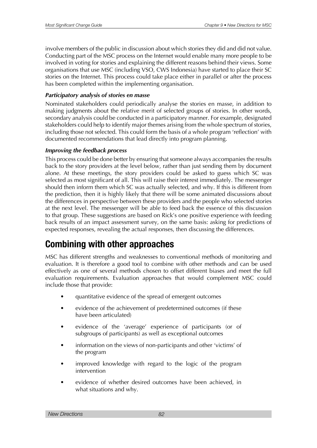involve members of the public in discussion about which stories they did and did not value. Conducting part of the MSC process on the Internet would enable many more people to be involved in voting for stories and explaining the different reasons behind their views. Some organisations that use MSC (including VSO, CWS Indonesia) have started to place their SC stories on the Internet. This process could take place either in parallel or after the process has been completed within the implementing organisation.

#### *Participatory analysis of stories en masse*

Nominated stakeholders could periodically analyse the stories en masse, in addition to making judgments about the relative merit of selected groups of stories. In other words, secondary analysis could be conducted in a participatory manner. For example, designated stakeholders could help to identify major themes arising from the whole spectrum of stories, including those not selected. This could form the basis of a whole program 'reflection' with documented recommendations that lead directly into program planning.

#### *Improving the feedback process*

This process could be done better by ensuring that someone always accompanies the results back to the story providers at the level below, rather than just sending them by document alone. At these meetings, the story providers could be asked to guess which SC was selected as most significant of all. This will raise their interest immediately. The messenger should then inform them which SC was actually selected, and why. If this is different from the prediction, then it is highly likely that there will be some animated discussions about the differences in perspective between these providers and the people who selected stories at the next level. The messenger will be able to feed back the essence of this discussion to that group. These suggestions are based on Rick's one positive experience with feeding back results of an impact assessment survey, on the same basis: asking for predictions of expected responses, revealing the actual responses, then discussing the differences.

## **Combining with other approaches**

MSC has different strengths and weaknesses to conventional methods of monitoring and evaluation. It is therefore a good tool to combine with other methods and can be used effectively as one of several methods chosen to offset different biases and meet the full evaluation requirements. Evaluation approaches that would complement MSC could include those that provide:

- quantitative evidence of the spread of emergent outcomes
- evidence of the achievement of predetermined outcomes (if these have been articulated)
- evidence of the 'average' experience of participants (or of subgroups of participants) as well as exceptional outcomes
- information on the views of non-participants and other 'victims' of the program
- improved knowledge with regard to the logic of the program intervention
- evidence of whether desired outcomes have been achieved, in what situations and why.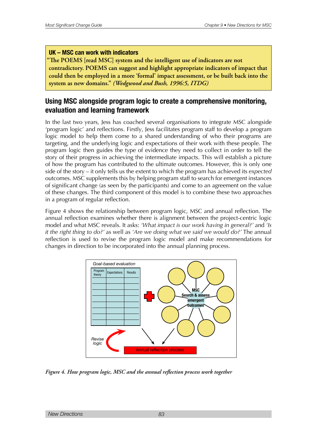#### **UK – MSC can work with indicators**

**"The POEMS [read MSC] system and the intelligent use of indicators are not** contradictory. POEMS can suggest and highlight appropriate indicators of impact that could then be employed in a more 'formal' impact assessment, or be built back into the system as new domains." *(Wedgwood and Bush, 1996:5, ITDG)* 

### **Using MSC alongside program logic to create a comprehensive monitoring, evaluation and learning framework**

In the last two years, Jess has coached several organisations to integrate MSC alongside 'program logic' and reflections. Firstly, Jess facilitates program staff to develop a program logic model to help them come to a shared understanding of who their programs are targeting, and the underlying logic and expectations of their work with these people. The program logic then guides the type of evidence they need to collect in order to tell the story of their progress in achieving the intermediate impacts. This will establish a picture of how the program has contributed to the ultimate outcomes. However, this is only one side of the story – it only tells us the extent to which the program has achieved its *expected* outcomes. MSC supplements this by helping program staff to search for emergent instances of significant change (as seen by the participants) and come to an agreement on the value of these changes. The third component of this model is to combine these two approaches in a program of regular reflection.

Figure 4 shows the relationship between program logic, MSC and annual reflection. The annual reflection examines whether there is alignment between the project-centric logic model and what MSC reveals. It asks: *'What impact is our work having in general?'* and *'Is it the right thing to do?'* as well as *'Are we doing what we said we would do?'* The annual reflection is used to revise the program logic model and make recommendations for changes in direction to be incorporated into the annual planning process.



Figure 4. How program logic, MSC and the annual reflection process work together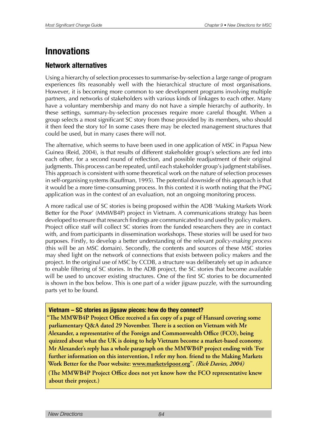# **Innovations**

### **Network alternatives**

Using a hierarchy of selection processes to summarise-by-selection a large range of program experiences fits reasonably well with the hierarchical structure of most organisations. However, it is becoming more common to see development programs involving multiple partners, and networks of stakeholders with various kinds of linkages to each other. Many have a voluntary membership and many do not have a simple hierarchy of authority. In these settings, summary-by-selection processes require more careful thought. When a group selects a most significant SC story from those provided by its members, who should it then feed the story to? In some cases there may be elected management structures that could be used, but in many cases there will not.

The alternative, which seems to have been used in one application of MSC in Papua New Guinea (Reid, 2004), is that results of different stakeholder group's selections are fed into each other, for a second round of reflection, and possible readjustment of their original judgments. This process can be repeated, until each stakeholder group's judgment stabilises. This approach is consistent with some theoretical work on the nature of selection processes in self-organising systems (Kauffman, 1995). The potential downside of this approach is that it would be a more time-consuming process. In this context it is worth noting that the PNG application was in the context of an evaluation, not an ongoing monitoring process.

A more radical use of SC stories is being proposed within the ADB 'Making Markets Work Better for the Poor' (MMWB4P) project in Vietnam. A communications strategy has been developed to ensure that research findings are communicated to and used by policy makers. Project office staff will collect SC stories from the funded researchers they are in contact with, and from participants in dissemination workshops. These stories will be used for two purposes. Firstly, to develop a better understanding of the relevant *policy-making process* (this will be an MSC domain). Secondly, the contents and sources of these MSC stories may shed light on the network of connections that exists between policy makers and the project. In the original use of MSC by CCDB, a structure was deliberately set up in advance to enable filtering of SC stories. In the ADB project, the SC stories that become available will be used to uncover existing structures. One of the first SC stories to be documented is shown in the box below. This is one part of a wider jigsaw puzzle, with the surrounding parts yet to be found.

#### **Vietnam – SC stories as jigsaw pieces: how do they connect?**

**"The MMWB4P Project Office received a fax copy of a page of Hansard covering some parliamentary Q&A dated 29 November. There is a section on Vietnam with Mr** Alexander, a representative of the Foreign and Commonwealth Office (FCO), being quizzed about what the UK is doing to help Vietnam become a market-based economy. **Mr Alexander's reply has a whole paragraph on the MMWB4P project ending with 'For** further information on this intervention, I refer my hon. friend to the Making Markets Work Better for the Poor website: <u>www.markets4poor.or</u>g". *(Rick Davies, 2004)* 

**The MMWB4P Project Office does not yet know how the FCO representative knew** about their project.)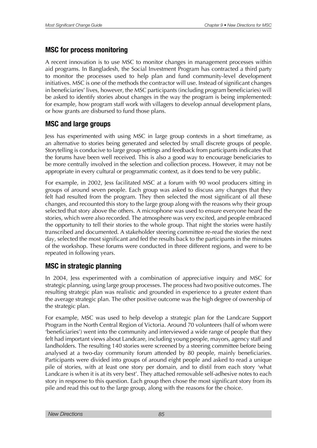### **MSC for process monitoring**

A recent innovation is to use MSC to monitor changes in management processes within aid programs. In Bangladesh, the Social Investment Program has contracted a third party to monitor the processes used to help plan and fund community-level development initiatives. MSC is one of the methods the contractor will use. Instead of significant changes in beneficiaries' lives, however, the MSC participants (including program beneficiaries) will be asked to identify stories about changes in the way the program is being implemented: for example, how program staff work with villagers to develop annual development plans, or how grants are disbursed to fund those plans.

### **MSC and large groups**

Jess has experimented with using MSC in large group contexts in a short timeframe, as an alternative to stories being generated and selected by small discrete groups of people. Storytelling is conducive to large group settings and feedback from participants indicates that the forums have been well received. This is also a good way to encourage beneficiaries to be more centrally involved in the selection and collection process. However, it may not be appropriate in every cultural or programmatic context, as it does tend to be very public.

For example, in 2002, Jess facilitated MSC at a forum with 90 wool producers sitting in groups of around seven people. Each group was asked to discuss any changes that they felt had resulted from the program. They then selected the most significant of all these changes, and recounted this story to the large group along with the reasons why their group selected that story above the others. A microphone was used to ensure everyone heard the stories, which were also recorded. The atmosphere was very excited, and people embraced the opportunity to tell their stories to the whole group. That night the stories were hastily transcribed and documented. A stakeholder steering committee re-read the stories the next day, selected the most significant and fed the results back to the participants in the minutes of the workshop. These forums were conducted in three different regions, and were to be repeated in following years.

### **MSC in strategic planning**

In 2004, Jess experimented with a combination of appreciative inquiry and MSC for strategic planning, using large group processes. The process had two positive outcomes. The resulting strategic plan was realistic and grounded in experience to a greater extent than the average strategic plan. The other positive outcome was the high degree of ownership of the strategic plan.

For example, MSC was used to help develop a strategic plan for the Landcare Support Program in the North Central Region of Victoria. Around 70 volunteers (half of whom were 'beneficiaries') went into the community and interviewed a wide range of people that they felt had important views about Landcare, including young people, mayors, agency staff and landholders. The resulting 140 stories were screened by a steering committee before being analysed at a two-day community forum attended by 80 people, mainly beneficiaries. Participants were divided into groups of around eight people and asked to read a unique pile of stories, with at least one story per domain, and to distil from each story 'what Landcare is when it is at its very best'. They attached removable self-adhesive notes to each story in response to this question. Each group then chose the most significant story from its pile and read this out to the large group, along with the reasons for the choice.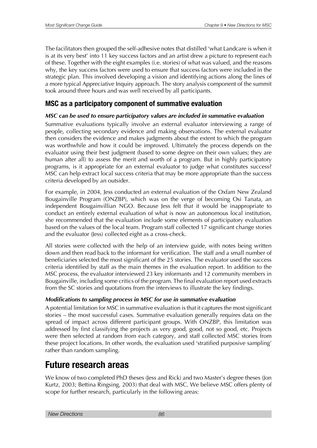The facilitators then grouped the self-adhesive notes that distilled 'what Landcare is when it is at its very best' into 11 key success factors and an artist drew a picture to represent each of these. Together with the eight examples (i.e. stories) of what was valued, and the reasons why, the key success factors were used to ensure that success factors were included in the strategic plan. This involved developing a vision and identifying actions along the lines of a more typical Appreciative Inquiry approach. The story analysis component of the summit took around three hours and was well received by all participants.

### **MSC as a participatory component of summative evaluation**

#### *MSC can be used to ensure participatory values are included in summative evaluation*

Summative evaluations typically involve an external evaluator interviewing a range of people, collecting secondary evidence and making observations. The external evaluator then considers the evidence and makes judgments about the extent to which the program was worthwhile and how it could be improved. Ultimately the process depends on the evaluator using their best judgment (based to some degree on their own values; they are human after all) to assess the merit and worth of a program. But in highly participatory programs, is it appropriate for an external evaluator to judge what constitutes success? MSC can help extract local success criteria that may be more appropriate than the success criteria developed by an outsider.

For example, in 2004, Jess conducted an external evaluation of the Oxfam New Zealand Bougainville Program (ONZBP), which was on the verge of becoming Osi Tanata, an independent Bougainvillian NGO. Because Jess felt that it would be inappropriate to conduct an entirely external evaluation of what is now an autonomous local institution, she recommended that the evaluation include some elements of participatory evaluation based on the values of the local team. Program staff collected 17 significant change stories and the evaluator (Jess) collected eight as a cross-check.

All stories were collected with the help of an interview guide, with notes being written down and then read back to the informant for verification. The staff and a small number of beneficiaries selected the most significant of the 25 stories. The evaluator used the success criteria identified by staff as the main themes in the evaluation report. In addition to the MSC process, the evaluator interviewed 23 key informants and 12 community members in Bougainville, including some critics of the program. The final evaluation report used extracts from the SC stories and quotations from the interviews to illustrate the key findings.

#### *Modifications to sampling process in MSC for use in summative evaluation*

A potential limitation for MSC in summative evaluation is that it captures the most significant stories – the most successful cases. Summative evaluation generally requires data on the spread of impact across different participant groups. With ONZBP, this limitation was addressed by first classifying the projects as very good, good, not so good, etc. Projects were then selected at random from each category, and staff collected MSC stories from these project locations. In other words, the evaluation used 'stratified purposive sampling' rather than random sampling.

### **Future research areas**

We know of two completed PhD theses (Jess and Rick) and two Master's degree theses (Jon Kurtz, 2003; Bettina Ringsing, 2003) that deal with MSC. We believe MSC offers plenty of scope for further research, particularly in the following areas: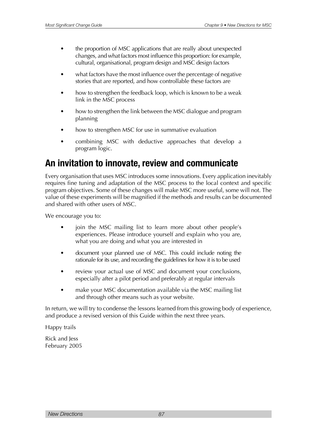- the proportion of MSC applications that are really about unexpected changes, and what factors most influence this proportion: for example, cultural, organisational, program design and MSC design factors
- what factors have the most influence over the percentage of negative stories that are reported, and how controllable these factors are
- how to strengthen the feedback loop, which is known to be a weak link in the MSC process
- how to strengthen the link between the MSC dialogue and program planning
- how to strengthen MSC for use in summative evaluation
- combining MSC with deductive approaches that develop a program logic.

### **An invitation to innovate, review and communicate**

Every organisation that uses MSC introduces some innovations. Every application inevitably requires fine tuning and adaptation of the MSC process to the local context and specific program objectives. Some of these changes will make MSC more useful, some will not. The value of these experiments will be magnified if the methods and results can be documented and shared with other users of MSC.

We encourage you to:

- join the MSC mailing list to learn more about other people's experiences. Please introduce yourself and explain who you are, what you are doing and what you are interested in
- document your planned use of MSC. This could include noting the rationale for its use, and recording the guidelines for how it is to be used
- review your actual use of MSC and document your conclusions. especially after a pilot period and preferably at regular intervals
- make your MSC documentation available via the MSC mailing list and through other means such as your website.

In return, we will try to condense the lessons learned from this growing body of experience, and produce a revised version of this Guide within the next three years.

Happy trails

Rick and Jess February 2005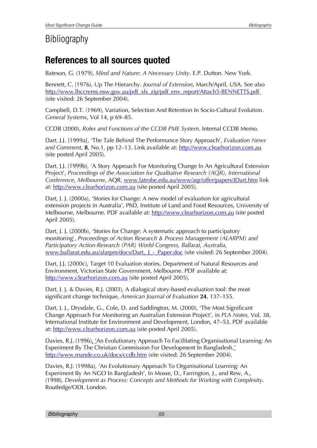# **Bibliography**

# **References to all sources quoted**

Bateson, G. (1979), *Mind and Nature: A Necessary Unity*. E.P. Dutton. New York.

Bennett, C. (1976), Up The Hierarchy. *Journal of Extension*, March/April, USA. See also [http://www.lhccrems.nsw.gov.au/pdf\\_xls\\_zip/pdf\\_env\\_report/Attach5-BENNETTS.pdf](http://www.lhccrems.nsw.gov.au/pdf_xls_zip/pdf_env_report/Attach5-BENNETTS.pdf) (site visited: 26 September 2004).

Campbell, D.T. (1969), Variation, Selection And Retention In Socio-Cultural Evolution. *General Systems*, Vol 14, p 69–85.

CCDB (2000), *Roles and Functions of the CCDB PME System*. Internal CCDB Memo.

Dart, J.J. [1999a], 'The Tale Behind The Performance Story Approach', *Evaluation News and Comment,* **8**, No.1, pp 12–13. Link available at:<http://www.clearhorizon.com.au> (site posted April 2005).

Dart, J.J. (1999b), 'A Story Approach For Monitoring Change In An Agricultural Extension Project', *Proceedings of the Association for Qualitative Research (AQR), International Conference, Melbourne*, AQR, [www.latrobe.edu.au/www/aqr/offer/papers/JDart.htm](http://www.latrobe.edu.au/www/aqr/offer/papers/JDart.htm) link at: <http://www.clearhorizon.com.au> (site posted April 2005).

Dart, J. J. (2000a), 'Stories for Change: A new model of evaluation for agricultural extension projects in Australia', PhD, Institute of Land and Food Resources, University of Melbourne, Melbourne. PDF available at: <http://www.clearhorizon.com.au>(site posted April 2005).

Dart, J. J. (2000b), 'Stories for Change: A systematic approach to participatory monitoring', *Proceedings of Action Research & Process Management (ALARPM) and Participatory Action-Research (PAR) World Congress, Ballarat, Australia*, www.ballarat.edu.au/alarpm/docs/Dart, J - Paper.doc (site visited: 26 September 2004).

Dart, J.J. (2000c), Target 10 Evaluation stories, Department of Natural Resources and Environment, Victorian State Government, Melbourne. PDF available at: <http://www.clearhorizon.com.au>(site posted April 2005).

Dart, J. J. & Davies, R.J. (2003), A dialogical story-based evaluation tool: the most significant change technique, *American Journal of Evaluation* **24**, 137–155*.*

Dart, J. J., Drysdale, G., Cole, D. and Saddington, M. (2000), 'The Most Significant Change Approach For Monitoring an Australian Extension Project', in *PLA Notes*, Vol. 38, International Institute for Environment and Development, London, 47–53. PDF available at: [http://www.clearhorizon.com.au](Http://www.clearhorizon.com.au) (site posted April 2005).

Davies, R.J. (1996), 'An Evolutionary Approach To Facilitating Organisational Learning: An Experiment By The Christian Commission For Development In Bangladesh.' <http://www.mande.co.uk/docs/ccdb.htm>(site visited: 26 September 2004).

Davies, R.J. (1998a), 'An Evolutionary Approach To Organisational Learning: An Experiment By An NGO In Bangladesh', In Mosse, D., Farrington, J., and Rew, A., (1998), *Development as Process: Concepts and Methods for Working with Complexity*. Routledge/ODI. London.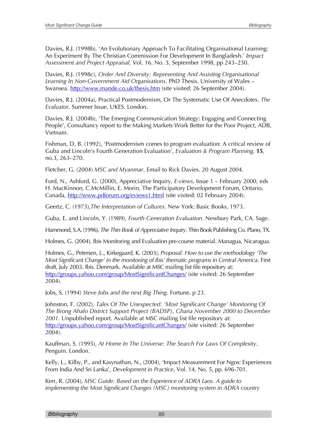Davies, R.J. (1998b), 'An Evolutionary Approach To Facilitating Organisational Learning: An Experiment By The Christian Commission For Development In Bangladesh.' *Impact Assessment and Project Appraisal,* Vol. 16. No. 3, September 1998, pp 243–250.

Davies, R.J. (1998c), *Order And Diversity: Representing And Assisting Organisational Learning In Non-Government Aid Organisations*. PhD Thesis. University of Wales – Swansea. [http://www.mande.co.uk/thesis.htm](http://www.mande.co.uk/docs/thesis.htm) (site visited: 26 September 2004).

Davies, R.J. (2004a), Practical Postmodernism, Or The Systematic Use Of Anecdotes. *The Evaluator*. Summer Issue. UKES. London.

Davies, R.J. (2004b), 'The Emerging Communication Strategy: Engaging and Connecting People', Consultancy report to the Making Markets Work Better for the Poor Project, ADB, Vietnam.

Fishman, D. B. (1992), 'Postmodernism comes to program evaluation: A critical review of Guba and Lincoln's Fourth Generation Evaluation', *Evaluation & Program Planning,* **15**, no.3, 263–270.

Fletcher, G. (2004) *MSC and Myanmar*. Email to Rick Davies. 20 August 2004.

Ford, N., Ashford, G. (2000), Appreciative Inquiry, *E-views*, Issue 1 – February 2000, eds H. MacKinnon, C.McMillin, E. Morin, The Participatory Development Forum, Ontario, Canada,<http://www.pdforum.org/eviews1.html> (site visited: 02 February 2004).

Geertz, C. (1973),*The Interpretation of Cultures*. New York: Basic Books, 1973.

Guba, E. and Lincoln, Y. (1989), *Fourth Generation Evaluation*. Newbury Park, CA. Sage.

Hammond, S.A. (1996), *The Thin Book of Appreciative Inquiry*. Thin Book Publishing Co. Plano, TX.

Holmes, G. (2004), Ibis Monitoring and Evaluation pre-course material. Managua, Nicaragua.

Holmes, G., Petersen, L., Kirkegaard, K. (2003), *Proposal: How to use the methodology 'The Most Significant Change' in the monitoring of Ibis´ thematic programs in Central America*. First draft, July 2003. Ibis. Denmark. Available at MSC mailing list file repository at: <http://groups.yahoo.com/group/MostSignificantChanges/> (site visited: 26 September 2004).

Jobs, S. (1994) *Steve Jobs and the next Big Thing*. Fortune. p 23.

Johnston, F. (2002), *Tales Of The Unexpected: 'Most Significant Change' Monitoring Of The Brong Ahafo District Support Project (BADSP), Ghana November 2000 to December 2001.* Unpublished report. Available at MSC mailing list file repository at: <http://groups.yahoo.com/group/MostSignificantChanges/> (site visited: 26 September 2004).

Kauffman, S. (1995), *At Home In The Universe: The Search For Laws Of Complexity*. Penguin. London.

Kelly, L., Kilby, P., and Kasynathan, N., (2004), 'Impact Measurement For Ngos: Experiences From India And Sri Lanka', *Development in Practice*, Vol. 14, No. 5, pp. 696-701.

Kerr, R. (2004), *MSC Guide: Based on the Experience of ADRA Laos. A guide to implementing the Most Significant Changes (MSC) monitoring system in ADRA country*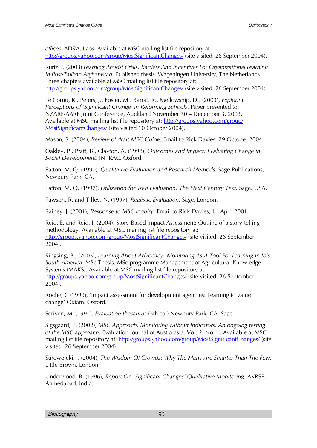*offices*. ADRA. Laos. Available at MSC mailing list file repository at: <http://groups.yahoo.com/group/MostSignificantChanges/>(site visited: 26 September 2004).

Kurtz, J. (2003) *Learning Amidst Crisis: Barriers And Incentives For Organizational Learning In Post-Taliban Afghanistan*. Published thesis, Wageningen University, The Netherlands. Three chapters available at MSC mailing list file repository at: <http://groups.yahoo.com/group/MostSignificantChanges/>(site visited: 26 September 2004).

Le Cornu, R., Peters, J., Foster, M., Barrat, R., Mellowship, D., (2003), *Exploring Perceptions of 'Significant Change' in Reforming Schools*. Paper presented to: NZARE/AARE Joint Conference, Auckland November 30 – December 3, 2003. Available at MSC mailing list file repository at: [http://groups.yahoo.com/group/](http://groups.yahoo.com/group/MostSignificantChanges/) [MostSignificantChanges/](http://groups.yahoo.com/group/MostSignificantChanges/) (site visited 10 October 2004).

Mason, S. (2004), *Review of draft MSC Guide*. Email to Rick Davies. 29 October 2004.

Oakley, P., Pratt, B., Clayton, A. (1998), *Outcomes and Impact: Evaluating Change in Social Development*. INTRAC. Oxford.

Patton, M. Q. (1990), *Qualitative Evaluation and Research Methods*. Sage Publications, Newbury Park, CA.

Patton, M. Q. (1997), *Utilization-focused Evaluation: The Next Century Text*. Sage. USA.

Pawson, R. and Tilley, N. (1997), *Realistic Evaluation,* Sage, London.

Rainey, J. (2001), *Response to MSC inquiry*. Email to Rick Davies, 11 April 2001.

Reid, E. and Reid, J. (2004), Story-Based Impact Assessment: Outline of a story-telling methodology. Available at MSC mailing list file repository at: <http://groups.yahoo.com/group/MostSignificantChanges/> (site visited: 26 September 2004).

Ringsing, B., (2003), *Learning About Advocacy: Monitoring As A Tool For Learning In Ibis South America*. MSc Thesis. MSc programme Management of Agricultural Knowledge Systems (MAKS). Available at MSC mailing list file repository at: <http://groups.yahoo.com/group/MostSignificantChanges/> (site visited: 26 September 2004).

Roche, C (1999), 'Impact assessment for development agencies: Learning to value change' Oxfam. Oxford.

Scriven, M. (1994). *Evaluation thesaurus* (5th ea.) Newbury Park, CA. Sage.

Sigsgaard, P. (2002), *MSC Approach. Monitoring without Indicators. An ongoing testing of the MSC approach*. Evaluation Journal of Australasia. Vol. 2. No. 1. Available at MSC mailing list file repository at: <http://groups.yahoo.com/group/MostSignificantChanges/>(site visited: 26 September 2004).

Suroweicki, J. (2004), *The Wisdom Of Crowds: Why The Many Are Smarter Than The Few*. Little Brown. London.

Underwood, B. (1996), *Report On 'Significant Changes' Qualitative Monitoring*. AKRSP. Ahmedabad. India.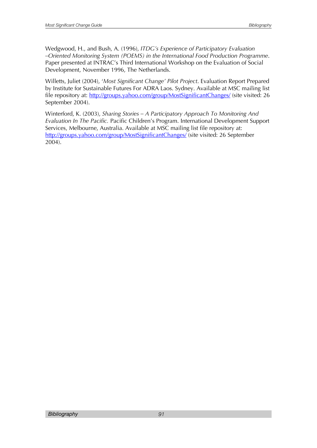Wedgwood, H., and Bush, A. (1996), *ITDG's Experience of Participatory Evaluation –Oriented Monitoring System (POEMS) in the International Food Production Programme*. Paper presented at INTRAC's Third International Workshop on the Evaluation of Social Development, November 1996, The Netherlands.

Willetts, Juliet (2004), '*Most Significant Change' Pilot Project*. Evaluation Report Prepared by Institute for Sustainable Futures For ADRA Laos. Sydney. Available at MSC mailing list file repository at: <http://groups.yahoo.com/group/MostSignificantChanges/>(site visited: 26 September 2004).

Winterford, K. (2003), *Sharing Stories – A Participatory Approach To Monitoring And Evaluation In The Pacific.* Pacific Children's Program. International Development Support Services, Melbourne, Australia. Available at MSC mailing list file repository at: <http://groups.yahoo.com/group/MostSignificantChanges/> (site visited: 26 September 2004).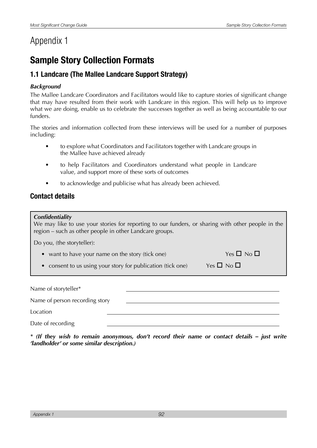# Appendix 1

# **Sample Story Collection Formats**

### **1.1 Landcare (The Mallee Landcare Support Strategy)**

#### *Background*

The Mallee Landcare Coordinators and Facilitators would like to capture stories of significant change that may have resulted from their work with Landcare in this region. This will help us to improve what we are doing, enable us to celebrate the successes together as well as being accountable to our funders.

The stories and information collected from these interviews will be used for a number of purposes including:

- to explore what Coordinators and Facilitators together with Landcare groups in the Mallee have achieved already
- to help Facilitators and Coordinators understand what people in Landcare value, and support more of these sorts of outcomes
- to acknowledge and publicise what has already been achieved.

### **Contact details**

#### *Confidentiality*

We may like to use your stories for reporting to our funders, or sharing with other people in the region – such as other people in other Landcare groups.

Do you, (the storyteller):

- want to have your name on the story (tick one)  $Yes \Box No \Box$
- consent to us using your story for publication (tick one) Yes  $\Box$  No  $\Box$

Name of storyteller\* Name of person recording story Location Date of recording

*\* (If they wish to remain anonymous, don't record their name or contact details – just write 'landholder' or some similar description.)*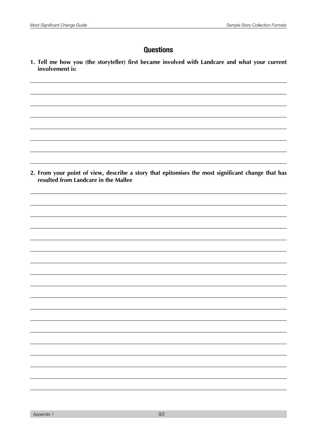### **Questions**

**1. Tell me how you (the storyteller) first became involved with Landcare and what your current involvement is:**

**2. From your point of view, describe a story that epitomises the most significant change that has resulted from Landcare in the Mallee**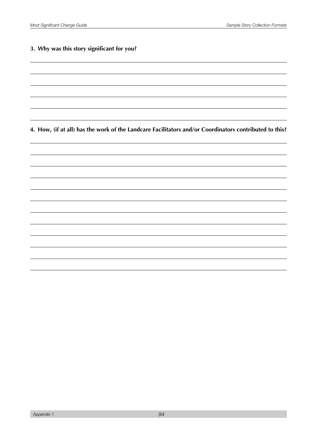#### **3. Why was this story significant for you?**

**4. How, (if at all) has the work of the Landcare Facilitators and/or Coordinators contributed to this?**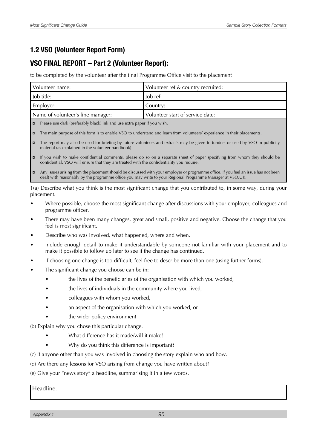### **1.2 VSO (Volunteer Report Form)**

### **VSO FINAL REPORT – Part 2 (Volunteer Report):**

to be completed by the volunteer after the final Programme Office visit to the placement

| Volunteer name:                   | Volunteer ref & country recruited: |
|-----------------------------------|------------------------------------|
| I Job title:                      | lob ref:                           |
| Employer:                         | Country:                           |
| Name of volunteer's line manager: | Volunteer start of service date:   |

 $\Box$  Please use dark (preferably black) ink and use extra paper if you wish.

- $\Box$  The main purpose of this form is to enable VSO to understand and learn from volunteers' experience in their placements.
- The report may also be used for briefing by future volunteers and extracts may be given to funders or used by VSO in publicity material (as explained in the volunteer handbook)
- $\blacksquare$  If you wish to make confidential comments, please do so on a separate sheet of paper specifying from whom they should be confidential. VSO will ensure that they are treated with the confidentiality you require.
- Any issues arising from the placement should be discussed with your employer or programme office. If you feel an issue has not been dealt with reasonably by the programme office you may write to your Regional Programme Manager at VSO.UK.

1(a) Describe what you think is the most significant change that you contributed to, in some way, during your placement.

- Where possible, choose the most significant change after discussions with your employer, colleagues and programme officer.
- There may have been many changes, great and small, positive and negative. Choose the change that you feel is most significant.
- Describe who was involved, what happened, where and when.
- Include enough detail to make it understandable by someone not familiar with your placement and to make it possible to follow up later to see if the change has continued.
- If choosing one change is too difficult, feel free to describe more than one (using further forms).
- The significant change you choose can be in:
	- the lives of the beneficiaries of the organisation with which you worked,
	- the lives of individuals in the community where you lived,
	- colleagues with whom you worked,
	- an aspect of the organisation with which you worked, or
	- the wider policy environment

(b) Explain why you chose this particular change.

- What difference has it made/will it make?
- Why do you think this difference is important?
- (c) If anyone other than you was involved in choosing the story explain who and how.
- (d) Are there any lessons for VSO arising from change you have written about?
- (e) Give your "news story" a headline, summarising it in a few words.

Headline:

*Appendix 1 95*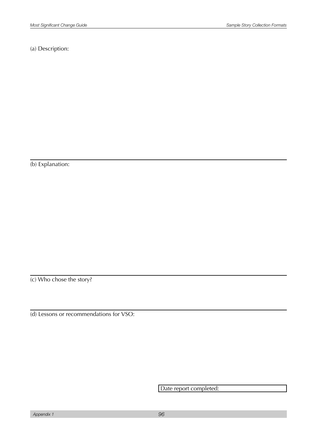(a) Description:

(b) Explanation:

(c) Who chose the story?

(d) Lessons or recommendations for VSO:

Date report completed: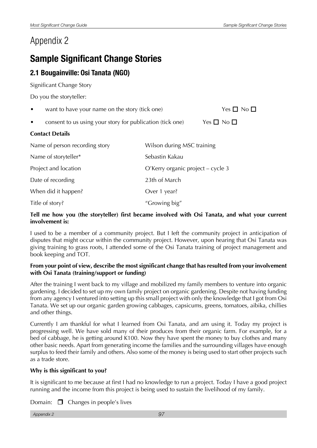# Appendix 2

# **Sample Significant Change Stories**

### **2.1 Bougainville: Osi Tanata (NGO)**

Significant Change Story

Do you the storyteller:

- want to have your name on the story (tick one)  $Yes \Box No \Box$
- consent to us using your story for publication (tick one) Yes  $\Box$  No  $\Box$

#### **Contact Details**

| Name of person recording story | Wilson during MSC training        |
|--------------------------------|-----------------------------------|
| Name of storyteller*           | Sebastin Kakau                    |
| Project and location           | O'Kerry organic project – cycle 3 |
| Date of recording              | 23th of March                     |
| When did it happen?            | Over 1 year?                      |
| Title of story?                | "Growing big"                     |

#### **Tell me how you (the storyteller) first became involved with Osi Tanata, and what your current involvement is:**

I used to be a member of a community project. But I Ieft the community project in anticipation of disputes that might occur within the community project. However, upon hearing that Osi Tanata was giving training to grass roots, I attended some of the Osi Tanata training of project management and book keeping and TOT.

#### **From your point of view, describe the most significant change that has resulted from your involvement with Osi Tanata (training/support or funding)**

After the training I went back to my village and mobilized my family members to venture into organic gardening. I decided to set up my own family project on organic gardening. Despite not having funding from any agency I ventured into setting up this small project with only the knowledge that I got from Osi Tanata. We set up our organic garden growing cabbages, capsicums, greens, tomatoes, aibika, chillies and other things.

Currently I am thankful for what I learned from Osi Tanata, and am using it. Today my project is progressing well. We have sold many of their produces from their organic farm. For example, for a bed of cabbage, he is getting around K100. Now they have spent the money to buy clothes and many other basic needs. Apart from generating income the families and the surrounding villages have enough surplus to feed their family and others. Also some of the money is being used to start other projects such as a trade store.

#### **Why is this significant to you?**

It is significant to me because at first I had no knowledge to run a project. Today I have a good project running and the income from this project is being used to sustain the livelihood of my family.

Domain:  $\Box$  Changes in people's lives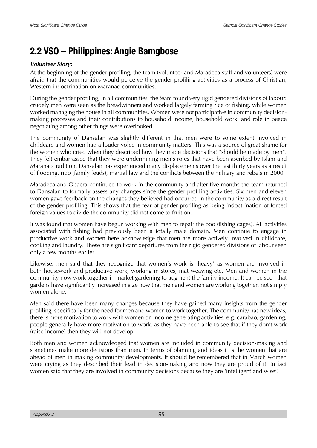# **2.2 VSO – Philippines: Angie Bamgbose**

#### *Volunteer Story:*

At the beginning of the gender profiling, the team (volunteer and Maradeca staff and volunteers) were afraid that the communities would perceive the gender profiling activities as a process of Christian, Western indoctrination on Maranao communities.

During the gender profiling, in all communities, the team found very rigid gendered divisions of labour: crudely men were seen as the breadwinners and worked largely farming rice or fishing, while women worked managing the house in all communities. Women were not participative in community decisionmaking processes and their contributions to household income, household work, and role in peace negotiating among other things were overlooked.

The community of Dansalan was slightly different in that men were to some extent involved in childcare and women had a louder voice in community matters. This was a source of great shame for the women who cried when they described how they made decisions that "should be made by men". They felt embarrassed that they were undermining men's roles that have been ascribed by Islam and Maranao tradition. Dansalan has experienced many displacements over the last thirty years as a result of flooding, rido (family feuds), martial law and the conflicts between the military and rebels in 2000.

Maradeca and Obaera continued to work in the community and after five months the team returned to Dansalan to formally assess any changes since the gender profiling activities. Six men and eleven women gave feedback on the changes they believed had occurred in the community as a direct result of the gender profiling. This shows that the fear of gender profiling as being indoctrination of forced foreign values to divide the community did not come to fruition.

It was found that women have begun working with men to repair the boo (fishing cages). All activities associated with fishing had previously been a totally male domain. Men continue to engage in productive work and women here acknowledge that men are more actively involved in childcare, cooking and laundry. These are significant departures from the rigid gendered divisions of labour seen only a few months earlier.

Likewise, men said that they recognize that women's work is 'heavy' as women are involved in both housework and productive work, working in stores, mat weaving etc. Men and women in the community now work together in market gardening to augment the family income. It can be seen that gardens have significantly increased in size now that men and women are working together, not simply women alone.

Men said there have been many changes because they have gained many insights from the gender profiling, specifically for the need for men and women to work together. The community has new ideas; there is more motivation to work with women on income generating activities, e.g. carabao, gardening; people generally have more motivation to work, as they have been able to see that if they don't work (raise income) then they will not develop.

Both men and women acknowledged that women are included in community decision-making and sometimes make more decisions than men. In terms of planning and ideas it is the women that are ahead of men in making community developments. It should be remembered that in March women were crying as they described their lead in decision-making and now they are proud of it. In fact women said that they are involved in community decisions because they are 'intelligent and wise'!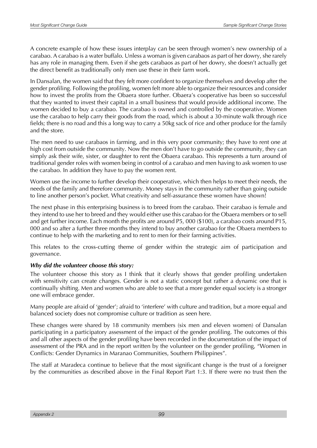A concrete example of how these issues interplay can be seen through women's new ownership of a carabao. A carabao is a water buffalo. Unless a woman is given carabaos as part of her dowry, she rarely has any role in managing them. Even if she gets carabaos as part of her dowry, she doesn't actually get the direct benefit as traditionally only men use these in their farm work.

In Dansalan, the women said that they felt more confident to organize themselves and develop after the gender profiling. Following the profiling, women felt more able to organize their resources and consider how to invest the profits from the Obaera store further. Obaera's cooperative has been so successful that they wanted to invest their capital in a small business that would provide additional income. The women decided to buy a carabao. The carabao is owned and controlled by the cooperative. Women use the carabao to help carry their goods from the road, which is about a 30-minute walk through rice fields; there is no road and this a long way to carry a 50kg sack of rice and other produce for the family and the store.

The men need to use carabaos in farming, and in this very poor community; they have to rent one at high cost from outside the community. Now the men don't have to go outside the community, they can simply ask their wife, sister, or daughter to rent the Obaera carabao. This represents a turn around of traditional gender roles with women being in control of a carabao and men having to ask women to use the carabao. In addition they have to pay the women rent.

Women use the income to further develop their cooperative, which then helps to meet their needs, the needs of the family and therefore community. Money stays in the community rather than going outside to line another person's pocket. What creativity and self-assurance these women have shown!

The next phase in this enterprising business is to breed from the carabao. Their carabao is female and they intend to use her to breed and they would either use this carabao for the Obaera members or to sell and get further income. Each month the profits are around P5, 000 (\$100), a carabao costs around P15, 000 and so after a further three months they intend to buy another carabao for the Obaera members to continue to help with the marketing and to rent to men for their farming activities.

This relates to the cross-cutting theme of gender within the strategic aim of participation and governance.

#### *Why did the volunteer choose this story:*

The volunteer choose this story as I think that it clearly shows that gender profiling undertaken with sensitivity can create changes. Gender is not a static concept but rather a dynamic one that is continually shifting. Men and women who are able to see that a more gender equal society is a stronger one will embrace gender.

Many people are afraid of 'gender'; afraid to 'interfere' with culture and tradition, but a more equal and balanced society does not compromise culture or tradition as seen here.

These changes were shared by 18 community members (six men and eleven women) of Dansalan participating in a participatory assessment of the impact of the gender profiling. The outcomes of this and all other aspects of the gender profiling have been recorded in the documentation of the impact of assessment of the PRA and in the report written by the volunteer on the gender profiling, "Women in Conflicts: Gender Dynamics in Maranao Communities, Southern Philippines".

The staff at Maradeca continue to believe that the most significant change is the trust of a foreigner by the communities as described above in the Final Report Part 1:3. If there were no trust then the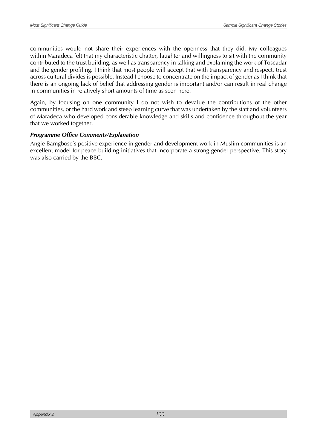communities would not share their experiences with the openness that they did. My colleagues within Maradeca felt that my characteristic chatter, laughter and willingness to sit with the community contributed to the trust building, as well as transparency in talking and explaining the work of Toscadar and the gender profiling. I think that most people will accept that with transparency and respect, trust across cultural divides is possible. Instead I choose to concentrate on the impact of gender as I think that there is an ongoing lack of belief that addressing gender is important and/or can result in real change in communities in relatively short amounts of time as seen here.

Again, by focusing on one community I do not wish to devalue the contributions of the other communities, or the hard work and steep learning curve that was undertaken by the staff and volunteers of Maradeca who developed considerable knowledge and skills and confidence throughout the year that we worked together.

#### *Programme Office Comments/Explanation*

Angie Bamgbose's positive experience in gender and development work in Muslim communities is an excellent model for peace building initiatives that incorporate a strong gender perspective. This story was also carried by the BBC.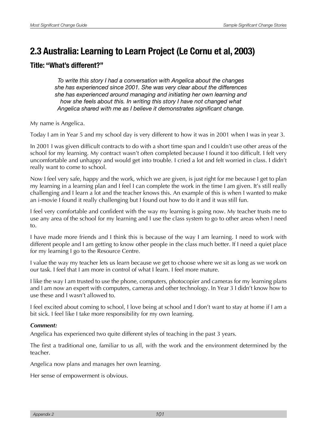# **2.3 Australia: Learning to Learn Project (Le Cornu et al, 2003)**

### **Title: "What's different?"**

*To write this story I had a conversation with Angelica about the changes she has experienced since 2001. She was very clear about the differences she has experienced around managing and initiating her own learning and how she feels about this. In writing this story I have not changed what Angelica shared with me as I believe it demonstrates signifcant change.*

My name is Angelica.

Today I am in Year 5 and my school day is very different to how it was in 2001 when I was in year 3.

In 2001 I was given difficult contracts to do with a short time span and I couldn't use other areas of the school for my learning. My contract wasn't often completed because I found it too difficult. I felt very uncomfortable and unhappy and would get into trouble. I cried a lot and felt worried in class. I didn't really want to come to school.

Now I feel very safe, happy and the work, which we are given, is just right for me because I get to plan my learning in a learning plan and I feel I can complete the work in the time I am given. It's still really challenging and I learn a lot and the teacher knows this. An example of this is when I wanted to make an i-movie I found it really challenging but I found out how to do it and it was still fun.

I feel very comfortable and confident with the way my learning is going now. My teacher trusts me to use any area of the school for my learning and I use the class system to go to other areas when I need to.

I have made more friends and I think this is because of the way I am learning. I need to work with different people and I am getting to know other people in the class much better. If I need a quiet place for my learning I go to the Resource Centre.

I value the way my teacher lets us learn because we get to choose where we sit as long as we work on our task. I feel that I am more in control of what I learn. I feel more mature.

I like the way I am trusted to use the phone, computers, photocopier and cameras for my learning plans and I am now an expert with computers, cameras and other technology. In Year 3 I didn't know how to use these and I wasn't allowed to.

I feel excited about coming to school, I love being at school and I don't want to stay at home if I am a bit sick. I feel like I take more responsibility for my own learning.

#### *Comment:*

Angelica has experienced two quite different styles of teaching in the past 3 years.

The first a traditional one, familiar to us all, with the work and the environment determined by the teacher.

Angelica now plans and manages her own learning.

Her sense of empowerment is obvious.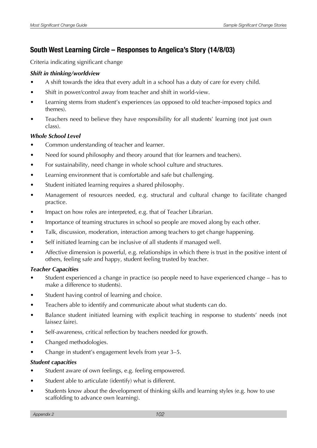### **South West Learning Circle – Responses to Angelica's Story (14/8/03)**

Criteria indicating significant change

#### *Shift in thinking/worldview*

- A shift towards the idea that every adult in a school has a duty of care for every child.
- Shift in power/control away from teacher and shift in world-view.
- Learning stems from student's experiences (as opposed to old teacher-imposed topics and themes).
- Teachers need to believe they have responsibility for all students' learning (not just own class).

#### *Whole School Level*

- Common understanding of teacher and learner.
- Need for sound philosophy and theory around that (for learners and teachers).
- For sustainability, need change in whole school culture and structures.
- Learning environment that is comfortable and safe but challenging.
- Student initiated learning requires a shared philosophy.
- Management of resources needed, e.g. structural and cultural change to facilitate changed practice.
- Impact on how roles are interpreted, e.g. that of Teacher Librarian.
- Importance of teaming structures in school so people are moved along by each other.
- Talk, discussion, moderation, interaction among teachers to get change happening.
- Self initiated learning can be inclusive of all students if managed well.
- Affective dimension is powerful, e.g. relationships in which there is trust in the positive intent of others, feeling safe and happy, student feeling trusted by teacher.

#### *Teacher Capacities*

- Student experienced a change in practice (so people need to have experienced change has to make a difference to students).
- Student having control of learning and choice.
- Teachers able to identify and communicate about what students can do.
- Balance student initiated learning with explicit teaching in response to students' needs (not laissez faire).
- Self-awareness, critical reflection by teachers needed for growth.
- Changed methodologies.
- Change in student's engagement levels from year 3–5.

#### *Student capacities*

- Student aware of own feelings, e.g. feeling empowered.
- Student able to articulate (identify) what is different.
- Students know about the development of thinking skills and learning styles (e.g. how to use scaffolding to advance own learning).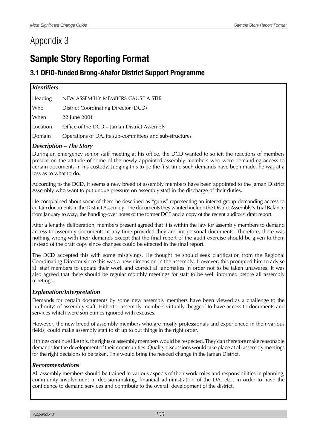# Appendix 3

# **Sample Story Reporting Format**

### **3.1 DFID-funded Brong-Ahafor District Support Programme**

| <i><u><b>Identifiers</b></u></i> |                                                         |  |  |  |
|----------------------------------|---------------------------------------------------------|--|--|--|
| Heading                          | NEW ASSEMBLY MEMBERS CAUSE A STIR                       |  |  |  |
| Who                              | District Coordinating Director (DCD)                    |  |  |  |
| When                             | 22 June 2001                                            |  |  |  |
| Location                         | Office of the DCD – Jaman District Assembly             |  |  |  |
| Domain                           | Operations of DA, its sub-committees and sub-structures |  |  |  |

#### *Description – The Story*

During an emergency senior staff meeting at his office, the DCD wanted to solicit the reactions of members present on the attitude of some of the newly appointed assembly members who were demanding access to certain documents in his custody. Judging this to be the first time such demands have been made, he was at a loss as to what to do.

According to the DCD, it seems a new breed of assembly members have been appointed to the Jaman District Assembly who want to put undue pressure on assembly staff in the discharge of their duties.

He complained about some of them he described as "gurus" representing an interest group demanding access to certain documents in the District Assembly. The documents they wanted include the District Assembly's Trial Balance from January to May, the handing-over notes of the former DCE and a copy of the recent auditors' draft report.

After a lengthy deliberation, members present agreed that it is within the law for assembly members to demand access to assembly documents at any time provided they are not personal documents. Therefore, there was nothing wrong with their demands except that the final report of the audit exercise should be given to them instead of the draft copy since changes could be effected in the final report.

The DCD accepted this with some misgivings. He thought he should seek clarification from the Regional Coordinating Director since this was a new dimension in the assembly. However, this prompted him to advise all staff members to update their work and correct all anomalies in order not to be taken unawares. It was also agreed that there should be regular monthly meetings for staff to be well informed before all assembly meetings.

#### *Explanation/Interpretation*

Demands for certain documents by some new assembly members have been viewed as a challenge to the 'authority' of assembly staff. Hitherto, assembly members virtually 'begged' to have access to documents and services which were sometimes ignored with excuses.

However, the new breed of assembly members who are mostly professionals and experienced in their various fields, could make assembly staff to sit up to put things in the right order.

If things continue like this, the rights of assembly members would be respected. They can therefore make reasonable demands for the development of their communities. Quality discussions would take place at all assembly meetings for the right decisions to be taken. This would bring the needed change in the Jaman District.

#### *Recommendations*

All assembly members should be trained in various aspects of their work-roles and responsibilities in planning, community involvement in decision-making, financial administration of the DA, etc., in order to have the confidence to demand services and contribute to the overall development of the district.